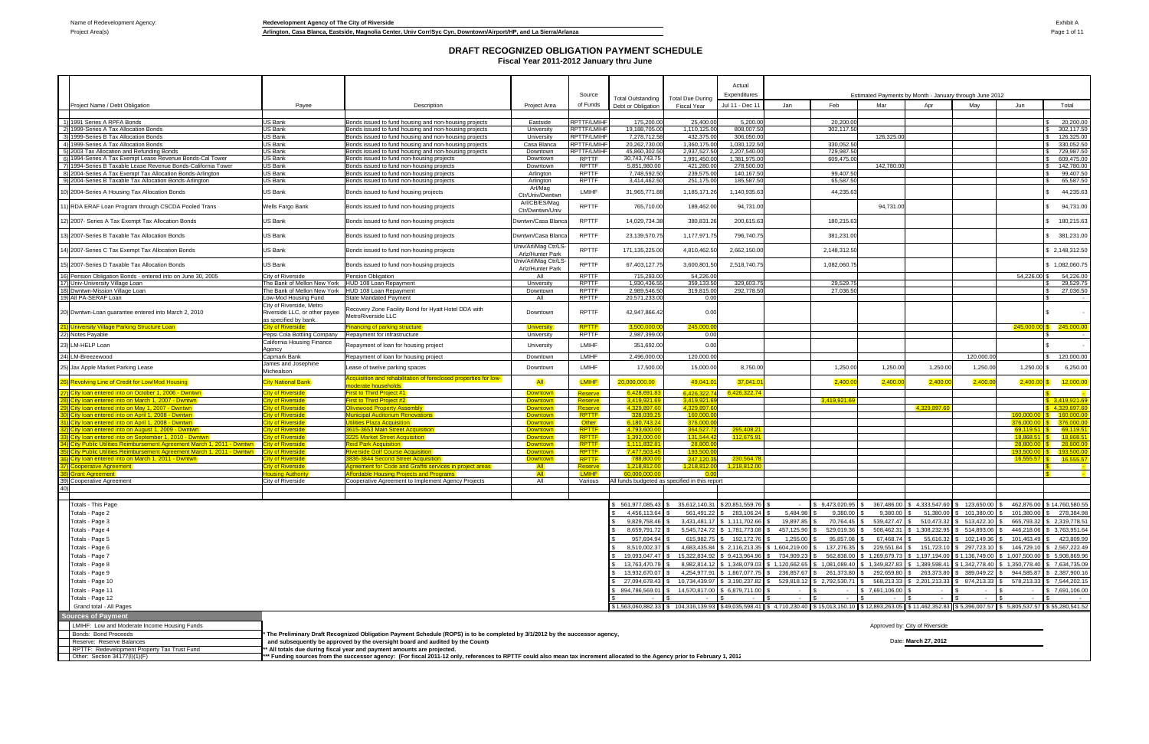Project Area(s) **Arlington, Casa Blanca, Eastside, Magnolia Center, Univ Corr/Syc Cyn, Downtown/Airport/HP, and La Sierra/Arlanza Page 1 of 11** 

|                                                                                                          |                                                        |                                                                                                                                                                            |                                          |                                          |                                                |                                                                                                                                                                         | Actual                   |              |                |                |                                                         |                |               |                              |
|----------------------------------------------------------------------------------------------------------|--------------------------------------------------------|----------------------------------------------------------------------------------------------------------------------------------------------------------------------------|------------------------------------------|------------------------------------------|------------------------------------------------|-------------------------------------------------------------------------------------------------------------------------------------------------------------------------|--------------------------|--------------|----------------|----------------|---------------------------------------------------------|----------------|---------------|------------------------------|
|                                                                                                          |                                                        |                                                                                                                                                                            |                                          | Source                                   | Total Outstanding                              | <b>Total Due During</b>                                                                                                                                                 | Expenditures             |              |                |                | Estimated Payments by Month - January through June 2012 |                |               |                              |
| Project Name / Debt Obligation                                                                           | Payee                                                  | Description                                                                                                                                                                | Project Area                             | of Funds                                 | Debt or Obligation                             | Fiscal Year                                                                                                                                                             | Jul 11 - Dec 11          | Jan          | Feb            | Mar            | Apr                                                     | May            | Jun           | Total                        |
|                                                                                                          |                                                        |                                                                                                                                                                            |                                          |                                          |                                                |                                                                                                                                                                         |                          |              |                |                |                                                         |                |               |                              |
| 1) 1991 Series A RPFA Bonds<br>2) 1999-Series A Tax Allocation Bonds                                     | US Bank                                                | Bonds issued to fund housing and non-housing projects                                                                                                                      | Eastside                                 | RPTTF/LMIHF                              | 175,200.00                                     | 25,400.00                                                                                                                                                               | 5,200.00                 |              | 20,200.00      |                |                                                         |                |               | 20,200.00                    |
| 3) 1999-Series B Tax Allocation Bonds                                                                    | US Bank<br>US Bank                                     | Bonds issued to fund housing and non-housing projects<br>Bonds issued to fund housing and non-housing projects                                                             | University<br>University                 | <b>RPTTF/LMIHF</b><br><b>RPTTF/LMIHF</b> | 19,188,705.0<br>7,278,712.5                    | 1,110,125.0<br>432,375.00                                                                                                                                               | 808,007.50<br>306,050.00 |              | 302,117.50     | 126,325.00     |                                                         |                |               | 302,117.5<br>126,325.00      |
| 4) 1999-Series A Tax Allocation Bonds                                                                    | <b>US Bank</b>                                         | Bonds issued to fund housing and non-housing projects                                                                                                                      | Casa Blanca                              | RPTTF/LMIHF                              | 20,262,730.0                                   | 1.360.175.00                                                                                                                                                            | 1.030.122.50             |              | 330.052.50     |                |                                                         |                |               | 330.052.50                   |
| 5) 2003 Tax Allocation and Refunding Bonds                                                               | US Bank                                                | Bonds issued to fund housing and non-housing projects                                                                                                                      | Downtown                                 | <b>RPTTF/LMIHF</b>                       | 45,860,302.5                                   | 2,937,527.50                                                                                                                                                            | 2,207,540.0              |              | 729,987.50     |                |                                                         |                |               | 729,987.50                   |
| 6) 1994-Series A Tax Exempt Lease Revenue Bonds-Cal Tower                                                | US Bank                                                | Bonds issued to fund non-housing projects                                                                                                                                  | Downtown                                 | RPTTF                                    | 30,743,743.75                                  | 1,991,450.00                                                                                                                                                            | 1,381,975.00             |              | 609.475.00     |                |                                                         |                |               | 609,475.00                   |
| 7) 1994-Series B Taxable Lease Revenue Bonds-California Tower                                            | US Bank                                                | Bonds issued to fund non-housing projects                                                                                                                                  | Downtown                                 | <b>RPTTF</b>                             | 5,851,980.00                                   | 421,280.00                                                                                                                                                              | 278,500.00               |              |                | 142,780.00     |                                                         |                |               | 142,780.00                   |
| 8) 2004-Series A Tax Exempt Tax Allocation Bonds-Arlington                                               | US Bank                                                | Bonds issued to fund non-housing projects                                                                                                                                  | Arlington                                | <b>RPTTF</b>                             | 7.748.592.50                                   | 239,575.00                                                                                                                                                              | 140,167.50               |              | 99,407.50      |                |                                                         |                |               | 99,407.50                    |
| 9) 2004-Series B Taxable Tax Allocation Bonds-Arlington                                                  | US Bank                                                | Bonds issued to fund non-housing projects                                                                                                                                  | Arlington<br>Arl/Mag                     | <b>RPTTF</b>                             | 3,414,462.5                                    | 251,175.00                                                                                                                                                              | 185,587.5                |              | 65,587.50      |                |                                                         |                |               | 65,587.50                    |
| 0) 2004-Series A Housing Tax Allocation Bonds                                                            | US Bank                                                | Bonds issued to fund housing projects                                                                                                                                      | Ctr/Univ/Dwntwn<br>Arl/CB/ES/Mag         | <b>LMIHF</b>                             | 31,965,771.8                                   | 1,185,171.26                                                                                                                                                            | 1,140,935.63             |              | 44,235.63      |                |                                                         |                |               | 44,235.63                    |
| 1) RDA ERAF Loan Program through CSCDA Pooled Trans                                                      | Wells Fargo Bank                                       | Bonds issued to fund non-housing projects                                                                                                                                  | Ctr/Dwntwn/Univ                          | <b>RPTTF</b>                             | 765,710.00                                     | 189,462.00                                                                                                                                                              | 94,731.00                |              |                | 94,731.00      |                                                         |                |               | 94,731.00                    |
| 2) 2007- Series A Tax Exempt Tax Allocation Bonds                                                        | US Bank                                                | Bonds issued to fund non-housing projects                                                                                                                                  | Dwntwn/Casa Blanca                       | <b>RPTTF</b>                             | 14,029,734.3                                   | 380,831.26                                                                                                                                                              | 200,615.63               |              | 180,215.63     |                |                                                         |                |               | 180,215.63                   |
| 3) 2007-Series B Taxable Tax Allocation Bonds                                                            | US Bank                                                | Bonds issued to fund non-housing projects                                                                                                                                  | Dwntwn/Casa Blanca                       | <b>RPTTF</b>                             | 23, 139, 570.7                                 | 1,177,971.7                                                                                                                                                             | 796,740.75               |              | 381,231.00     |                |                                                         |                |               | 381,231.00                   |
| 4) 2007-Series C Tax Exempt Tax Allocation Bonds                                                         | US Bank                                                | Bonds issued to fund non-housing projects                                                                                                                                  | Univ/Arl/Mag Ctr/LS-<br>Arlz/Hunter Park | <b>RPTTF</b>                             | 171,135,225.0                                  | 4,810,462.50                                                                                                                                                            | 2,662,150.00             |              | 2,148,312.50   |                |                                                         |                |               | \$ 2,148,312.50              |
| 15) 2007-Series D Taxable Tax Allocation Bonds                                                           | US Bank                                                | Bonds issued to fund non-housing projects                                                                                                                                  | Univ/Arl/Mag Ctr/LS-<br>Arlz/Hunter Park | <b>RPTTF</b>                             | 67,403,127.7                                   | 3,600,801.50                                                                                                                                                            | 2,518,740.75             |              | 1,082,060.75   |                |                                                         |                |               | \$1,082,060.75               |
| 16) Pension Obligation Bonds - entered into on June 30, 2005                                             | City of Riverside                                      | Pension Obligation                                                                                                                                                         | All                                      | <b>RPTTF</b>                             | 715,293.0                                      | 54,226.00                                                                                                                                                               |                          |              |                |                |                                                         |                | 54,226.00     | 54,226.00                    |
| 17) Univ-University Village Loan                                                                         | The Bank of Mellon New York                            | HUD 108 Loan Repayment                                                                                                                                                     | University                               | <b>RPTTF</b>                             | 1,930,436.55                                   | 359,133.50                                                                                                                                                              | 329,603.7                |              | 29,529.7       |                |                                                         |                |               | 29,529.75                    |
| 18) Dwntwn-Mission Village Loan<br>19) All PA-SERAF Loan                                                 | The Bank of Mellon New York<br>Low-Mod Housing Fund    | HUD 108 Loan Repayment<br>State Mandated Payment                                                                                                                           | Downtown<br>All                          | <b>RPTTF</b><br><b>RPTTF</b>             | 2.989.546.50<br>20,571,233.0                   | 319,815.00<br>0.00                                                                                                                                                      | 292,778.50               |              | 27,036.50      |                |                                                         |                |               | 27,036.50                    |
|                                                                                                          | City of Riverside, Metro                               |                                                                                                                                                                            |                                          |                                          |                                                |                                                                                                                                                                         |                          |              |                |                |                                                         |                |               |                              |
| 20) Dwntwn-Loan guarantee entered into March 2, 2010                                                     | Riverside LLC, or other payee<br>as specified by bank. | Recovery Zone Facility Bond for Hyatt Hotel DDA with<br>MetroRiverside LLC                                                                                                 | Downtown                                 | <b>RPTTF</b>                             | 42,947,866.4                                   | 0.00                                                                                                                                                                    |                          |              |                |                |                                                         |                |               |                              |
| 1) University Village Parking Structure Loan                                                             | <b>City of Riverside</b>                               | nancing of parking structure                                                                                                                                               | <b>University</b>                        | RPTTF                                    | 3.500.000.                                     | 245,000.0                                                                                                                                                               |                          |              |                |                |                                                         |                |               | $245,000.00$ \$ $245,000.00$ |
| 22) Notes Payable                                                                                        | Pepsi Cola Bottling Company                            | Repayment for infrastructure                                                                                                                                               | University                               | RPTTF                                    | 2,987,399.00                                   | 0.00                                                                                                                                                                    |                          |              |                |                |                                                         |                |               |                              |
| 23) LM-HELP Loan                                                                                         | California Housing Finance                             | Repayment of loan for housing project                                                                                                                                      | University                               | <b>LMIHF</b>                             | 351,692.00                                     | 0.00                                                                                                                                                                    |                          |              |                |                |                                                         |                |               |                              |
| 4) LM-Breezewood                                                                                         | Agency<br>Capmark Bank                                 |                                                                                                                                                                            |                                          | <b>LMIHF</b>                             | 2,496,000.00                                   | 120,000.00                                                                                                                                                              |                          |              |                |                |                                                         | 120,000.00     |               | 120,000.00                   |
|                                                                                                          | James and Josephine                                    | Repayment of loan for housing project                                                                                                                                      | Downtown                                 |                                          |                                                |                                                                                                                                                                         |                          |              |                |                |                                                         |                |               |                              |
| 25) Jax Apple Market Parking Lease                                                                       | Michealson                                             | ease of twelve parking spaces                                                                                                                                              | Downtown                                 | LMIHF                                    | 17,500.0                                       | 15,000.00                                                                                                                                                               | 8,750.00                 |              | 1,250.00       | 1,250.00       | 1,250.00                                                | 1,250.00       | $1,250.00$ \$ | 6,250.00                     |
|                                                                                                          | <b>City National Bank</b>                              | cquisition and rehabilitation of foreclosed properties for low-                                                                                                            | <b>All</b>                               | LMIHF                                    | 20.000,000.00                                  | 49,041.                                                                                                                                                                 | 37,041.0                 |              | 2,400.0        | 2,400.0        | 2,400.                                                  | 2,400.00       | 2,400.00      | 12,000.00                    |
| 6) Revolving Line of Credit for Low/Mod Housing!                                                         |                                                        | <b>noderate households</b>                                                                                                                                                 |                                          |                                          |                                                |                                                                                                                                                                         |                          |              |                |                |                                                         |                |               |                              |
| 1) City loan entered into on October 1, 2006 - Dwntwn                                                    | City of Riverside                                      | irst to Third Project #1                                                                                                                                                   | Downtown                                 | Reserve                                  | 6,428,691,8                                    | 6,426,322.                                                                                                                                                              | 6,426,322.74             |              |                |                |                                                         |                |               |                              |
| <u>B)ICity loan entered into on March 1, 2007 - Dwntwn</u>                                               | <b>City of Riverside</b>                               | rst to Third Project #2                                                                                                                                                    | Downtown                                 | Reserve                                  | 3,419,921.6                                    | 3,419,921.                                                                                                                                                              |                          |              | 3,419,921.69   |                |                                                         |                |               | \$3.419.921.69               |
| 9) City Ioan entered into on May 1, 2007 - Dwntwn<br>I) City loan entered into on April 1, 2008 - Dwntwn | City of Riverside<br>ity of Riverside                  | <b>livewood Property Assembly</b><br>unicipal Auditorium Renovations                                                                                                       | Downtown<br><b>Downtown</b>              | Reserve<br>RPTTF                         | 4.329.897.6<br>328,039.2                       | 4,329,897.<br>160,000.0                                                                                                                                                 |                          |              |                |                | 4,329,897.6                                             |                | 160,000.00    | ნ 4.329.897.6<br>160,000,0   |
| City loan entered into on April 1, 2008 - Dwntwn                                                         | <b>City of Riverside</b>                               | <b>ilities Plaza Acquisition</b>                                                                                                                                           | Downtown                                 | <b>Other</b>                             | 6,180,743.2                                    | 376,000.                                                                                                                                                                |                          |              |                |                |                                                         |                | 376,000,00    | \$ 376,000.0                 |
| 2) City loan entered into on August 1, 2009 - Dwntwn                                                     | ity of Riverside                                       | <b>315-3653 Main Street Acquisition</b>                                                                                                                                    | Downtown                                 | <b>RPTTF</b>                             | 4.793.600.0                                    | 364,527.7                                                                                                                                                               | 295,408.21               |              |                |                |                                                         |                | 69.119.51     | 69.119.5                     |
| 8) City loan entered into on September 1, 2010 - Dwntwn                                                  | <b>City of Riverside</b>                               | 225 Market Street Acquisition                                                                                                                                              | Downtown                                 | RPTTF                                    | 1,392,000.00                                   | 131.544.4                                                                                                                                                               | 112,675.91               |              |                |                |                                                         |                | 18.868.51     | 18.868.5                     |
| 4) City Public Utilities Reimbursement Agreement March 1, 2011 - Dwntwn                                  | <b>City of Riverside</b>                               | <b>Reid Park Acquisition</b>                                                                                                                                               | Downtown                                 | RPTTF                                    | 1.111.832.8                                    | 28.800.                                                                                                                                                                 |                          |              |                |                |                                                         |                | 28.800.00     | 28,800.0                     |
| <b>City Public Utilities Reimbursement Agreement March 1, 2011 - Dwntwn</b>                              | <b>City of Riverside</b>                               | <b>iverside Golf Course Acquisition</b>                                                                                                                                    | Downtown                                 | RPTTF                                    | 7,477,503.45                                   | 193,500.                                                                                                                                                                |                          |              |                |                |                                                         |                | 193.500.00    | 193,500.0                    |
| 6) City loan entered into on March 1, 2011 - Dwntwn                                                      | <b>City of Riverside</b>                               | 336-3844 Second Street Acquisition                                                                                                                                         | Downtown                                 | RPTTF                                    | 788.800.0                                      | 247,120.3                                                                                                                                                               | 230.564.7                |              |                |                |                                                         |                | 16.555.57     | 16.555.5                     |
| 7) Cooperative Agreement                                                                                 | ity of Riverside                                       | <u>Adreement for Code and Graffiti services in project areas</u>                                                                                                           | <b>AII</b>                               | Reserve                                  | 1,218,812.0                                    | 1.218.812.0                                                                                                                                                             | 1,218,812.00             |              |                |                |                                                         |                |               |                              |
| <b>88)</b> Grant Agreement                                                                               | <u> Housing Authority</u>                              | <b>ffordable Housing Projects and Programs</b>                                                                                                                             | <b>All</b>                               | <b>LMIHF</b>                             | 60.000.000.0                                   |                                                                                                                                                                         |                          |              |                |                |                                                         |                |               |                              |
| 39) Cooperative Agreement                                                                                | City of Riverside                                      | Cooperative Agreement to Implement Agency Projects                                                                                                                         | All                                      | Various                                  | All funds budgeted as specified in this report |                                                                                                                                                                         |                          |              |                |                |                                                         |                |               |                              |
|                                                                                                          |                                                        |                                                                                                                                                                            |                                          |                                          |                                                |                                                                                                                                                                         |                          |              |                |                |                                                         |                |               |                              |
| Totals - This Page                                                                                       |                                                        |                                                                                                                                                                            |                                          |                                          | 561,977,085.43                                 | 35,612,140.3                                                                                                                                                            | \$20,851,559.76          |              | \$9,473,020.95 | 367,486.00     | \$4,333,547.60                                          | \$123,650.00   | 462,876.00    | \$14,760,580.55              |
| Totals - Page 2                                                                                          |                                                        |                                                                                                                                                                            |                                          |                                          | 4,456,113.                                     | 561,491.22                                                                                                                                                              | 283,106.24               | 5,484.98     | 9,380.00       | 9,380.00       | 51,380.00                                               | 101,380.00     | 101,380.0     | 278,384.98                   |
| Totals - Page 3                                                                                          |                                                        |                                                                                                                                                                            |                                          |                                          | 9,829,758.4                                    | 3,431,481.                                                                                                                                                              | \$1,111,702.66           | 19,897.85    | 70,764.45      | 539,427.47     | 510,473.3                                               | 513,422.10     | 665,793.32    | \$ 2,319,778.51              |
| Totals - Page 4                                                                                          |                                                        |                                                                                                                                                                            |                                          |                                          | 8,659,791.7                                    | 5,545,724.72                                                                                                                                                            | \$1,781,773.08           | 457,125.90   | 529,019.36     | 508,462.31     | 1,308,232.95                                            | 514,893.06     | 446,218.06    | \$ 3,763,951.64              |
|                                                                                                          |                                                        |                                                                                                                                                                            |                                          |                                          | 957,694.9                                      | 615,982.7                                                                                                                                                               | 192,172.76               | 1,255.00     | 95,857.08      | 67,468.74      | 55,616.32                                               | 102,149.36     | 101,463.49    | 423,809.99                   |
| Totals - Page 5                                                                                          |                                                        |                                                                                                                                                                            |                                          |                                          |                                                |                                                                                                                                                                         |                          |              |                |                |                                                         |                |               |                              |
| Totals - Page 6                                                                                          |                                                        |                                                                                                                                                                            |                                          |                                          | 8,510,002.3                                    | 4,683,435.8                                                                                                                                                             | 2,116,213.35             | 1,604,219.00 | 137,276.35     | 229,551.84     | 151,723.10                                              | 297,723.10     | 146,729.10    | 2,567,222.49                 |
| Totals - Page 7                                                                                          |                                                        |                                                                                                                                                                            |                                          |                                          | 19,093,047.4                                   | 15,322,834.9                                                                                                                                                            | 9,413,964.96             | 734,909.23   | 562,838.00     | 1,269,679.73   | 1,197,194.00                                            | \$1,136,749.00 | 1,007,500.00  | 5,908,869.96                 |
| Totals - Page 8                                                                                          |                                                        |                                                                                                                                                                            |                                          |                                          | 13,763,470.7                                   | 8,982,814.1                                                                                                                                                             | 1,348,079.03             | 1,120,662.65 | ,081,089.40    | 1,349,827.83   | 1,389,598.41                                            | \$1,342,778.40 | 1,350,778.40  | 7,634,735.09                 |
| Totals - Page 9                                                                                          |                                                        |                                                                                                                                                                            |                                          |                                          | 13,932,670.0                                   | 4,254,977.9                                                                                                                                                             | 1,867,077.75             | 236,857.67   | 261,373.8      | 292,659.80     | 263,373.80                                              | 389,049.22     | 944,585.87    | 2,387,900.16                 |
| Totals - Page 10                                                                                         |                                                        |                                                                                                                                                                            |                                          |                                          | 27,094,678.43                                  | 10,734,439.97                                                                                                                                                           | \$ 3,190,237.82          | 529,818.12   | 2,792,530.71   | 568,213.33     | \$2,201,213.33                                          | \$874,213.33   | 578,213.33    | \$7,544,202.15               |
| Totals - Page 11                                                                                         |                                                        |                                                                                                                                                                            |                                          |                                          | 894,786,569.0                                  | 14,570,817.00                                                                                                                                                           | \$ 6,879,711.00          |              |                | \$7,691,106.00 |                                                         |                | $\sim$        | \$7,691,106.00               |
| Totals - Page 12                                                                                         |                                                        |                                                                                                                                                                            |                                          |                                          |                                                |                                                                                                                                                                         |                          |              |                |                |                                                         |                |               |                              |
| Grand total - All Pages                                                                                  |                                                        |                                                                                                                                                                            |                                          |                                          |                                                | \$1,563,060,882.33 \$ 104,316,139.93 \$49,035,598.41 \$ 4,710,230.40 \$ 5,013,150.10 \$ 12,893,263.05 \$ 11,462,352.83 \$5,396,007.57 \$ 5,805,537.57 \$ \$5,280,541.52 |                          |              |                |                |                                                         |                |               |                              |
| <b>Sources of Payment</b>                                                                                |                                                        |                                                                                                                                                                            |                                          |                                          |                                                |                                                                                                                                                                         |                          |              |                |                |                                                         |                |               |                              |
| LMIHF: Low and Moderate Income Housing Funds                                                             |                                                        |                                                                                                                                                                            |                                          |                                          |                                                |                                                                                                                                                                         |                          |              |                |                | Approved by: City of Riverside                          |                |               |                              |
| Bonds: Bond Proceeds                                                                                     |                                                        | The Preliminary Draft Recognized Obligation Payment Schedule (ROPS) is to be completed by 3/1/2012 by the successor agency,                                                |                                          |                                          |                                                |                                                                                                                                                                         |                          |              |                |                |                                                         |                |               |                              |
| Reserve: Reserve Balances                                                                                |                                                        | and subsequently be approved by the oversight board and audited by the County                                                                                              |                                          |                                          |                                                |                                                                                                                                                                         |                          |              |                |                | Date: March 27, 2012                                    |                |               |                              |
| RPTTF: Redevelopment Property Tax Trust Fund                                                             |                                                        | All totals due during fiscal year and payment amounts are projected.                                                                                                       |                                          |                                          |                                                |                                                                                                                                                                         |                          |              |                |                |                                                         |                |               |                              |
| Other: Section 34177(I)(1)(F)                                                                            |                                                        | * Funding sources from the successor agency: (For fiscal 2011-12 only, references to RPTTF could also mean tax increment allocated to the Agency prior to February 1, 2012 |                                          |                                          |                                                |                                                                                                                                                                         |                          |              |                |                |                                                         |                |               |                              |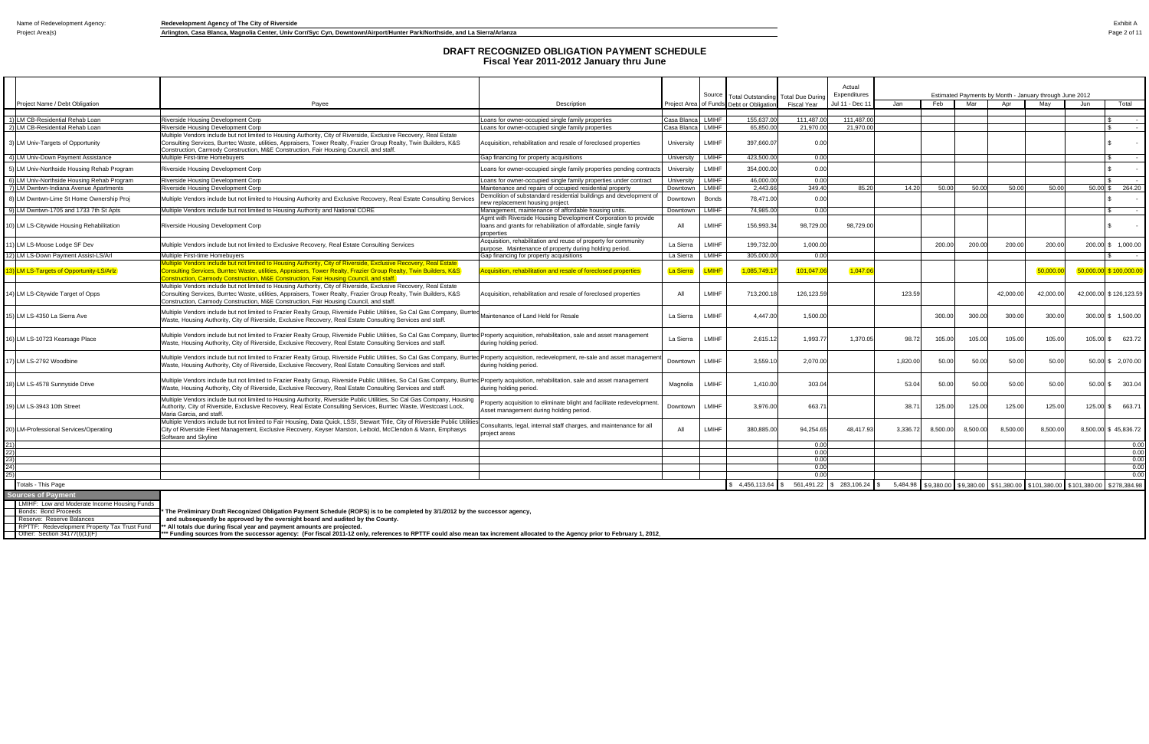|            |                                                                                                   |                                                                                                                                                                                                                                                                                                                                 |                                                                                                                                                  |                  |              |                                             |              | Actual          |          |                                   |          |           |                                                         |                                        |                             |
|------------|---------------------------------------------------------------------------------------------------|---------------------------------------------------------------------------------------------------------------------------------------------------------------------------------------------------------------------------------------------------------------------------------------------------------------------------------|--------------------------------------------------------------------------------------------------------------------------------------------------|------------------|--------------|---------------------------------------------|--------------|-----------------|----------|-----------------------------------|----------|-----------|---------------------------------------------------------|----------------------------------------|-----------------------------|
|            |                                                                                                   |                                                                                                                                                                                                                                                                                                                                 |                                                                                                                                                  |                  | Source       | Total Outstanding Total Due Durin           |              | Expenditures    |          |                                   |          |           | Estimated Payments by Month - January through June 2012 |                                        |                             |
|            | Project Name / Debt Obligation                                                                    | Payee                                                                                                                                                                                                                                                                                                                           | Description                                                                                                                                      | Proiect Area     | of Funds     | Debt or Obligation                          | Fiscal Year  | Jul 11 - Dec 11 | Jan      | Feb                               | Mar      | Apr       | May                                                     | Jun                                    | Total                       |
|            | 1) LM CB-Residential Rehab Loan                                                                   | Riverside Housing Development Corp                                                                                                                                                                                                                                                                                              | Loans for owner-occupied single family properties                                                                                                | Casa Blanca      | LMIHF        | 155.637.00                                  | 111.487.00   | 111.487.00      |          |                                   |          |           |                                                         |                                        | $\sim$ $-$                  |
|            | 2) LM CB-Residential Rehab Loan                                                                   | Riverside Housing Development Corp                                                                                                                                                                                                                                                                                              | Loans for owner-occupied single family properties                                                                                                | Casa Blanca      | LMIHF        | 65.850.00                                   | 21.970.00    | 21.970.00       |          |                                   |          |           |                                                         |                                        | $\sim 100$                  |
|            | 3) LM Univ-Targets of Opportunity                                                                 | Multiple Vendors include but not limited to Housing Authority, City of Riverside, Exclusive Recovery, Real Estate<br>Consulting Services, Burrtec Waste, utilities, Appraisers, Tower Realty, Frazier Group Realty, Twin Builders, K&S<br>Construction, Carmody Construction, M&E Construction, Fair Housing Council, and staff | Acquisition, rehabilitation and resale of foreclosed properties                                                                                  | University       | LMIHF        | 397,660.07                                  | 0.00         |                 |          |                                   |          |           |                                                         |                                        |                             |
|            | 4) LM Univ-Down Payment Assistance                                                                | Multiple First-time Homebuvers                                                                                                                                                                                                                                                                                                  | Gap financing for property acquisitions                                                                                                          | University       | LMIHF        | 423.500.00                                  | 0.00         |                 |          |                                   |          |           |                                                         |                                        | - \$<br>$\sim$ $-$          |
|            | 5) LM Univ-Northside Housing Rehab Program                                                        | Riverside Housing Development Corp                                                                                                                                                                                                                                                                                              | Loans for owner-occupied single family properties pending contracts                                                                              | University       | LMIHF        | 354,000.00                                  | 0.00         |                 |          |                                   |          |           |                                                         |                                        |                             |
|            | 6) LM Univ-Northside Housing Rehab Program                                                        | Riverside Housing Development Corp                                                                                                                                                                                                                                                                                              | Loans for owner-occupied single family properties under contract                                                                                 | University       | LMIHF        | 46.000.00                                   | 0.00         |                 |          |                                   |          |           |                                                         |                                        |                             |
|            | 7) LM Dwntwn-Indiana Avenue Apartments                                                            | Riverside Housing Development Corp                                                                                                                                                                                                                                                                                              | Maintenance and repairs of occupied residential property                                                                                         | Downtown         | LMIHF        | 2.443.66                                    | 349.40       | 85.20           | 14.20    | 50.00                             | 50.00    | 50.00     | 50.00                                                   | $50.00$ \$                             | 264.20                      |
|            | 8) LM Dwntwn-Lime St Home Ownership Proj                                                          | Multiple Vendors include but not limited to Housing Authority and Exclusive Recovery, Real Estate Consulting Services                                                                                                                                                                                                           | Demolition of substandard residential buildings and development of<br>new replacement housing project.                                           | Downtown         | <b>Bonds</b> | 78,471.00                                   | 0.00         |                 |          |                                   |          |           |                                                         |                                        |                             |
|            | 9) LM Dwntwn-1705 and 1733 7th St Apts                                                            | Multiple Vendors include but not limited to Housing Authority and National CORE                                                                                                                                                                                                                                                 | Management, maintenance of affordable housing units.                                                                                             | Downtown         | <b>LMIHF</b> | 74,985.00                                   | 0.00         |                 |          |                                   |          |           |                                                         |                                        |                             |
|            | 0) LM LS-Citywide Housing Rehabilitation                                                          | Riverside Housing Development Corp                                                                                                                                                                                                                                                                                              | Agmt with Riverside Housing Development Corporation to provide<br>loans and grants for rehabilitation of affordable, single family<br>properties | All              | LMIHF        | 156,993.34                                  | 98,729.00    | 98,729.00       |          |                                   |          |           |                                                         |                                        |                             |
|            | 1) LM LS-Moose Lodge SF Dev                                                                       | Multiple Vendors include but not limited to Exclusive Recovery, Real Estate Consulting Services                                                                                                                                                                                                                                 | Acquisition, rehabilitation and reuse of property for community<br>ourpose. Maintenance of property during holding period.                       | La Sierra        | LMIHF        | 199,732.00                                  | 1,000.00     |                 |          | 200.00                            | 200.00   | 200.00    | 200.00                                                  |                                        | 200.00 \$ 1,000.00          |
|            | 12) LM LS-Down Payment Assist-LS/Arl                                                              | Multiple First-time Homebuyers                                                                                                                                                                                                                                                                                                  | Gap financing for property acquisitions                                                                                                          | La Sierra        | LMIHF        | 305,000.00                                  | 0.00         |                 |          |                                   |          |           |                                                         |                                        |                             |
|            | <b>LM LS-Targets of Opportunity-LS/Arlz</b>                                                       | Multiple Vendors include but not limited to Housing Authority, City of Riverside, Exclusive Recovery, Real Estate<br>Consulting Services, Burrtec Waste, utilities, Appraisers, Tower Realty, Frazier Group Realty, Twin Builders, K&S<br>onstruction, Carmody Construction, M&E Construction, Fair Housing Council, and staff. | cquisition, rehabilitation and resale of foreclosed properties                                                                                   | <b>La Sierra</b> | <b>LMIHF</b> | 085,749.1                                   | 101,047.0    | 1,047.06        |          |                                   |          |           | 50,000.0                                                |                                        | $ 50,000.00 $ \$ 100,000.00 |
|            | 4) LM LS-Citywide Target of Opps                                                                  | Multiple Vendors include but not limited to Housing Authority, City of Riverside, Exclusive Recovery, Real Estate<br>Consulting Services, Burrtec Waste, utilities, Appraisers, Tower Realty, Frazier Group Realty, Twin Builders, K&S<br>Construction, Carmody Construction, M&E Construction, Fair Housing Council, and staff | Acquisition, rehabilitation and resale of foreclosed properties                                                                                  | All              | LMIHF        | 713,200.18                                  | 126,123.59   |                 | 123.59   |                                   |          | 42,000.00 | 42,000.00                                               |                                        | 42,000.00 \$126,123.59      |
|            | 5) LM LS-4350 La Sierra Ave                                                                       | Multiple Vendors include but not limited to Frazier Realty Group, Riverside Public Utilities, So Cal Gas Company, Burrted<br>Waste, Housing Authority, City of Riverside, Exclusive Recovery, Real Estate Consulting Services and staff.                                                                                        | Maintenance of Land Held for Resale                                                                                                              | La Sierra        | LMIHF        | 4.447.00                                    | 1,500.00     |                 |          | 300.00                            | 300.00   | 300.00    | 300.00                                                  |                                        | 300.00 \$ 1.500.00          |
|            | 6) LM LS-10723 Kearsage Place                                                                     | Multiple Vendors include but not limited to Frazier Realty Group, Riverside Public Utilities, So Cal Gas Company, Burrted Property acquisition, rehabilitation, sale and asset management<br>Waste, Housing Authority, City of Riverside, Exclusive Recovery, Real Estate Consulting Services and staff.                        | during holding period.                                                                                                                           | La Sierra        | LMIHF        | 2,615.12                                    | 1,993.77     | 1,370.05        | 98.72    | 105.00                            | 105.00   | 105.00    | 105.00                                                  |                                        | 105.00 \$ 623.72            |
|            | 7) LM LS-2792 Woodbine                                                                            | Multiple Vendors include but not limited to Frazier Realty Group, Riverside Public Utilities, So Cal Gas Company, Burrted Property acquisition, redevelopment, re-sale and asset management<br>Waste, Housing Authority, City of Riverside, Exclusive Recovery, Real Estate Consulting Services and staff.                      | during holding period.                                                                                                                           | Downtown         | <b>LMIHF</b> | 3,559.1                                     | 2,070.00     |                 | 1,820.00 | 50.00                             | 50.00    | 50.00     | 50.00                                                   |                                        | 50.00 \$ 2,070.00           |
|            | 8) LM LS-4578 Sunnyside Drive                                                                     | Multiple Vendors include but not limited to Frazier Realty Group, Riverside Public Utilities, So Cal Gas Company, Burrted Property acquisition, rehabilitation, sale and asset management<br>Waste, Housing Authority, City of Riverside, Exclusive Recovery, Real Estate Consulting Services and staff.                        | during holding period.                                                                                                                           | Magnolia         | LMIHF        | 1,410.00                                    | 303.04       |                 | 53.04    | 50.00                             | 50.00    | 50.00     | 50.00                                                   |                                        | 50.00 \$ 303.04             |
|            | 9) LM LS-3943 10th Street                                                                         | Multiple Vendors include but not limited to Housing Authority, Riverside Public Utilities, So Cal Gas Company, Housing<br>Authority, City of Riverside, Exclusive Recovery, Real Estate Consulting Services, Burrtec Waste, Westcoast Lock,<br>Maria Garcia, and staff.                                                         | roperty acquisition to eliminate blight and facilitate redevelopment.<br>Asset management during holding period.                                 | Downtown         | LMIHF        | 3,976.00                                    | 663.71       |                 | 38.7'    | 125.00                            | 125.00   | 125.00    | 125.00                                                  |                                        | 125.00 \$ 663.71            |
|            | <b>LM-Professional Services/Operating</b>                                                         | Multiple Vendors include but not limited to Fair Housing, Data Quick, LSSI, Stewart Title, City of Riverside Public Utilities<br>City of Riverside Fleet Management, Exclusive Recovery, Keyser Marston, Leibold, McClendon & Mann, Emphasys<br>Software and Skvline                                                            | onsultants, legal, internal staff charges, and maintenance for all<br>roject areas                                                               | All              | LMIHF        | 380,885.00                                  | 94,254.65    | 48,417.93       | 3,336.72 | 8,500.00                          | 8,500.00 | 8,500.00  | 8,500.00                                                |                                        | 8,500.00 \$45,836.72        |
|            |                                                                                                   |                                                                                                                                                                                                                                                                                                                                 |                                                                                                                                                  |                  |              |                                             | 0.00         |                 |          |                                   |          |           |                                                         |                                        | 0.00                        |
| 22)        |                                                                                                   |                                                                                                                                                                                                                                                                                                                                 |                                                                                                                                                  |                  |              |                                             | 0.00         |                 |          |                                   |          |           |                                                         |                                        | 0.00                        |
| 23)<br>24) |                                                                                                   |                                                                                                                                                                                                                                                                                                                                 |                                                                                                                                                  |                  |              |                                             | 0.00<br>0.00 |                 |          |                                   |          |           |                                                         |                                        | 0.00<br>0.00                |
| 25)        |                                                                                                   |                                                                                                                                                                                                                                                                                                                                 |                                                                                                                                                  |                  |              |                                             | 0.00         |                 |          |                                   |          |           |                                                         |                                        | 0.00                        |
|            | Totals - This Page                                                                                |                                                                                                                                                                                                                                                                                                                                 |                                                                                                                                                  |                  |              | \$ 4,456,113.64 \$ 561,491.22 \$ 283,106.24 |              |                 | 5,484.98 |                                   |          |           |                                                         |                                        |                             |
|            |                                                                                                   |                                                                                                                                                                                                                                                                                                                                 |                                                                                                                                                  |                  |              |                                             |              |                 |          | \$9,380.00 \$9,380.00 \$51,380.00 |          |           |                                                         | \$101,380.00 \$101,380.00 \$278,384.98 |                             |
|            | <b>Sources of Payment</b><br>LMIHF: Low and Moderate Income Housing Funds<br>Bonds: Bond Proceeds | The Preliminary Draft Recognized Obligation Payment Schedule (ROPS) is to be completed by 3/1/2012 by the successor agency,                                                                                                                                                                                                     |                                                                                                                                                  |                  |              |                                             |              |                 |          |                                   |          |           |                                                         |                                        |                             |
|            | Reserve: Reserve Balances<br>RPTTF: Redevelopment Property Tax Trust Fund                         | and subsequently be approved by the oversight board and audited by the County.<br>* All totals due during fiscal vear and payment amounts are projected.                                                                                                                                                                        |                                                                                                                                                  |                  |              |                                             |              |                 |          |                                   |          |           |                                                         |                                        |                             |

RPTTF: Redevelopment Property Tax Trust Fund Natal Murdals due during fiscal year and payment amounts are projected.<br>Other: Section 34177(l)(1)(F) Natally have the surcess from the successor agency: (For fiscal 2011-12 onl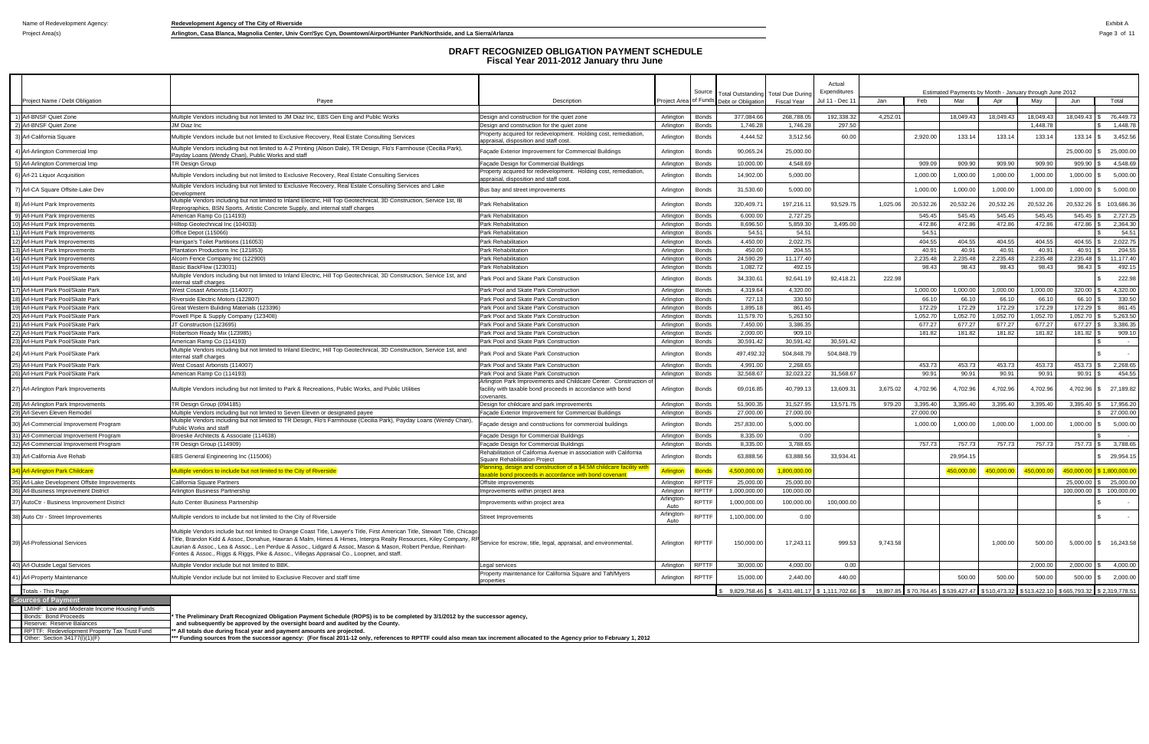$\Box$ 

Project Area(s) **Arlington, Casa Blanca, Magnolia Center, Univ Corr/Syc Cyn, Downtown/Airport/Hunter Park/Northside, and La Sierra/Arlanza Page 3 of 11** 

|                                                                                                |                                                                                                                                                                                                                                                                                                                                                                                                                                                                 |                                                                                                                                  |                        | Source                       |                                                                      |                                 | Actual<br>Expenditures             |          |                                    |           |                           | Estimated Payments by Month - January through June 2012 |                        |                                   |
|------------------------------------------------------------------------------------------------|-----------------------------------------------------------------------------------------------------------------------------------------------------------------------------------------------------------------------------------------------------------------------------------------------------------------------------------------------------------------------------------------------------------------------------------------------------------------|----------------------------------------------------------------------------------------------------------------------------------|------------------------|------------------------------|----------------------------------------------------------------------|---------------------------------|------------------------------------|----------|------------------------------------|-----------|---------------------------|---------------------------------------------------------|------------------------|-----------------------------------|
| Project Name / Debt Obligation                                                                 | Pavee                                                                                                                                                                                                                                                                                                                                                                                                                                                           | Description                                                                                                                      |                        |                              | <b>Total Outstanding</b><br>Project Area of Funds Debt or Obligation | Total Due During<br>Fiscal Year | Jul 11 - Dec 1                     | Jan      | Feb                                | Mar       | Apr                       | May                                                     | Jun                    | Total                             |
|                                                                                                |                                                                                                                                                                                                                                                                                                                                                                                                                                                                 |                                                                                                                                  |                        |                              |                                                                      |                                 |                                    |          |                                    |           |                           |                                                         |                        |                                   |
| 1) Arl-BNSF Quiet Zone                                                                         | Multiple Vendors including but not limited to JM Diaz Inc, EBS Gen Eng and Public Works                                                                                                                                                                                                                                                                                                                                                                         | Design and construction for the quiet zone                                                                                       | Arlington              | <b>Bonds</b>                 | 377,084.66                                                           | 268,788.0                       | 192,338.32                         | 4,252.01 |                                    | 18,049.43 | 18,049.43                 | 18,049.43                                               | 18,049.43              | 76,449.73                         |
| 2) Arl-BNSF Quiet Zone                                                                         | JM Diaz Inc                                                                                                                                                                                                                                                                                                                                                                                                                                                     | Design and construction for the quiet zone                                                                                       | Arlington              | Bonds                        | 1,746.28                                                             | 1,746.28                        | 297.50                             |          |                                    |           |                           | 1,448.78                                                |                        | 1,448.78                          |
|                                                                                                |                                                                                                                                                                                                                                                                                                                                                                                                                                                                 | Property acquired for redevelopment. Holding cost, remediation,                                                                  |                        |                              |                                                                      |                                 |                                    |          |                                    |           |                           |                                                         |                        |                                   |
| 3) Arl-California Square                                                                       | Multiple Vendors include but not limited to Exclusive Recovery, Real Estate Consulting Services                                                                                                                                                                                                                                                                                                                                                                 | appraisal, disposition and staff cost                                                                                            | Arlington              | Bonds                        | 4,444.52                                                             | 3,512.56                        | 60.00                              |          | 2,920.00                           | 133.14    | 133.14                    | 133.14                                                  | $133.14$ \\$           | 3,452.56                          |
| 4) Arl-Arlington Commercial Imp                                                                | Multiple Vendors including but not limited to A-Z Printing (Alison Dale), TR Design, Flo's Farmhouse (Cecilia Park),<br>Payday Loans (Wendy Chan), Public Works and staff                                                                                                                                                                                                                                                                                       | Façade Exterior Improvement for Commercial Buildings                                                                             | Arlington              | <b>Bonds</b>                 | 90,065.24                                                            | 25,000.00                       |                                    |          |                                    |           |                           |                                                         | 25,000.00              | 25,000.00                         |
| 5) Arl-Arlington Commercial Imp                                                                | TR Design Group                                                                                                                                                                                                                                                                                                                                                                                                                                                 | Façade Design for Commercial Buildings                                                                                           | Arlington              | Bonds                        | 10,000.00                                                            | 4,548.69                        |                                    |          | 909.09                             | 909.90    | 909.90                    | 909.90                                                  | 909.90                 | 4,548.69                          |
| 6) Arl-21 Liquor Acquisition                                                                   | Multiple Vendors including but not limited to Exclusive Recovery, Real Estate Consulting Services                                                                                                                                                                                                                                                                                                                                                               | Property acquired for redevelopment. Holding cost, remediation,<br>appraisal, disposition and staff cost                         | Arlington              | <b>Bonds</b>                 | 14,902.00                                                            | 5,000.00                        |                                    |          | 1,000.00                           | 1,000.00  | 1,000.00                  | 1,000.00                                                | 1,000.00               | 5,000.00                          |
| 7) Arl-CA Square Offsite-Lake Dev                                                              | Multiple Vendors including but not limited to Exclusive Recovery, Real Estate Consulting Services and Lake<br><b>Development</b>                                                                                                                                                                                                                                                                                                                                | Bus bay and street improvements                                                                                                  | Arlington              | <b>Bonds</b>                 | 31,530.60                                                            | 5,000.00                        |                                    |          | 1,000.00                           | 1,000.00  | 1,000.00                  | 1,000.00                                                | 1,000.00               | \$5,000.00                        |
| 8) Arl-Hunt Park Improvements                                                                  | Multiple Vendors including but not limited to Inland Electric, Hill Top Geotechnical, 3D Construction, Service 1st, IB<br>Reprographics, BSN Sports, Artistic Concrete Supply, and internal staff charges                                                                                                                                                                                                                                                       | Park Rehabilitation                                                                                                              | Arlington              | <b>Bonds</b>                 | 320,409.7                                                            | 197,216.1                       | 93,529.75                          | 1,025.06 | 20,532.26                          | 20,532.26 | 20,532.26                 | 20,532.26                                               | 20,532.26              | 103,686.36                        |
| 9) Arl-Hunt Park Improvements                                                                  | American Ramp Co (114193)                                                                                                                                                                                                                                                                                                                                                                                                                                       | Park Rehabilitation                                                                                                              | Arlington              | <b>Bonds</b>                 | 6,000.00                                                             | 2,727.25                        |                                    |          | 545.45                             | 545.45    | 545.4                     | 545.45                                                  | 545.45                 | 2,727.25                          |
| 10) Arl-Hunt Park Improvements                                                                 | Hilltop Geotechnical Inc (104033)                                                                                                                                                                                                                                                                                                                                                                                                                               | Park Rehabilitation                                                                                                              | Arlington              | <b>Bonds</b>                 | 8,696.50                                                             | 5,859.30                        | 3,495.00                           |          | 472.86                             | 472.86    | 472.86                    | 472.86                                                  | 472.86                 | 2,364.30                          |
| 11) Arl-Hunt Park Improvements                                                                 | Office Depot (115066)                                                                                                                                                                                                                                                                                                                                                                                                                                           | Park Rehabilitation                                                                                                              | Arlington              | <b>Bonds</b>                 | 54.51                                                                | 54.5'                           |                                    |          | 54.51                              |           |                           |                                                         |                        | 54.51                             |
| 12) Arl-Hunt Park Improvements                                                                 | Harrigan's Toilet Partitions (116053)                                                                                                                                                                                                                                                                                                                                                                                                                           | Park Rehabilitation                                                                                                              | Arlington              | <b>Bonds</b>                 | 4,450.00                                                             | 2,022.75                        |                                    |          | 404.55                             | 404.55    | 404.55                    | 404.55                                                  | 404.55                 | 2,022.75                          |
| 13) Arl-Hunt Park Improvements                                                                 | Plantation Productions Inc (121853)                                                                                                                                                                                                                                                                                                                                                                                                                             | Park Rehabilitation                                                                                                              | Arlington              | <b>Bonds</b>                 | 450.00                                                               | 204.55                          |                                    |          | 40.91                              | 40.91     | 40.91                     | 40.91                                                   | 40.91                  | 204.55                            |
| 14) Arl-Hunt Park Improvements                                                                 | Alcorn Fence Company Inc (122900)                                                                                                                                                                                                                                                                                                                                                                                                                               | <b>Park Rehabilitation</b>                                                                                                       | Arlington              | <b>Bonds</b>                 | 24,590.29                                                            | 11,177.40                       |                                    |          | 2,235.48                           | 2,235.48  | 2,235.48                  | 2,235.48                                                | 2,235.48               | 11,177.40                         |
| 15) Arl-Hunt Park Improvements                                                                 | 3asic BackFlow (123031)                                                                                                                                                                                                                                                                                                                                                                                                                                         | Park Rehabilitation                                                                                                              | Arlington              | <b>Bonds</b>                 | 1,082.72                                                             | 492.1                           |                                    |          | 98.43                              | 98.43     | 98.43                     | 98.43                                                   | 98.43                  | 492.1                             |
| 16) Arl-Hunt Park Pool/Skate Park                                                              | Multiple Vendors including but not limited to Inland Electric, Hill Top Geotechnical, 3D Construction, Service 1st, and<br>iternal staff charges                                                                                                                                                                                                                                                                                                                | Park Pool and Skate Park Construction                                                                                            | Arlington              | <b>Bonds</b>                 | 34,330.61                                                            | 92,641.19                       | 92,418.2                           | 222.98   |                                    |           |                           |                                                         |                        | 222.98                            |
| 17) Arl-Hunt Park Pool/Skate Park                                                              | West Cosast Arborists (114007)                                                                                                                                                                                                                                                                                                                                                                                                                                  | Park Pool and Skate Park Construction                                                                                            | Arlington              | <b>Bonds</b>                 | 4,319.64                                                             | 4,320.00                        |                                    |          | 1,000.00                           | 1,000.00  | 1,000.00                  | 1,000.00                                                | 320.00                 | 4,320.00                          |
| 18) Arl-Hunt Park Pool/Skate Park                                                              | Riverside Electric Motors (122807)                                                                                                                                                                                                                                                                                                                                                                                                                              | Park Pool and Skate Park Construction                                                                                            | Arlington              | <b>Bonds</b>                 | 727.13                                                               | 330.50                          |                                    |          | 66.10                              | 66.10     | 66.10                     | 66.10                                                   | 66.10                  | 330.50                            |
| 19) Arl-Hunt Park Pool/Skate Park                                                              | Great Western Buliding Materials (123396)                                                                                                                                                                                                                                                                                                                                                                                                                       | Park Pool and Skate Park Construction                                                                                            | Arlington              | Bonds                        | 1,895.18                                                             | 861.45                          |                                    |          | 172.29                             | 172.29    | 172.29                    | 172.29                                                  | 172.29                 | 861.45                            |
| 20) Arl-Hunt Park Pool/Skate Park                                                              | Powell Pipe & Supply Company (123408)                                                                                                                                                                                                                                                                                                                                                                                                                           | Park Pool and Skate Park Construction                                                                                            | Arlington              | Bonds                        | 11,579.70                                                            | 5,263.50                        |                                    |          | 1,052.70                           | 1,052.70  | 1,052.70                  | 1,052.70                                                | 1,052.70               | 5,263.50                          |
| 21) Arl-Hunt Park Pool/Skate Park                                                              | T Construction (123695)                                                                                                                                                                                                                                                                                                                                                                                                                                         | Park Pool and Skate Park Construction                                                                                            | Arlington              | Bonds                        | 7,450.00                                                             | 3,386.35                        |                                    |          | 677.27                             | 677.27    | 677.27                    | 677.27                                                  | 677.27                 | 3,386.35                          |
| 22) Arl-Hunt Park Pool/Skate Park                                                              | Robertson Ready Mix (123985)                                                                                                                                                                                                                                                                                                                                                                                                                                    | Park Pool and Skate Park Construction                                                                                            | Arlington              | Bonds                        | 2,000.00                                                             | 909.1                           |                                    |          | 181.82                             | 181.82    | 181.82                    | 181.82                                                  | 181.82                 | 909.10                            |
| 23) Arl-Hunt Park Pool/Skate Park                                                              | American Ramp Co (114193)                                                                                                                                                                                                                                                                                                                                                                                                                                       | Park Pool and Skate Park Construction                                                                                            | Arlington              | Bonds                        | 30,591.42                                                            | 30,591.42                       | 30,591.42                          |          |                                    |           |                           |                                                         |                        | $\sim$                            |
| 24) Arl-Hunt Park Pool/Skate Park                                                              | Multiple Vendors including but not limited to Inland Electric, Hill Top Geotechnical, 3D Construction, Service 1st, and<br>nternal staff charges                                                                                                                                                                                                                                                                                                                | Park Pool and Skate Park Construction                                                                                            | Arlington              | <b>Bonds</b>                 | 497,492.32                                                           | 504,848.79                      | 504,848.79                         |          |                                    |           |                           |                                                         |                        |                                   |
| 25) Arl-Hunt Park Pool/Skate Park                                                              | West Cosast Arborists (114007)                                                                                                                                                                                                                                                                                                                                                                                                                                  | Park Pool and Skate Park Construction                                                                                            | Arlington              | Bonds                        | 4,991.00                                                             | 2,268.6                         |                                    |          | 453.73                             | 453.73    | 453.73                    | 453.73                                                  | 453.73                 | 2,268.65                          |
| 26) Arl-Hunt Park Pool/Skate Park                                                              | American Ramp Co (114193)                                                                                                                                                                                                                                                                                                                                                                                                                                       | Park Pool and Skate Park Construction                                                                                            | Arlington              | Bonds                        | 32,568.67                                                            | 32,023.22                       | 31,568.67                          |          | 90.91                              | 90.91     | 90.91                     | 90.91                                                   | 90.91                  | 454.55                            |
| 27) Arl-Arlington Park Improvements                                                            | Multiple Vendors including but not limited to Park & Recreations, Public Works, and Public Utilities                                                                                                                                                                                                                                                                                                                                                            | Arlington Park Improvements and Childcare Center. Construction of<br>facility with taxable bond proceeds in accordance with bond | Arlington              | <b>Bonds</b>                 | 69,016.85                                                            | 40,799.13                       | 13,609.3                           | 3,675.02 | 4,702.96                           | 4,702.96  | 4,702.96                  | 4,702.96                                                | 4,702.96               | 27,189.82                         |
|                                                                                                |                                                                                                                                                                                                                                                                                                                                                                                                                                                                 | covenants.                                                                                                                       |                        |                              |                                                                      |                                 |                                    |          |                                    |           |                           |                                                         |                        |                                   |
| 28) Arl-Arlington Park Improvements                                                            | FR Design Group (094185)                                                                                                                                                                                                                                                                                                                                                                                                                                        | Design for childcare and park improvements                                                                                       | Arlington              | <b>Bonds</b>                 | 51,900.3                                                             | 31,527.9                        | 13,571.7                           | 979.20   | 3,395.40                           | 3,395.40  | 3,395.40                  | 3,395.40                                                | 3,395.40               | 17,956.20                         |
| 29) Arl-Seven Eleven Remodel<br>30) Arl-Commercial Improvement Program                         | Multiple Vendors including but not limited to Seven Eleven or designated payee<br>Multiple Vendors including but not limited to TR Design, Flo's Farmhouse (Cecilia Park), Payday Loans (Wendy Chan)<br>Public Works and staff                                                                                                                                                                                                                                  | Façade Exterior Improvement for Commercial Buildings<br>açade design and constructions for commercial buildings                  | Arlington<br>Arlington | <b>Bonds</b><br><b>Bonds</b> | 27,000.00<br>257,830.00                                              | 27,000.00<br>5,000.00           |                                    |          | 27,000.00<br>1,000.00              | 1,000.00  | 1,000.00                  | 1,000.00                                                |                        | 27,000.00<br>1,000.00 \$ 5,000.00 |
| 31) Arl-Commercial Improvement Program                                                         | Broeske Architects & Associate (114638)                                                                                                                                                                                                                                                                                                                                                                                                                         | Façade Design for Commercial Buildings                                                                                           | Arlington              | <b>Bonds</b>                 | 8,335.00                                                             | 0.00                            |                                    |          |                                    |           |                           |                                                         |                        | $\sim$                            |
| 32) Arl-Commercial Improvement Program                                                         |                                                                                                                                                                                                                                                                                                                                                                                                                                                                 |                                                                                                                                  |                        |                              | 8,335.00                                                             | 3,788.6                         |                                    |          | 757.73                             | 757.73    |                           | 757.73                                                  | 757.73 \$              | 3,788.65                          |
|                                                                                                | FR Design Group (114909)                                                                                                                                                                                                                                                                                                                                                                                                                                        | Façade Design for Commercial Buildings<br>Rehabilitation of California Avenue in association with California                     | Arlington              | <b>Bonds</b>                 |                                                                      |                                 |                                    |          |                                    |           | 757.73                    |                                                         |                        |                                   |
| 33) Arl-California Ave Rehab                                                                   | EBS General Engineering Inc (115006)                                                                                                                                                                                                                                                                                                                                                                                                                            | <b>Square Rehabilitation Project</b><br>lanning, design and construction of a \$4.5M childcare facility with                     | Arlington              | Bonds                        | 63,888.56                                                            | 63,888.56                       | 33,934.4                           |          |                                    | 29,954.15 |                           |                                                         |                        | 29,954.15                         |
| <mark>34) Arl-Arlington Park Childcare</mark><br>35) Arl-Lake Development Offsite Improvements | ultiple vendors to include but not limited to the City of Riverside<br>California Square Partners                                                                                                                                                                                                                                                                                                                                                               | xable bond proceeds in accordance with bond covenant<br>Offsite improvements                                                     | Arlington              | Bonds<br><b>RPTTF</b>        | ,500,000.0<br>25,000.00                                              | 1,800,000.0<br>25,000.00        |                                    |          |                                    | 450,000.0 | <mark>450,000.0</mark>    | 50,000.0                                                | 450,000.0<br>25.000.00 | \$1,800,000.00<br>\$25,000.00     |
|                                                                                                |                                                                                                                                                                                                                                                                                                                                                                                                                                                                 |                                                                                                                                  |                        | RPTTF                        | 1,000,000.00                                                         | 100.000.00                      |                                    |          |                                    |           |                           |                                                         |                        |                                   |
| 36) Arl-Business Improvement District                                                          | Arlington Business Partnership                                                                                                                                                                                                                                                                                                                                                                                                                                  | mprovements within project area                                                                                                  | Arlington              |                              |                                                                      |                                 |                                    |          |                                    |           |                           |                                                         | 100,000.00             | \$100,000.00                      |
| 37) AutoCtr - Business Improvement District                                                    | Auto Center Business Partnership                                                                                                                                                                                                                                                                                                                                                                                                                                | Improvements within project area                                                                                                 | Arlington-<br>Auto     | RPTTF                        | 1,000,000.00                                                         | 100,000.00                      | 100,000.00                         |          |                                    |           |                           |                                                         |                        | $\sim$                            |
| 38) Auto Ctr - Street Improvements                                                             | Multiple vendors to include but not limited to the City of Riverside                                                                                                                                                                                                                                                                                                                                                                                            | <b>Street Improvements</b>                                                                                                       | Arlington-<br>Auto     | RPTTF                        | 1,100,000.00                                                         | 0.00                            |                                    |          |                                    |           |                           |                                                         |                        | $\sim$ $-$                        |
| 39) Arl-Professional Services                                                                  | Multiple Vendors include but not limited to Orange Coast Title, Lawyer's Title, First American Title, Stewart Title, Chicago<br>Title, Brandon Kidd & Assoc, Donahue, Hawran & Malm, Himes & Himes, Intergra Realty Resources, Kiley Company, RP<br>Laurian & Assoc., Lea & Assoc., Len Perdue & Assoc., Lidgard & Assoc, Mason & Mason, Robert Perdue, Reinhart-<br>Fontes & Assoc., Riggs & Riggs, Pike & Assoc., Villegas Appraisal Co., Loopnet, and staff. | Service for escrow, title, legal, appraisal, and environmental.                                                                  | Arlington              | <b>RPTTF</b>                 | 150,000.00                                                           | 17,243.1'                       | 999.53                             | 9,743.58 |                                    |           | 1,000.00                  | 500.00                                                  |                        | 5,000.00 \$ 16,243.58             |
| 40) Arl-Outside Legal Services                                                                 | Multiple Vendor include but not limited to BBK.                                                                                                                                                                                                                                                                                                                                                                                                                 | Legal services                                                                                                                   | Arlington              | <b>RPTTF</b>                 | 30,000.00                                                            | 4,000.00                        | 0.00                               |          |                                    |           |                           | 2,000.00                                                | 2,000.00               | 4,000.00                          |
| 41) Arl-Property Maintenance                                                                   | Multiple Vendor include but not limited to Exclusive Recover and staff time                                                                                                                                                                                                                                                                                                                                                                                     | Property maintenance for California Square and Taft/Myers                                                                        | Arlington              | RPTTF                        | 15,000.00                                                            | 2,440.00                        | 440.00                             |          |                                    | 500.00    | 500.00                    | 500.00                                                  |                        | 500.00 \$ 2,000.00                |
| Totals - This Page                                                                             |                                                                                                                                                                                                                                                                                                                                                                                                                                                                 | properties                                                                                                                       |                        |                              | 9,829,758.46                                                         |                                 | $$3,431,481.17$ $$1,111,702.66$ \$ |          | 19,897.85 \$70,764.45 \$539,427.47 |           | \$510,473.32 \$513,422.10 |                                                         |                        | \$665,793.32 \$2,319,778.51       |
|                                                                                                |                                                                                                                                                                                                                                                                                                                                                                                                                                                                 |                                                                                                                                  |                        |                              |                                                                      |                                 |                                    |          |                                    |           |                           |                                                         |                        |                                   |
| <b>Sources of Payment</b>                                                                      |                                                                                                                                                                                                                                                                                                                                                                                                                                                                 |                                                                                                                                  |                        |                              |                                                                      |                                 |                                    |          |                                    |           |                           |                                                         |                        |                                   |
| LMIHF: Low and Moderate Income Housing Funds<br>Bonds: Bond Proceeds                           | The Preliminary Draft Recognized Obligation Payment Schedule (ROPS) is to be completed by 3/1/2012 by the successor agency,                                                                                                                                                                                                                                                                                                                                     |                                                                                                                                  |                        |                              |                                                                      |                                 |                                    |          |                                    |           |                           |                                                         |                        |                                   |

" The Preliminary Draft Recognized Obligation Payment Schedule (ROPS) is to be completed by 3/1/2012 by the successor agency,<br>Reserve: Reserve Balances and subsequently be approved by the oversight board and audited by t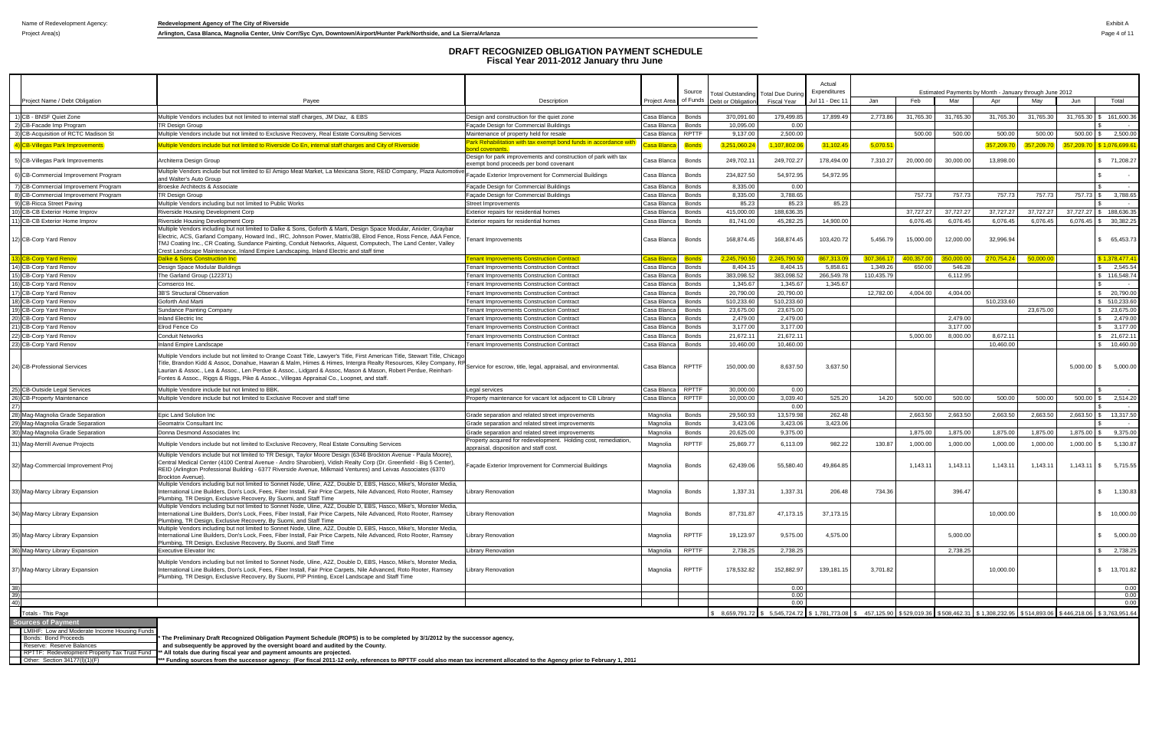Project Area(s) **Arlington, Casa Blanca, Magnolia Center, Univ Corr/Syc Cyn, Downtown/Airport/Hunter Park/Northside, and La Sierra/Arlanza Park/Northside, and La Sierra/Arlanza Park/Northside, and La Sierra/Arlanza Page 4** 

| Expenditures<br>Source<br>Total Outstanding Total Due Durino<br>of Funds<br>Feb<br>Mar<br>Project Name / Debt Obligation<br>Payee<br>Description<br>Debt or Obligation<br>Jul 11 - Dec 1<br>Jan<br>Apr<br><b>Project Area</b><br>Fiscal Year<br>1) CB - BNSF Quiet Zone<br>17,899.49<br>31,765.30<br>31,765.30<br>Multiple Vendors includes but not limited to internal staff charges, JM Diaz, & EBS<br>Casa Blanca<br><b>Bonds</b><br>370,091.60<br>179,499.85<br>2,773.86<br>31,765.30<br>Design and construction for the quiet zone<br>10,095.00<br>0.00<br><b>Bonds</b><br>TR Design Group<br>Facade Design for Commercial Buildings<br>Casa Blanca<br><b>RPTTF</b><br>500.00<br>3) CB-Acquisition of RCTC Madison St<br>Multiple Vendors include but not limited to Exclusive Recovery, Real Estate Consulting Services<br>9,137.00<br>2,500.00<br>500.00<br>Maintenance of property held for resale<br>Casa Blanca<br>Park Rehabilitation with tax exempt bond funds in accordance with<br>4) CB-Villegas Park Improvements<br>Multiple Vendors include but not limited to Riverside Co En, internal staff charges and City of Riverside<br><b>Bonds</b><br>3,251,060.2<br>,107,802.0<br>31,102.45<br>5,070.51<br>357,209.7<br>tasa Blanca<br>ond covenants.<br>Design for park improvements and construction of park with tax<br>5) CB-Villegas Park Improvements<br>249,702.1<br>249,702.27<br>178,494.00<br>7,310.27<br>20,000.00<br>30,000.00<br>Architerra Design Group<br>Casa Blanca<br><b>Bonds</b><br>xempt bond proceeds per bond covenant<br>Multiple Vendors include but not limited to El Amigo Meat Market, La Mexicana Store, REID Company, Plaza Automotive<br>234,827.50<br>54,972.95<br>54,972.95<br>6) CB-Commercial Improvement Program<br>acade Exterior Improvement for Commercial Buildings<br>Casa Blanca<br>Bonds<br>and Walter's Auto Group<br>7) CB-Commercial Improvement Program<br>8,335.00<br>0.00<br>Broeske Architects & Associate<br>Façade Design for Commercial Buildings<br>Casa Blanca<br><b>Bonds</b><br>8) CB-Commercial Improvement Program<br><b>Bonds</b><br>8,335.00<br>3,788.65<br>757.73<br>757.73<br>TR Design Group<br>Façade Design for Commercial Buildings<br>Casa Blanca<br>85.23<br>85.23<br>9) CB-Ricca Street Paving<br>Multiple Vendors including but not limited to Public Works<br><b>Bonds</b><br>85.23<br><b>Street Improvements</b><br>Casa Blanca<br>415,000.00<br>188,636.35<br>37,727.27<br>37,727.27<br>10) CB-CB Exterior Home Improv<br>Riverside Housing Development Corp<br><b>Bonds</b><br>Exterior repairs for residential homes<br>Casa Blanca<br>6,076.45<br>11) CB-CB Exterior Home Improv<br>Riverside Housing Development Corp<br>81,741.00<br>45,282.25<br>14,900.00<br>6,076.45<br>Exterior repairs for residential homes<br>Casa Blanca<br>Bonds<br>Multiple Vendors including but not limited to Dalke & Sons, Goforth & Marti, Design Space Modular, Anixter, Graybar<br>Electric, ACS, Garland Company, Howard Ind., IRC, Johnson Power, Matrix/3B, Elrod Fence, Ross Fence, A&A Fence,<br>168,874.45<br>168,874.45<br>103,420.72<br>5,456.79<br>12,000.00<br>12) CB-Corp Yard Renov<br>15,000.00<br>enant Improvements<br>Casa Blanca<br>Bonds<br>TMJ Coating Inc., CR Coating, Sundance Painting, Conduit Networks, Alquest, Computech, The Land Center, Valley<br>Crest Landscape Maintenance, Inland Empire Landscaping, Inland Electric and staff time<br>2,245,790.<br>867,313.<br>3) CB-Corp Yard Renov<br>Dalke & Sons Construction Inc<br><b>Tenant Improvements Construction Contract</b><br>2,245,790.<br>307,366.1<br>400,357.00<br>350,000.<br>asa Blanca,<br><b>Bonds</b><br>8,404.15<br>5,858.61<br>650.00<br>Design Space Modular Buildings<br><b>Tenant Improvements Construction Contract</b><br><b>Bonds</b><br>8,404.1<br>1,349.26<br>546.28<br>Casa Blanca<br>383,098.52<br>383,098.52<br>266,549.78<br>110,435.79<br>6,112.95<br><b>Bonds</b><br>The Garland Group (122371)<br><b>Tenant Improvements Construction Contract</b><br>Casa Blanca<br>1,345.67<br>1,345.67<br>1,345.67<br><b>Tenant Improvements Construction Contract</b><br>Casa Blanca<br><b>Bonds</b><br>Comserco Inc.<br>20,790.00<br>20,790.00<br>4,004.00<br>4,004.00<br>3B'S Structural Observation<br>12,782.00<br><b>Tenant Improvements Construction Contract</b><br>Casa Blanca<br><b>Bonds</b><br>510,233.60<br>510,233.60<br>Goforth And Marti<br><b>Tenant Improvements Construction Contract</b><br>Casa Blanca<br><b>Bonds</b><br>23,675.00<br>19) CB-Corp Yard Renov<br>23,675.00<br>Sundance Painting Company<br><b>Tenant Improvements Construction Contract</b><br>Casa Blanca<br><b>Bonds</b><br>2,479.00<br>2,479.00<br>Inland Electric Inc<br><b>Bonds</b><br>2,479.00<br><b>Tenant Improvements Construction Contract</b><br>Casa Blanca<br>3,177.00<br>Elrod Fence Co<br>3,177.00<br>3,177.00<br><b>Tenant Improvements Construction Contract</b><br>Casa Blanca<br><b>Bonds</b><br><b>Bonds</b><br>21,672.1<br>21,672.11<br>5,000.00<br>8,000.00<br><b>Conduit Networks</b><br><b>Tenant Improvements Construction Contract</b><br>Casa Blanca<br><b>Bonds</b><br>10,460.00<br><b>Tenant Improvements Construction Contract</b><br>Casa Blanca<br>10,460.00<br>Inland Empire Landscape<br>Multiple Vendors include but not limited to Orange Coast Title, Lawyer's Title, First American Title, Stewart Title, Chicago<br>Title, Brandon Kidd & Assoc, Donahue, Hawran & Malm, Himes & Himes, Intergra Realty Resources, Kiley Company, RF<br>150,000.00<br>8,637.50<br>3,637.50<br><b>RPTTF</b><br>Service for escrow, title, legal, appraisal, and environmental.<br>Casa Blanca<br>Laurian & Assoc., Lea & Assoc., Len Perdue & Assoc., Lidgard & Assoc, Mason & Mason, Robert Perdue, Reinhart-<br>Fontes & Assoc., Riggs & Riggs, Pike & Assoc., Villegas Appraisal Co., Loopnet, and staff.<br>Multiple Vendore include but not limited to BBK.<br><b>RPTTF</b><br>30,000.00<br>0.00<br>Casa Blanca<br>Legal services<br>10,000.00<br>3,039.40<br>525.20<br>500.00<br>Multiple Vendore include but not limited to Exclusive Recover and staff time<br><b>RPTTF</b><br>14.20<br>500.00<br>Property maintenance for vacant lot adjacent to CB Library<br>Casa Blanca<br>0.00<br>29,560.93<br>13,579.98<br>262.48<br>2,663.50<br>2,663.50<br>Epic Land Solution Inc.<br><b>Bonds</b><br>2,663.50<br>Grade separation and related street improvements<br>Magnolia<br>3,423.06<br>3,423.06<br>3,423.06<br>Geomatrix Consultant Inc<br>Grade separation and related street improvements<br>Magnolia<br>Bonds<br>20,625.00<br>9,375.00<br>1,875.00<br>1,875.00<br>1,875.00<br>Donna Desmond Associates Inc<br>Grade separation and related street improvements<br>Magnolia<br>Bonds<br>Property acquired for redevelopment. Holding cost, remediation<br>25,869.77<br>31) Mag-Merrill Avenue Projects<br><b>RPTTF</b><br>6,113.09<br>982.22<br>130.87<br>1,000.00<br>1,000.00<br>Multiple Vendors include but not limited to Exclusive Recovery, Real Estate Consulting Services<br>Magnolia<br>appraisal, disposition and staff cost<br>Multiple Vendors include but not limited to TR Design, Taylor Moore Design (6346 Brockton Avenue - Paula Moore),<br>Central Medical Center (4100 Central Avenue - Andro Sharobien), Vidish Realty Corp (Dr. Greenfield - Big 5 Center)<br>55,580.40<br>62,439.06<br>49,864.85<br>1,143.11<br>1,143.11<br>açade Exterior Improvement for Commercial Buildings<br>Bonds<br>Magnolia<br>REID (Arlington Professional Building - 6377 Riverside Avenue, Milkmaid Ventures) and Leivas Associates (6370<br>Brockton Avenue)<br>Multiple Vendors including but not limited to Sonnet Node, Uline, A2Z, Double D, EBS, Hasco, Mike's, Monster Media<br>International Line Builders, Don's Lock, Fees, Fiber Install, Fair Price Carpets, Nile Advanced, Roto Rooter, Ramsey<br>1,337.31<br>1,337.31<br>206.48<br><b>Library Renovation</b><br>Magnolia<br>734.36<br>396.47<br>Bonds<br>Plumbing, TR Design, Exclusive Recovery, By Suomi, and Staff Time<br>Multiple Vendors including but not limited to Sonnet Node, Uline, A2Z, Double D, EBS, Hasco, Mike's, Monster Media,<br>International Line Builders, Don's Lock, Fees, Fiber Install, Fair Price Carpets, Nile Advanced, Roto Rooter, Ramsey<br>87,731.87<br>47,173.15<br>37,173.15<br><b>Library Renovation</b><br>Magnolia<br><b>Bonds</b><br>Plumbing, TR Design, Exclusive Recovery, By Suomi, and Staff Time<br>Multiple Vendors including but not limited to Sonnet Node, Uline, A2Z, Double D, EBS, Hasco, Mike's, Monster Media,<br><b>RPTTF</b><br>International Line Builders, Don's Lock, Fees, Fiber Install, Fair Price Carpets, Nile Advanced, Roto Rooter, Ramsey<br>19,123.97<br>9,575.00<br>4,575.00<br>5,000.00<br>ibrary Renovation<br>Magnolia<br>Plumbing, TR Design, Exclusive Recovery, By Suomi, and Staff Time<br><b>Executive Elevator Inc</b><br><b>Library Renovation</b><br><b>RPTTF</b><br>2,738.25<br>2,738.25<br>Magnolia<br>2,738.25<br>Multiple Vendors including but not limited to Sonnet Node, Uline, A2Z, Double D, EBS, Hasco, Mike's, Monster Media<br>International Line Builders, Don's Lock, Fees, Fiber Install, Fair Price Carpets, Nile Advanced, Roto Rooter, Ramsey<br>ibrary Renovation<br>RPTTF<br>178,532.82<br>152,882.97<br>139,181.15<br>3,701.82<br>Magnolia<br>Plumbing, TR Design, Exclusive Recovery, By Suomi, PIP Printing, Excel Landscape and Staff Time<br>0.00<br>0.00<br>0.00<br>$$8,659,791.72$ $$5,545,724.72$ $$1,781,773.08$ $$$<br>Totals - This Page<br>LMIHF: Low and Moderate Income Housing Funds<br>Bonds: Bond Proceeds<br>The Preliminary Draft Recognized Obligation Payment Schedule (ROPS) is to be completed by 3/1/2012 by the successor agency,<br>Reserve: Reserve Balances<br>and subsequently be approved by the oversight board and audited by the County.<br>RPTTF: Redevelopment Property Tax Trust Fund |                                                                                              |  | Actual |  |  |                                                                         |  |
|-----------------------------------------------------------------------------------------------------------------------------------------------------------------------------------------------------------------------------------------------------------------------------------------------------------------------------------------------------------------------------------------------------------------------------------------------------------------------------------------------------------------------------------------------------------------------------------------------------------------------------------------------------------------------------------------------------------------------------------------------------------------------------------------------------------------------------------------------------------------------------------------------------------------------------------------------------------------------------------------------------------------------------------------------------------------------------------------------------------------------------------------------------------------------------------------------------------------------------------------------------------------------------------------------------------------------------------------------------------------------------------------------------------------------------------------------------------------------------------------------------------------------------------------------------------------------------------------------------------------------------------------------------------------------------------------------------------------------------------------------------------------------------------------------------------------------------------------------------------------------------------------------------------------------------------------------------------------------------------------------------------------------------------------------------------------------------------------------------------------------------------------------------------------------------------------------------------------------------------------------------------------------------------------------------------------------------------------------------------------------------------------------------------------------------------------------------------------------------------------------------------------------------------------------------------------------------------------------------------------------------------------------------------------------------------------------------------------------------------------------------------------------------------------------------------------------------------------------------------------------------------------------------------------------------------------------------------------------------------------------------------------------------------------------------------------------------------------------------------------------------------------------------------------------------------------------------------------------------------------------------------------------------------------------------------------------------------------------------------------------------------------------------------------------------------------------------------------------------------------------------------------------------------------------------------------------------------------------------------------------------------------------------------------------------------------------------------------------------------------------------------------------------------------------------------------------------------------------------------------------------------------------------------------------------------------------------------------------------------------------------------------------------------------------------------------------------------------------------------------------------------------------------------------------------------------------------------------------------------------------------------------------------------------------------------------------------------------------------------------------------------------------------------------------------------------------------------------------------------------------------------------------------------------------------------------------------------------------------------------------------------------------------------------------------------------------------------------------------------------------------------------------------------------------------------------------------------------------------------------------------------------------------------------------------------------------------------------------------------------------------------------------------------------------------------------------------------------------------------------------------------------------------------------------------------------------------------------------------------------------------------------------------------------------------------------------------------------------------------------------------------------------------------------------------------------------------------------------------------------------------------------------------------------------------------------------------------------------------------------------------------------------------------------------------------------------------------------------------------------------------------------------------------------------------------------------------------------------------------------------------------------------------------------------------------------------------------------------------------------------------------------------------------------------------------------------------------------------------------------------------------------------------------------------------------------------------------------------------------------------------------------------------------------------------------------------------------------------------------------------------------------------------------------------------------------------------------------------------------------------------------------------------------------------------------------------------------------------------------------------------------------------------------------------------------------------------------------------------------------------------------------------------------------------------------------------------------------------------------------------------------------------------------------------------------------------------------------------------------------------------------------------------------------------------------------------------------------------------------------------------------------------------------------------------------------------------------------------------------------------------------------------------------------------------------------------------------------------------------------------------------------------------------------------------------------------------------------------------------------------------------------------------------------------------------------------------------------------------------------------------------------------------------------------------------------------------------------------------------------------------------------------------------------------------------------------------------------------------------------------------------------------------------------------------------------------------------------------------------------------------------------------------------------------------------------------------------------------------------------------------------------------------------------------------------------------------------------------------------------------------------------------------------------------------------------------------------------------------------------------------------------------------------------------------------------------------------------------------------------------------------------------------------------------------------------------------------------------------------------------------------------------------------------------------------------------------------------------------------------------------------------------------------------------------------------------------------------------------------------------------------------------------------------------------------------------------------------------------------------------------------------------------------------------------------------------------------------------------------------------------------------------------------------------------------------------------------------------------------------------------------------------------------------------------------------------------------------------------------------------------------------------------------------------------------------------------------------------------------------------------------------------------------------------------------------------------------------------------------------------------------------------------------------------------------------------------------------------------------------------------------------------------------------------------------------------------------------------------------------------------------------------------------------------------------------------------------------------------------------------------|----------------------------------------------------------------------------------------------|--|--------|--|--|-------------------------------------------------------------------------|--|
|                                                                                                                                                                                                                                                                                                                                                                                                                                                                                                                                                                                                                                                                                                                                                                                                                                                                                                                                                                                                                                                                                                                                                                                                                                                                                                                                                                                                                                                                                                                                                                                                                                                                                                                                                                                                                                                                                                                                                                                                                                                                                                                                                                                                                                                                                                                                                                                                                                                                                                                                                                                                                                                                                                                                                                                                                                                                                                                                                                                                                                                                                                                                                                                                                                                                                                                                                                                                                                                                                                                                                                                                                                                                                                                                                                                                                                                                                                                                                                                                                                                                                                                                                                                                                                                                                                                                                                                                                                                                                                                                                                                                                                                                                                                                                                                                                                                                                                                                                                                                                                                                                                                                                                                                                                                                                                                                                                                                                                                                                                                                                                                                                                                                                                                                                                                                                                                                                                                                                                                                                                                                                                                                                                                                                                                                                                                                                                                                                                                                                                                                                                                                                                                                                                                                                                                                                                                                                                                                                                                                                                                                                                                                                                                                                                                                                                                                                                                                                                                                                                                                                                                                                                                                                                                                                                                                                                                                                                                                                                                                                                                                                                                                                                                                                                                                                                                                                                                                                                                                                                                                                                                                                                                                                                                                                                                                                                                                                                                                                                                                                                                                                                                                                                                                                                                                                                                                                                                                                                                                                                                                                                                                                                                                                                                                                                                                                                                                                                                                                                                                     | Estimated Payments by Month - January through June 2012                                      |  |        |  |  |                                                                         |  |
|                                                                                                                                                                                                                                                                                                                                                                                                                                                                                                                                                                                                                                                                                                                                                                                                                                                                                                                                                                                                                                                                                                                                                                                                                                                                                                                                                                                                                                                                                                                                                                                                                                                                                                                                                                                                                                                                                                                                                                                                                                                                                                                                                                                                                                                                                                                                                                                                                                                                                                                                                                                                                                                                                                                                                                                                                                                                                                                                                                                                                                                                                                                                                                                                                                                                                                                                                                                                                                                                                                                                                                                                                                                                                                                                                                                                                                                                                                                                                                                                                                                                                                                                                                                                                                                                                                                                                                                                                                                                                                                                                                                                                                                                                                                                                                                                                                                                                                                                                                                                                                                                                                                                                                                                                                                                                                                                                                                                                                                                                                                                                                                                                                                                                                                                                                                                                                                                                                                                                                                                                                                                                                                                                                                                                                                                                                                                                                                                                                                                                                                                                                                                                                                                                                                                                                                                                                                                                                                                                                                                                                                                                                                                                                                                                                                                                                                                                                                                                                                                                                                                                                                                                                                                                                                                                                                                                                                                                                                                                                                                                                                                                                                                                                                                                                                                                                                                                                                                                                                                                                                                                                                                                                                                                                                                                                                                                                                                                                                                                                                                                                                                                                                                                                                                                                                                                                                                                                                                                                                                                                                                                                                                                                                                                                                                                                                                                                                                                                                                                                                                     | May<br>Total<br>Jun                                                                          |  |        |  |  |                                                                         |  |
| 2) CB-Facade Imp Program                                                                                                                                                                                                                                                                                                                                                                                                                                                                                                                                                                                                                                                                                                                                                                                                                                                                                                                                                                                                                                                                                                                                                                                                                                                                                                                                                                                                                                                                                                                                                                                                                                                                                                                                                                                                                                                                                                                                                                                                                                                                                                                                                                                                                                                                                                                                                                                                                                                                                                                                                                                                                                                                                                                                                                                                                                                                                                                                                                                                                                                                                                                                                                                                                                                                                                                                                                                                                                                                                                                                                                                                                                                                                                                                                                                                                                                                                                                                                                                                                                                                                                                                                                                                                                                                                                                                                                                                                                                                                                                                                                                                                                                                                                                                                                                                                                                                                                                                                                                                                                                                                                                                                                                                                                                                                                                                                                                                                                                                                                                                                                                                                                                                                                                                                                                                                                                                                                                                                                                                                                                                                                                                                                                                                                                                                                                                                                                                                                                                                                                                                                                                                                                                                                                                                                                                                                                                                                                                                                                                                                                                                                                                                                                                                                                                                                                                                                                                                                                                                                                                                                                                                                                                                                                                                                                                                                                                                                                                                                                                                                                                                                                                                                                                                                                                                                                                                                                                                                                                                                                                                                                                                                                                                                                                                                                                                                                                                                                                                                                                                                                                                                                                                                                                                                                                                                                                                                                                                                                                                                                                                                                                                                                                                                                                                                                                                                                                                                                                                                            | 31,765.30<br>31,765.30<br>161,600.36                                                         |  |        |  |  |                                                                         |  |
|                                                                                                                                                                                                                                                                                                                                                                                                                                                                                                                                                                                                                                                                                                                                                                                                                                                                                                                                                                                                                                                                                                                                                                                                                                                                                                                                                                                                                                                                                                                                                                                                                                                                                                                                                                                                                                                                                                                                                                                                                                                                                                                                                                                                                                                                                                                                                                                                                                                                                                                                                                                                                                                                                                                                                                                                                                                                                                                                                                                                                                                                                                                                                                                                                                                                                                                                                                                                                                                                                                                                                                                                                                                                                                                                                                                                                                                                                                                                                                                                                                                                                                                                                                                                                                                                                                                                                                                                                                                                                                                                                                                                                                                                                                                                                                                                                                                                                                                                                                                                                                                                                                                                                                                                                                                                                                                                                                                                                                                                                                                                                                                                                                                                                                                                                                                                                                                                                                                                                                                                                                                                                                                                                                                                                                                                                                                                                                                                                                                                                                                                                                                                                                                                                                                                                                                                                                                                                                                                                                                                                                                                                                                                                                                                                                                                                                                                                                                                                                                                                                                                                                                                                                                                                                                                                                                                                                                                                                                                                                                                                                                                                                                                                                                                                                                                                                                                                                                                                                                                                                                                                                                                                                                                                                                                                                                                                                                                                                                                                                                                                                                                                                                                                                                                                                                                                                                                                                                                                                                                                                                                                                                                                                                                                                                                                                                                                                                                                                                                                                                                     |                                                                                              |  |        |  |  |                                                                         |  |
| 14) CB-Corp Yard Renov<br>15) CB-Corp Yard Renov<br>16) CB-Corp Yard Renov<br>17) CB-Corp Yard Renov<br>18) CB-Corp Yard Renov<br>20) CB-Corp Yard Renov<br>21) CB-Corp Yard Renov<br>22) CB-Corp Yard Renov<br>23) CB-Corp Yard Renov<br>24) CB-Professional Services<br>25) CB-Outside Legal Services<br>26) CB-Property Maintenance<br>28) Mag-Magnolia Grade Separation<br>29) Mag-Magnolia Grade Separation<br>30) Mag-Magnolia Grade Separation<br>32) Mag-Commercial Improvement Proj<br>33) Mag-Marcy Library Expansion<br>34) Mag-Marcy Library Expansion<br>35) Mag-Marcy Library Expansion<br>36) Mag-Marcy Library Expansion<br>37) Mag-Marcy Library Expansion<br>39)<br>40)<br><b>Sources of Payment</b>                                                                                                                                                                                                                                                                                                                                                                                                                                                                                                                                                                                                                                                                                                                                                                                                                                                                                                                                                                                                                                                                                                                                                                                                                                                                                                                                                                                                                                                                                                                                                                                                                                                                                                                                                                                                                                                                                                                                                                                                                                                                                                                                                                                                                                                                                                                                                                                                                                                                                                                                                                                                                                                                                                                                                                                                                                                                                                                                                                                                                                                                                                                                                                                                                                                                                                                                                                                                                                                                                                                                                                                                                                                                                                                                                                                                                                                                                                                                                                                                                                                                                                                                                                                                                                                                                                                                                                                                                                                                                                                                                                                                                                                                                                                                                                                                                                                                                                                                                                                                                                                                                                                                                                                                                                                                                                                                                                                                                                                                                                                                                                                                                                                                                                                                                                                                                                                                                                                                                                                                                                                                                                                                                                                                                                                                                                                                                                                                                                                                                                                                                                                                                                                                                                                                                                                                                                                                                                                                                                                                                                                                                                                                                                                                                                                                                                                                                                                                                                                                                                                                                                                                                                                                                                                                                                                                                                                                                                                                                                                                                                                                                                                                                                                                                                                                                                                                                                                                                                                                                                                                                                                                                                                                                                                                                                                                                                                                                                                                                                                                                                                                                                                                                                                                                                                                              | 500.00<br>500.00<br>500.00<br>2,500.00                                                       |  |        |  |  |                                                                         |  |
|                                                                                                                                                                                                                                                                                                                                                                                                                                                                                                                                                                                                                                                                                                                                                                                                                                                                                                                                                                                                                                                                                                                                                                                                                                                                                                                                                                                                                                                                                                                                                                                                                                                                                                                                                                                                                                                                                                                                                                                                                                                                                                                                                                                                                                                                                                                                                                                                                                                                                                                                                                                                                                                                                                                                                                                                                                                                                                                                                                                                                                                                                                                                                                                                                                                                                                                                                                                                                                                                                                                                                                                                                                                                                                                                                                                                                                                                                                                                                                                                                                                                                                                                                                                                                                                                                                                                                                                                                                                                                                                                                                                                                                                                                                                                                                                                                                                                                                                                                                                                                                                                                                                                                                                                                                                                                                                                                                                                                                                                                                                                                                                                                                                                                                                                                                                                                                                                                                                                                                                                                                                                                                                                                                                                                                                                                                                                                                                                                                                                                                                                                                                                                                                                                                                                                                                                                                                                                                                                                                                                                                                                                                                                                                                                                                                                                                                                                                                                                                                                                                                                                                                                                                                                                                                                                                                                                                                                                                                                                                                                                                                                                                                                                                                                                                                                                                                                                                                                                                                                                                                                                                                                                                                                                                                                                                                                                                                                                                                                                                                                                                                                                                                                                                                                                                                                                                                                                                                                                                                                                                                                                                                                                                                                                                                                                                                                                                                                                                                                                                                                     |                                                                                              |  |        |  |  |                                                                         |  |
|                                                                                                                                                                                                                                                                                                                                                                                                                                                                                                                                                                                                                                                                                                                                                                                                                                                                                                                                                                                                                                                                                                                                                                                                                                                                                                                                                                                                                                                                                                                                                                                                                                                                                                                                                                                                                                                                                                                                                                                                                                                                                                                                                                                                                                                                                                                                                                                                                                                                                                                                                                                                                                                                                                                                                                                                                                                                                                                                                                                                                                                                                                                                                                                                                                                                                                                                                                                                                                                                                                                                                                                                                                                                                                                                                                                                                                                                                                                                                                                                                                                                                                                                                                                                                                                                                                                                                                                                                                                                                                                                                                                                                                                                                                                                                                                                                                                                                                                                                                                                                                                                                                                                                                                                                                                                                                                                                                                                                                                                                                                                                                                                                                                                                                                                                                                                                                                                                                                                                                                                                                                                                                                                                                                                                                                                                                                                                                                                                                                                                                                                                                                                                                                                                                                                                                                                                                                                                                                                                                                                                                                                                                                                                                                                                                                                                                                                                                                                                                                                                                                                                                                                                                                                                                                                                                                                                                                                                                                                                                                                                                                                                                                                                                                                                                                                                                                                                                                                                                                                                                                                                                                                                                                                                                                                                                                                                                                                                                                                                                                                                                                                                                                                                                                                                                                                                                                                                                                                                                                                                                                                                                                                                                                                                                                                                                                                                                                                                                                                                                                                     | 357,209.7<br><mark>357,209.70</mark><br>\$1,076,699.61                                       |  |        |  |  |                                                                         |  |
|                                                                                                                                                                                                                                                                                                                                                                                                                                                                                                                                                                                                                                                                                                                                                                                                                                                                                                                                                                                                                                                                                                                                                                                                                                                                                                                                                                                                                                                                                                                                                                                                                                                                                                                                                                                                                                                                                                                                                                                                                                                                                                                                                                                                                                                                                                                                                                                                                                                                                                                                                                                                                                                                                                                                                                                                                                                                                                                                                                                                                                                                                                                                                                                                                                                                                                                                                                                                                                                                                                                                                                                                                                                                                                                                                                                                                                                                                                                                                                                                                                                                                                                                                                                                                                                                                                                                                                                                                                                                                                                                                                                                                                                                                                                                                                                                                                                                                                                                                                                                                                                                                                                                                                                                                                                                                                                                                                                                                                                                                                                                                                                                                                                                                                                                                                                                                                                                                                                                                                                                                                                                                                                                                                                                                                                                                                                                                                                                                                                                                                                                                                                                                                                                                                                                                                                                                                                                                                                                                                                                                                                                                                                                                                                                                                                                                                                                                                                                                                                                                                                                                                                                                                                                                                                                                                                                                                                                                                                                                                                                                                                                                                                                                                                                                                                                                                                                                                                                                                                                                                                                                                                                                                                                                                                                                                                                                                                                                                                                                                                                                                                                                                                                                                                                                                                                                                                                                                                                                                                                                                                                                                                                                                                                                                                                                                                                                                                                                                                                                                                                     | 13,898.00<br>\$71,208.27                                                                     |  |        |  |  |                                                                         |  |
|                                                                                                                                                                                                                                                                                                                                                                                                                                                                                                                                                                                                                                                                                                                                                                                                                                                                                                                                                                                                                                                                                                                                                                                                                                                                                                                                                                                                                                                                                                                                                                                                                                                                                                                                                                                                                                                                                                                                                                                                                                                                                                                                                                                                                                                                                                                                                                                                                                                                                                                                                                                                                                                                                                                                                                                                                                                                                                                                                                                                                                                                                                                                                                                                                                                                                                                                                                                                                                                                                                                                                                                                                                                                                                                                                                                                                                                                                                                                                                                                                                                                                                                                                                                                                                                                                                                                                                                                                                                                                                                                                                                                                                                                                                                                                                                                                                                                                                                                                                                                                                                                                                                                                                                                                                                                                                                                                                                                                                                                                                                                                                                                                                                                                                                                                                                                                                                                                                                                                                                                                                                                                                                                                                                                                                                                                                                                                                                                                                                                                                                                                                                                                                                                                                                                                                                                                                                                                                                                                                                                                                                                                                                                                                                                                                                                                                                                                                                                                                                                                                                                                                                                                                                                                                                                                                                                                                                                                                                                                                                                                                                                                                                                                                                                                                                                                                                                                                                                                                                                                                                                                                                                                                                                                                                                                                                                                                                                                                                                                                                                                                                                                                                                                                                                                                                                                                                                                                                                                                                                                                                                                                                                                                                                                                                                                                                                                                                                                                                                                                                                     |                                                                                              |  |        |  |  |                                                                         |  |
|                                                                                                                                                                                                                                                                                                                                                                                                                                                                                                                                                                                                                                                                                                                                                                                                                                                                                                                                                                                                                                                                                                                                                                                                                                                                                                                                                                                                                                                                                                                                                                                                                                                                                                                                                                                                                                                                                                                                                                                                                                                                                                                                                                                                                                                                                                                                                                                                                                                                                                                                                                                                                                                                                                                                                                                                                                                                                                                                                                                                                                                                                                                                                                                                                                                                                                                                                                                                                                                                                                                                                                                                                                                                                                                                                                                                                                                                                                                                                                                                                                                                                                                                                                                                                                                                                                                                                                                                                                                                                                                                                                                                                                                                                                                                                                                                                                                                                                                                                                                                                                                                                                                                                                                                                                                                                                                                                                                                                                                                                                                                                                                                                                                                                                                                                                                                                                                                                                                                                                                                                                                                                                                                                                                                                                                                                                                                                                                                                                                                                                                                                                                                                                                                                                                                                                                                                                                                                                                                                                                                                                                                                                                                                                                                                                                                                                                                                                                                                                                                                                                                                                                                                                                                                                                                                                                                                                                                                                                                                                                                                                                                                                                                                                                                                                                                                                                                                                                                                                                                                                                                                                                                                                                                                                                                                                                                                                                                                                                                                                                                                                                                                                                                                                                                                                                                                                                                                                                                                                                                                                                                                                                                                                                                                                                                                                                                                                                                                                                                                                                                     |                                                                                              |  |        |  |  |                                                                         |  |
|                                                                                                                                                                                                                                                                                                                                                                                                                                                                                                                                                                                                                                                                                                                                                                                                                                                                                                                                                                                                                                                                                                                                                                                                                                                                                                                                                                                                                                                                                                                                                                                                                                                                                                                                                                                                                                                                                                                                                                                                                                                                                                                                                                                                                                                                                                                                                                                                                                                                                                                                                                                                                                                                                                                                                                                                                                                                                                                                                                                                                                                                                                                                                                                                                                                                                                                                                                                                                                                                                                                                                                                                                                                                                                                                                                                                                                                                                                                                                                                                                                                                                                                                                                                                                                                                                                                                                                                                                                                                                                                                                                                                                                                                                                                                                                                                                                                                                                                                                                                                                                                                                                                                                                                                                                                                                                                                                                                                                                                                                                                                                                                                                                                                                                                                                                                                                                                                                                                                                                                                                                                                                                                                                                                                                                                                                                                                                                                                                                                                                                                                                                                                                                                                                                                                                                                                                                                                                                                                                                                                                                                                                                                                                                                                                                                                                                                                                                                                                                                                                                                                                                                                                                                                                                                                                                                                                                                                                                                                                                                                                                                                                                                                                                                                                                                                                                                                                                                                                                                                                                                                                                                                                                                                                                                                                                                                                                                                                                                                                                                                                                                                                                                                                                                                                                                                                                                                                                                                                                                                                                                                                                                                                                                                                                                                                                                                                                                                                                                                                                                                     | 757.73<br>757.73<br>757.73 \$<br>3,788.65                                                    |  |        |  |  |                                                                         |  |
|                                                                                                                                                                                                                                                                                                                                                                                                                                                                                                                                                                                                                                                                                                                                                                                                                                                                                                                                                                                                                                                                                                                                                                                                                                                                                                                                                                                                                                                                                                                                                                                                                                                                                                                                                                                                                                                                                                                                                                                                                                                                                                                                                                                                                                                                                                                                                                                                                                                                                                                                                                                                                                                                                                                                                                                                                                                                                                                                                                                                                                                                                                                                                                                                                                                                                                                                                                                                                                                                                                                                                                                                                                                                                                                                                                                                                                                                                                                                                                                                                                                                                                                                                                                                                                                                                                                                                                                                                                                                                                                                                                                                                                                                                                                                                                                                                                                                                                                                                                                                                                                                                                                                                                                                                                                                                                                                                                                                                                                                                                                                                                                                                                                                                                                                                                                                                                                                                                                                                                                                                                                                                                                                                                                                                                                                                                                                                                                                                                                                                                                                                                                                                                                                                                                                                                                                                                                                                                                                                                                                                                                                                                                                                                                                                                                                                                                                                                                                                                                                                                                                                                                                                                                                                                                                                                                                                                                                                                                                                                                                                                                                                                                                                                                                                                                                                                                                                                                                                                                                                                                                                                                                                                                                                                                                                                                                                                                                                                                                                                                                                                                                                                                                                                                                                                                                                                                                                                                                                                                                                                                                                                                                                                                                                                                                                                                                                                                                                                                                                                                                     |                                                                                              |  |        |  |  |                                                                         |  |
|                                                                                                                                                                                                                                                                                                                                                                                                                                                                                                                                                                                                                                                                                                                                                                                                                                                                                                                                                                                                                                                                                                                                                                                                                                                                                                                                                                                                                                                                                                                                                                                                                                                                                                                                                                                                                                                                                                                                                                                                                                                                                                                                                                                                                                                                                                                                                                                                                                                                                                                                                                                                                                                                                                                                                                                                                                                                                                                                                                                                                                                                                                                                                                                                                                                                                                                                                                                                                                                                                                                                                                                                                                                                                                                                                                                                                                                                                                                                                                                                                                                                                                                                                                                                                                                                                                                                                                                                                                                                                                                                                                                                                                                                                                                                                                                                                                                                                                                                                                                                                                                                                                                                                                                                                                                                                                                                                                                                                                                                                                                                                                                                                                                                                                                                                                                                                                                                                                                                                                                                                                                                                                                                                                                                                                                                                                                                                                                                                                                                                                                                                                                                                                                                                                                                                                                                                                                                                                                                                                                                                                                                                                                                                                                                                                                                                                                                                                                                                                                                                                                                                                                                                                                                                                                                                                                                                                                                                                                                                                                                                                                                                                                                                                                                                                                                                                                                                                                                                                                                                                                                                                                                                                                                                                                                                                                                                                                                                                                                                                                                                                                                                                                                                                                                                                                                                                                                                                                                                                                                                                                                                                                                                                                                                                                                                                                                                                                                                                                                                                                                     | 37,727.27<br>37,727.27<br>37,727.27 \$ 188,636.35                                            |  |        |  |  |                                                                         |  |
|                                                                                                                                                                                                                                                                                                                                                                                                                                                                                                                                                                                                                                                                                                                                                                                                                                                                                                                                                                                                                                                                                                                                                                                                                                                                                                                                                                                                                                                                                                                                                                                                                                                                                                                                                                                                                                                                                                                                                                                                                                                                                                                                                                                                                                                                                                                                                                                                                                                                                                                                                                                                                                                                                                                                                                                                                                                                                                                                                                                                                                                                                                                                                                                                                                                                                                                                                                                                                                                                                                                                                                                                                                                                                                                                                                                                                                                                                                                                                                                                                                                                                                                                                                                                                                                                                                                                                                                                                                                                                                                                                                                                                                                                                                                                                                                                                                                                                                                                                                                                                                                                                                                                                                                                                                                                                                                                                                                                                                                                                                                                                                                                                                                                                                                                                                                                                                                                                                                                                                                                                                                                                                                                                                                                                                                                                                                                                                                                                                                                                                                                                                                                                                                                                                                                                                                                                                                                                                                                                                                                                                                                                                                                                                                                                                                                                                                                                                                                                                                                                                                                                                                                                                                                                                                                                                                                                                                                                                                                                                                                                                                                                                                                                                                                                                                                                                                                                                                                                                                                                                                                                                                                                                                                                                                                                                                                                                                                                                                                                                                                                                                                                                                                                                                                                                                                                                                                                                                                                                                                                                                                                                                                                                                                                                                                                                                                                                                                                                                                                                                                     | 6,076.45<br>6,076.45<br>$6,076.45$ \$<br>30,382.2                                            |  |        |  |  |                                                                         |  |
|                                                                                                                                                                                                                                                                                                                                                                                                                                                                                                                                                                                                                                                                                                                                                                                                                                                                                                                                                                                                                                                                                                                                                                                                                                                                                                                                                                                                                                                                                                                                                                                                                                                                                                                                                                                                                                                                                                                                                                                                                                                                                                                                                                                                                                                                                                                                                                                                                                                                                                                                                                                                                                                                                                                                                                                                                                                                                                                                                                                                                                                                                                                                                                                                                                                                                                                                                                                                                                                                                                                                                                                                                                                                                                                                                                                                                                                                                                                                                                                                                                                                                                                                                                                                                                                                                                                                                                                                                                                                                                                                                                                                                                                                                                                                                                                                                                                                                                                                                                                                                                                                                                                                                                                                                                                                                                                                                                                                                                                                                                                                                                                                                                                                                                                                                                                                                                                                                                                                                                                                                                                                                                                                                                                                                                                                                                                                                                                                                                                                                                                                                                                                                                                                                                                                                                                                                                                                                                                                                                                                                                                                                                                                                                                                                                                                                                                                                                                                                                                                                                                                                                                                                                                                                                                                                                                                                                                                                                                                                                                                                                                                                                                                                                                                                                                                                                                                                                                                                                                                                                                                                                                                                                                                                                                                                                                                                                                                                                                                                                                                                                                                                                                                                                                                                                                                                                                                                                                                                                                                                                                                                                                                                                                                                                                                                                                                                                                                                                                                                                                                     | 32,996.94<br>\$65,453.73                                                                     |  |        |  |  |                                                                         |  |
|                                                                                                                                                                                                                                                                                                                                                                                                                                                                                                                                                                                                                                                                                                                                                                                                                                                                                                                                                                                                                                                                                                                                                                                                                                                                                                                                                                                                                                                                                                                                                                                                                                                                                                                                                                                                                                                                                                                                                                                                                                                                                                                                                                                                                                                                                                                                                                                                                                                                                                                                                                                                                                                                                                                                                                                                                                                                                                                                                                                                                                                                                                                                                                                                                                                                                                                                                                                                                                                                                                                                                                                                                                                                                                                                                                                                                                                                                                                                                                                                                                                                                                                                                                                                                                                                                                                                                                                                                                                                                                                                                                                                                                                                                                                                                                                                                                                                                                                                                                                                                                                                                                                                                                                                                                                                                                                                                                                                                                                                                                                                                                                                                                                                                                                                                                                                                                                                                                                                                                                                                                                                                                                                                                                                                                                                                                                                                                                                                                                                                                                                                                                                                                                                                                                                                                                                                                                                                                                                                                                                                                                                                                                                                                                                                                                                                                                                                                                                                                                                                                                                                                                                                                                                                                                                                                                                                                                                                                                                                                                                                                                                                                                                                                                                                                                                                                                                                                                                                                                                                                                                                                                                                                                                                                                                                                                                                                                                                                                                                                                                                                                                                                                                                                                                                                                                                                                                                                                                                                                                                                                                                                                                                                                                                                                                                                                                                                                                                                                                                                                                     | 270,754.2<br>50,000.0<br>\$1,378,477.4                                                       |  |        |  |  |                                                                         |  |
|                                                                                                                                                                                                                                                                                                                                                                                                                                                                                                                                                                                                                                                                                                                                                                                                                                                                                                                                                                                                                                                                                                                                                                                                                                                                                                                                                                                                                                                                                                                                                                                                                                                                                                                                                                                                                                                                                                                                                                                                                                                                                                                                                                                                                                                                                                                                                                                                                                                                                                                                                                                                                                                                                                                                                                                                                                                                                                                                                                                                                                                                                                                                                                                                                                                                                                                                                                                                                                                                                                                                                                                                                                                                                                                                                                                                                                                                                                                                                                                                                                                                                                                                                                                                                                                                                                                                                                                                                                                                                                                                                                                                                                                                                                                                                                                                                                                                                                                                                                                                                                                                                                                                                                                                                                                                                                                                                                                                                                                                                                                                                                                                                                                                                                                                                                                                                                                                                                                                                                                                                                                                                                                                                                                                                                                                                                                                                                                                                                                                                                                                                                                                                                                                                                                                                                                                                                                                                                                                                                                                                                                                                                                                                                                                                                                                                                                                                                                                                                                                                                                                                                                                                                                                                                                                                                                                                                                                                                                                                                                                                                                                                                                                                                                                                                                                                                                                                                                                                                                                                                                                                                                                                                                                                                                                                                                                                                                                                                                                                                                                                                                                                                                                                                                                                                                                                                                                                                                                                                                                                                                                                                                                                                                                                                                                                                                                                                                                                                                                                                                                     | 2,545.54                                                                                     |  |        |  |  |                                                                         |  |
|                                                                                                                                                                                                                                                                                                                                                                                                                                                                                                                                                                                                                                                                                                                                                                                                                                                                                                                                                                                                                                                                                                                                                                                                                                                                                                                                                                                                                                                                                                                                                                                                                                                                                                                                                                                                                                                                                                                                                                                                                                                                                                                                                                                                                                                                                                                                                                                                                                                                                                                                                                                                                                                                                                                                                                                                                                                                                                                                                                                                                                                                                                                                                                                                                                                                                                                                                                                                                                                                                                                                                                                                                                                                                                                                                                                                                                                                                                                                                                                                                                                                                                                                                                                                                                                                                                                                                                                                                                                                                                                                                                                                                                                                                                                                                                                                                                                                                                                                                                                                                                                                                                                                                                                                                                                                                                                                                                                                                                                                                                                                                                                                                                                                                                                                                                                                                                                                                                                                                                                                                                                                                                                                                                                                                                                                                                                                                                                                                                                                                                                                                                                                                                                                                                                                                                                                                                                                                                                                                                                                                                                                                                                                                                                                                                                                                                                                                                                                                                                                                                                                                                                                                                                                                                                                                                                                                                                                                                                                                                                                                                                                                                                                                                                                                                                                                                                                                                                                                                                                                                                                                                                                                                                                                                                                                                                                                                                                                                                                                                                                                                                                                                                                                                                                                                                                                                                                                                                                                                                                                                                                                                                                                                                                                                                                                                                                                                                                                                                                                                                                     | \$ 116,548.74                                                                                |  |        |  |  |                                                                         |  |
|                                                                                                                                                                                                                                                                                                                                                                                                                                                                                                                                                                                                                                                                                                                                                                                                                                                                                                                                                                                                                                                                                                                                                                                                                                                                                                                                                                                                                                                                                                                                                                                                                                                                                                                                                                                                                                                                                                                                                                                                                                                                                                                                                                                                                                                                                                                                                                                                                                                                                                                                                                                                                                                                                                                                                                                                                                                                                                                                                                                                                                                                                                                                                                                                                                                                                                                                                                                                                                                                                                                                                                                                                                                                                                                                                                                                                                                                                                                                                                                                                                                                                                                                                                                                                                                                                                                                                                                                                                                                                                                                                                                                                                                                                                                                                                                                                                                                                                                                                                                                                                                                                                                                                                                                                                                                                                                                                                                                                                                                                                                                                                                                                                                                                                                                                                                                                                                                                                                                                                                                                                                                                                                                                                                                                                                                                                                                                                                                                                                                                                                                                                                                                                                                                                                                                                                                                                                                                                                                                                                                                                                                                                                                                                                                                                                                                                                                                                                                                                                                                                                                                                                                                                                                                                                                                                                                                                                                                                                                                                                                                                                                                                                                                                                                                                                                                                                                                                                                                                                                                                                                                                                                                                                                                                                                                                                                                                                                                                                                                                                                                                                                                                                                                                                                                                                                                                                                                                                                                                                                                                                                                                                                                                                                                                                                                                                                                                                                                                                                                                                                     |                                                                                              |  |        |  |  |                                                                         |  |
|                                                                                                                                                                                                                                                                                                                                                                                                                                                                                                                                                                                                                                                                                                                                                                                                                                                                                                                                                                                                                                                                                                                                                                                                                                                                                                                                                                                                                                                                                                                                                                                                                                                                                                                                                                                                                                                                                                                                                                                                                                                                                                                                                                                                                                                                                                                                                                                                                                                                                                                                                                                                                                                                                                                                                                                                                                                                                                                                                                                                                                                                                                                                                                                                                                                                                                                                                                                                                                                                                                                                                                                                                                                                                                                                                                                                                                                                                                                                                                                                                                                                                                                                                                                                                                                                                                                                                                                                                                                                                                                                                                                                                                                                                                                                                                                                                                                                                                                                                                                                                                                                                                                                                                                                                                                                                                                                                                                                                                                                                                                                                                                                                                                                                                                                                                                                                                                                                                                                                                                                                                                                                                                                                                                                                                                                                                                                                                                                                                                                                                                                                                                                                                                                                                                                                                                                                                                                                                                                                                                                                                                                                                                                                                                                                                                                                                                                                                                                                                                                                                                                                                                                                                                                                                                                                                                                                                                                                                                                                                                                                                                                                                                                                                                                                                                                                                                                                                                                                                                                                                                                                                                                                                                                                                                                                                                                                                                                                                                                                                                                                                                                                                                                                                                                                                                                                                                                                                                                                                                                                                                                                                                                                                                                                                                                                                                                                                                                                                                                                                                                     | 20,790.00                                                                                    |  |        |  |  |                                                                         |  |
|                                                                                                                                                                                                                                                                                                                                                                                                                                                                                                                                                                                                                                                                                                                                                                                                                                                                                                                                                                                                                                                                                                                                                                                                                                                                                                                                                                                                                                                                                                                                                                                                                                                                                                                                                                                                                                                                                                                                                                                                                                                                                                                                                                                                                                                                                                                                                                                                                                                                                                                                                                                                                                                                                                                                                                                                                                                                                                                                                                                                                                                                                                                                                                                                                                                                                                                                                                                                                                                                                                                                                                                                                                                                                                                                                                                                                                                                                                                                                                                                                                                                                                                                                                                                                                                                                                                                                                                                                                                                                                                                                                                                                                                                                                                                                                                                                                                                                                                                                                                                                                                                                                                                                                                                                                                                                                                                                                                                                                                                                                                                                                                                                                                                                                                                                                                                                                                                                                                                                                                                                                                                                                                                                                                                                                                                                                                                                                                                                                                                                                                                                                                                                                                                                                                                                                                                                                                                                                                                                                                                                                                                                                                                                                                                                                                                                                                                                                                                                                                                                                                                                                                                                                                                                                                                                                                                                                                                                                                                                                                                                                                                                                                                                                                                                                                                                                                                                                                                                                                                                                                                                                                                                                                                                                                                                                                                                                                                                                                                                                                                                                                                                                                                                                                                                                                                                                                                                                                                                                                                                                                                                                                                                                                                                                                                                                                                                                                                                                                                                                                                     | 510,233.60<br>\$510,233.60                                                                   |  |        |  |  |                                                                         |  |
|                                                                                                                                                                                                                                                                                                                                                                                                                                                                                                                                                                                                                                                                                                                                                                                                                                                                                                                                                                                                                                                                                                                                                                                                                                                                                                                                                                                                                                                                                                                                                                                                                                                                                                                                                                                                                                                                                                                                                                                                                                                                                                                                                                                                                                                                                                                                                                                                                                                                                                                                                                                                                                                                                                                                                                                                                                                                                                                                                                                                                                                                                                                                                                                                                                                                                                                                                                                                                                                                                                                                                                                                                                                                                                                                                                                                                                                                                                                                                                                                                                                                                                                                                                                                                                                                                                                                                                                                                                                                                                                                                                                                                                                                                                                                                                                                                                                                                                                                                                                                                                                                                                                                                                                                                                                                                                                                                                                                                                                                                                                                                                                                                                                                                                                                                                                                                                                                                                                                                                                                                                                                                                                                                                                                                                                                                                                                                                                                                                                                                                                                                                                                                                                                                                                                                                                                                                                                                                                                                                                                                                                                                                                                                                                                                                                                                                                                                                                                                                                                                                                                                                                                                                                                                                                                                                                                                                                                                                                                                                                                                                                                                                                                                                                                                                                                                                                                                                                                                                                                                                                                                                                                                                                                                                                                                                                                                                                                                                                                                                                                                                                                                                                                                                                                                                                                                                                                                                                                                                                                                                                                                                                                                                                                                                                                                                                                                                                                                                                                                                                                     | 23,675.00<br>23,675.00                                                                       |  |        |  |  |                                                                         |  |
|                                                                                                                                                                                                                                                                                                                                                                                                                                                                                                                                                                                                                                                                                                                                                                                                                                                                                                                                                                                                                                                                                                                                                                                                                                                                                                                                                                                                                                                                                                                                                                                                                                                                                                                                                                                                                                                                                                                                                                                                                                                                                                                                                                                                                                                                                                                                                                                                                                                                                                                                                                                                                                                                                                                                                                                                                                                                                                                                                                                                                                                                                                                                                                                                                                                                                                                                                                                                                                                                                                                                                                                                                                                                                                                                                                                                                                                                                                                                                                                                                                                                                                                                                                                                                                                                                                                                                                                                                                                                                                                                                                                                                                                                                                                                                                                                                                                                                                                                                                                                                                                                                                                                                                                                                                                                                                                                                                                                                                                                                                                                                                                                                                                                                                                                                                                                                                                                                                                                                                                                                                                                                                                                                                                                                                                                                                                                                                                                                                                                                                                                                                                                                                                                                                                                                                                                                                                                                                                                                                                                                                                                                                                                                                                                                                                                                                                                                                                                                                                                                                                                                                                                                                                                                                                                                                                                                                                                                                                                                                                                                                                                                                                                                                                                                                                                                                                                                                                                                                                                                                                                                                                                                                                                                                                                                                                                                                                                                                                                                                                                                                                                                                                                                                                                                                                                                                                                                                                                                                                                                                                                                                                                                                                                                                                                                                                                                                                                                                                                                                                                     | 2,479.00                                                                                     |  |        |  |  |                                                                         |  |
|                                                                                                                                                                                                                                                                                                                                                                                                                                                                                                                                                                                                                                                                                                                                                                                                                                                                                                                                                                                                                                                                                                                                                                                                                                                                                                                                                                                                                                                                                                                                                                                                                                                                                                                                                                                                                                                                                                                                                                                                                                                                                                                                                                                                                                                                                                                                                                                                                                                                                                                                                                                                                                                                                                                                                                                                                                                                                                                                                                                                                                                                                                                                                                                                                                                                                                                                                                                                                                                                                                                                                                                                                                                                                                                                                                                                                                                                                                                                                                                                                                                                                                                                                                                                                                                                                                                                                                                                                                                                                                                                                                                                                                                                                                                                                                                                                                                                                                                                                                                                                                                                                                                                                                                                                                                                                                                                                                                                                                                                                                                                                                                                                                                                                                                                                                                                                                                                                                                                                                                                                                                                                                                                                                                                                                                                                                                                                                                                                                                                                                                                                                                                                                                                                                                                                                                                                                                                                                                                                                                                                                                                                                                                                                                                                                                                                                                                                                                                                                                                                                                                                                                                                                                                                                                                                                                                                                                                                                                                                                                                                                                                                                                                                                                                                                                                                                                                                                                                                                                                                                                                                                                                                                                                                                                                                                                                                                                                                                                                                                                                                                                                                                                                                                                                                                                                                                                                                                                                                                                                                                                                                                                                                                                                                                                                                                                                                                                                                                                                                                                                     | 3,177.00                                                                                     |  |        |  |  |                                                                         |  |
|                                                                                                                                                                                                                                                                                                                                                                                                                                                                                                                                                                                                                                                                                                                                                                                                                                                                                                                                                                                                                                                                                                                                                                                                                                                                                                                                                                                                                                                                                                                                                                                                                                                                                                                                                                                                                                                                                                                                                                                                                                                                                                                                                                                                                                                                                                                                                                                                                                                                                                                                                                                                                                                                                                                                                                                                                                                                                                                                                                                                                                                                                                                                                                                                                                                                                                                                                                                                                                                                                                                                                                                                                                                                                                                                                                                                                                                                                                                                                                                                                                                                                                                                                                                                                                                                                                                                                                                                                                                                                                                                                                                                                                                                                                                                                                                                                                                                                                                                                                                                                                                                                                                                                                                                                                                                                                                                                                                                                                                                                                                                                                                                                                                                                                                                                                                                                                                                                                                                                                                                                                                                                                                                                                                                                                                                                                                                                                                                                                                                                                                                                                                                                                                                                                                                                                                                                                                                                                                                                                                                                                                                                                                                                                                                                                                                                                                                                                                                                                                                                                                                                                                                                                                                                                                                                                                                                                                                                                                                                                                                                                                                                                                                                                                                                                                                                                                                                                                                                                                                                                                                                                                                                                                                                                                                                                                                                                                                                                                                                                                                                                                                                                                                                                                                                                                                                                                                                                                                                                                                                                                                                                                                                                                                                                                                                                                                                                                                                                                                                                                                     | 8,672.11<br>21,672.11                                                                        |  |        |  |  |                                                                         |  |
|                                                                                                                                                                                                                                                                                                                                                                                                                                                                                                                                                                                                                                                                                                                                                                                                                                                                                                                                                                                                                                                                                                                                                                                                                                                                                                                                                                                                                                                                                                                                                                                                                                                                                                                                                                                                                                                                                                                                                                                                                                                                                                                                                                                                                                                                                                                                                                                                                                                                                                                                                                                                                                                                                                                                                                                                                                                                                                                                                                                                                                                                                                                                                                                                                                                                                                                                                                                                                                                                                                                                                                                                                                                                                                                                                                                                                                                                                                                                                                                                                                                                                                                                                                                                                                                                                                                                                                                                                                                                                                                                                                                                                                                                                                                                                                                                                                                                                                                                                                                                                                                                                                                                                                                                                                                                                                                                                                                                                                                                                                                                                                                                                                                                                                                                                                                                                                                                                                                                                                                                                                                                                                                                                                                                                                                                                                                                                                                                                                                                                                                                                                                                                                                                                                                                                                                                                                                                                                                                                                                                                                                                                                                                                                                                                                                                                                                                                                                                                                                                                                                                                                                                                                                                                                                                                                                                                                                                                                                                                                                                                                                                                                                                                                                                                                                                                                                                                                                                                                                                                                                                                                                                                                                                                                                                                                                                                                                                                                                                                                                                                                                                                                                                                                                                                                                                                                                                                                                                                                                                                                                                                                                                                                                                                                                                                                                                                                                                                                                                                                                                     | 10,460.00<br>10,460.00                                                                       |  |        |  |  |                                                                         |  |
|                                                                                                                                                                                                                                                                                                                                                                                                                                                                                                                                                                                                                                                                                                                                                                                                                                                                                                                                                                                                                                                                                                                                                                                                                                                                                                                                                                                                                                                                                                                                                                                                                                                                                                                                                                                                                                                                                                                                                                                                                                                                                                                                                                                                                                                                                                                                                                                                                                                                                                                                                                                                                                                                                                                                                                                                                                                                                                                                                                                                                                                                                                                                                                                                                                                                                                                                                                                                                                                                                                                                                                                                                                                                                                                                                                                                                                                                                                                                                                                                                                                                                                                                                                                                                                                                                                                                                                                                                                                                                                                                                                                                                                                                                                                                                                                                                                                                                                                                                                                                                                                                                                                                                                                                                                                                                                                                                                                                                                                                                                                                                                                                                                                                                                                                                                                                                                                                                                                                                                                                                                                                                                                                                                                                                                                                                                                                                                                                                                                                                                                                                                                                                                                                                                                                                                                                                                                                                                                                                                                                                                                                                                                                                                                                                                                                                                                                                                                                                                                                                                                                                                                                                                                                                                                                                                                                                                                                                                                                                                                                                                                                                                                                                                                                                                                                                                                                                                                                                                                                                                                                                                                                                                                                                                                                                                                                                                                                                                                                                                                                                                                                                                                                                                                                                                                                                                                                                                                                                                                                                                                                                                                                                                                                                                                                                                                                                                                                                                                                                                                                     | $5,000.00$ \$<br>5,000.00                                                                    |  |        |  |  |                                                                         |  |
|                                                                                                                                                                                                                                                                                                                                                                                                                                                                                                                                                                                                                                                                                                                                                                                                                                                                                                                                                                                                                                                                                                                                                                                                                                                                                                                                                                                                                                                                                                                                                                                                                                                                                                                                                                                                                                                                                                                                                                                                                                                                                                                                                                                                                                                                                                                                                                                                                                                                                                                                                                                                                                                                                                                                                                                                                                                                                                                                                                                                                                                                                                                                                                                                                                                                                                                                                                                                                                                                                                                                                                                                                                                                                                                                                                                                                                                                                                                                                                                                                                                                                                                                                                                                                                                                                                                                                                                                                                                                                                                                                                                                                                                                                                                                                                                                                                                                                                                                                                                                                                                                                                                                                                                                                                                                                                                                                                                                                                                                                                                                                                                                                                                                                                                                                                                                                                                                                                                                                                                                                                                                                                                                                                                                                                                                                                                                                                                                                                                                                                                                                                                                                                                                                                                                                                                                                                                                                                                                                                                                                                                                                                                                                                                                                                                                                                                                                                                                                                                                                                                                                                                                                                                                                                                                                                                                                                                                                                                                                                                                                                                                                                                                                                                                                                                                                                                                                                                                                                                                                                                                                                                                                                                                                                                                                                                                                                                                                                                                                                                                                                                                                                                                                                                                                                                                                                                                                                                                                                                                                                                                                                                                                                                                                                                                                                                                                                                                                                                                                                                                     |                                                                                              |  |        |  |  |                                                                         |  |
|                                                                                                                                                                                                                                                                                                                                                                                                                                                                                                                                                                                                                                                                                                                                                                                                                                                                                                                                                                                                                                                                                                                                                                                                                                                                                                                                                                                                                                                                                                                                                                                                                                                                                                                                                                                                                                                                                                                                                                                                                                                                                                                                                                                                                                                                                                                                                                                                                                                                                                                                                                                                                                                                                                                                                                                                                                                                                                                                                                                                                                                                                                                                                                                                                                                                                                                                                                                                                                                                                                                                                                                                                                                                                                                                                                                                                                                                                                                                                                                                                                                                                                                                                                                                                                                                                                                                                                                                                                                                                                                                                                                                                                                                                                                                                                                                                                                                                                                                                                                                                                                                                                                                                                                                                                                                                                                                                                                                                                                                                                                                                                                                                                                                                                                                                                                                                                                                                                                                                                                                                                                                                                                                                                                                                                                                                                                                                                                                                                                                                                                                                                                                                                                                                                                                                                                                                                                                                                                                                                                                                                                                                                                                                                                                                                                                                                                                                                                                                                                                                                                                                                                                                                                                                                                                                                                                                                                                                                                                                                                                                                                                                                                                                                                                                                                                                                                                                                                                                                                                                                                                                                                                                                                                                                                                                                                                                                                                                                                                                                                                                                                                                                                                                                                                                                                                                                                                                                                                                                                                                                                                                                                                                                                                                                                                                                                                                                                                                                                                                                                                     | 500.00<br>500.00<br>500.00 \$<br>2,514.20                                                    |  |        |  |  |                                                                         |  |
|                                                                                                                                                                                                                                                                                                                                                                                                                                                                                                                                                                                                                                                                                                                                                                                                                                                                                                                                                                                                                                                                                                                                                                                                                                                                                                                                                                                                                                                                                                                                                                                                                                                                                                                                                                                                                                                                                                                                                                                                                                                                                                                                                                                                                                                                                                                                                                                                                                                                                                                                                                                                                                                                                                                                                                                                                                                                                                                                                                                                                                                                                                                                                                                                                                                                                                                                                                                                                                                                                                                                                                                                                                                                                                                                                                                                                                                                                                                                                                                                                                                                                                                                                                                                                                                                                                                                                                                                                                                                                                                                                                                                                                                                                                                                                                                                                                                                                                                                                                                                                                                                                                                                                                                                                                                                                                                                                                                                                                                                                                                                                                                                                                                                                                                                                                                                                                                                                                                                                                                                                                                                                                                                                                                                                                                                                                                                                                                                                                                                                                                                                                                                                                                                                                                                                                                                                                                                                                                                                                                                                                                                                                                                                                                                                                                                                                                                                                                                                                                                                                                                                                                                                                                                                                                                                                                                                                                                                                                                                                                                                                                                                                                                                                                                                                                                                                                                                                                                                                                                                                                                                                                                                                                                                                                                                                                                                                                                                                                                                                                                                                                                                                                                                                                                                                                                                                                                                                                                                                                                                                                                                                                                                                                                                                                                                                                                                                                                                                                                                                                                     |                                                                                              |  |        |  |  |                                                                         |  |
|                                                                                                                                                                                                                                                                                                                                                                                                                                                                                                                                                                                                                                                                                                                                                                                                                                                                                                                                                                                                                                                                                                                                                                                                                                                                                                                                                                                                                                                                                                                                                                                                                                                                                                                                                                                                                                                                                                                                                                                                                                                                                                                                                                                                                                                                                                                                                                                                                                                                                                                                                                                                                                                                                                                                                                                                                                                                                                                                                                                                                                                                                                                                                                                                                                                                                                                                                                                                                                                                                                                                                                                                                                                                                                                                                                                                                                                                                                                                                                                                                                                                                                                                                                                                                                                                                                                                                                                                                                                                                                                                                                                                                                                                                                                                                                                                                                                                                                                                                                                                                                                                                                                                                                                                                                                                                                                                                                                                                                                                                                                                                                                                                                                                                                                                                                                                                                                                                                                                                                                                                                                                                                                                                                                                                                                                                                                                                                                                                                                                                                                                                                                                                                                                                                                                                                                                                                                                                                                                                                                                                                                                                                                                                                                                                                                                                                                                                                                                                                                                                                                                                                                                                                                                                                                                                                                                                                                                                                                                                                                                                                                                                                                                                                                                                                                                                                                                                                                                                                                                                                                                                                                                                                                                                                                                                                                                                                                                                                                                                                                                                                                                                                                                                                                                                                                                                                                                                                                                                                                                                                                                                                                                                                                                                                                                                                                                                                                                                                                                                                                                     | 2,663.50<br>$2,663.50$ \$<br>13,317.50                                                       |  |        |  |  |                                                                         |  |
|                                                                                                                                                                                                                                                                                                                                                                                                                                                                                                                                                                                                                                                                                                                                                                                                                                                                                                                                                                                                                                                                                                                                                                                                                                                                                                                                                                                                                                                                                                                                                                                                                                                                                                                                                                                                                                                                                                                                                                                                                                                                                                                                                                                                                                                                                                                                                                                                                                                                                                                                                                                                                                                                                                                                                                                                                                                                                                                                                                                                                                                                                                                                                                                                                                                                                                                                                                                                                                                                                                                                                                                                                                                                                                                                                                                                                                                                                                                                                                                                                                                                                                                                                                                                                                                                                                                                                                                                                                                                                                                                                                                                                                                                                                                                                                                                                                                                                                                                                                                                                                                                                                                                                                                                                                                                                                                                                                                                                                                                                                                                                                                                                                                                                                                                                                                                                                                                                                                                                                                                                                                                                                                                                                                                                                                                                                                                                                                                                                                                                                                                                                                                                                                                                                                                                                                                                                                                                                                                                                                                                                                                                                                                                                                                                                                                                                                                                                                                                                                                                                                                                                                                                                                                                                                                                                                                                                                                                                                                                                                                                                                                                                                                                                                                                                                                                                                                                                                                                                                                                                                                                                                                                                                                                                                                                                                                                                                                                                                                                                                                                                                                                                                                                                                                                                                                                                                                                                                                                                                                                                                                                                                                                                                                                                                                                                                                                                                                                                                                                                                                     |                                                                                              |  |        |  |  |                                                                         |  |
|                                                                                                                                                                                                                                                                                                                                                                                                                                                                                                                                                                                                                                                                                                                                                                                                                                                                                                                                                                                                                                                                                                                                                                                                                                                                                                                                                                                                                                                                                                                                                                                                                                                                                                                                                                                                                                                                                                                                                                                                                                                                                                                                                                                                                                                                                                                                                                                                                                                                                                                                                                                                                                                                                                                                                                                                                                                                                                                                                                                                                                                                                                                                                                                                                                                                                                                                                                                                                                                                                                                                                                                                                                                                                                                                                                                                                                                                                                                                                                                                                                                                                                                                                                                                                                                                                                                                                                                                                                                                                                                                                                                                                                                                                                                                                                                                                                                                                                                                                                                                                                                                                                                                                                                                                                                                                                                                                                                                                                                                                                                                                                                                                                                                                                                                                                                                                                                                                                                                                                                                                                                                                                                                                                                                                                                                                                                                                                                                                                                                                                                                                                                                                                                                                                                                                                                                                                                                                                                                                                                                                                                                                                                                                                                                                                                                                                                                                                                                                                                                                                                                                                                                                                                                                                                                                                                                                                                                                                                                                                                                                                                                                                                                                                                                                                                                                                                                                                                                                                                                                                                                                                                                                                                                                                                                                                                                                                                                                                                                                                                                                                                                                                                                                                                                                                                                                                                                                                                                                                                                                                                                                                                                                                                                                                                                                                                                                                                                                                                                                                                                     | 1,875.00<br>1,875.00 \$<br>9,375.00                                                          |  |        |  |  |                                                                         |  |
|                                                                                                                                                                                                                                                                                                                                                                                                                                                                                                                                                                                                                                                                                                                                                                                                                                                                                                                                                                                                                                                                                                                                                                                                                                                                                                                                                                                                                                                                                                                                                                                                                                                                                                                                                                                                                                                                                                                                                                                                                                                                                                                                                                                                                                                                                                                                                                                                                                                                                                                                                                                                                                                                                                                                                                                                                                                                                                                                                                                                                                                                                                                                                                                                                                                                                                                                                                                                                                                                                                                                                                                                                                                                                                                                                                                                                                                                                                                                                                                                                                                                                                                                                                                                                                                                                                                                                                                                                                                                                                                                                                                                                                                                                                                                                                                                                                                                                                                                                                                                                                                                                                                                                                                                                                                                                                                                                                                                                                                                                                                                                                                                                                                                                                                                                                                                                                                                                                                                                                                                                                                                                                                                                                                                                                                                                                                                                                                                                                                                                                                                                                                                                                                                                                                                                                                                                                                                                                                                                                                                                                                                                                                                                                                                                                                                                                                                                                                                                                                                                                                                                                                                                                                                                                                                                                                                                                                                                                                                                                                                                                                                                                                                                                                                                                                                                                                                                                                                                                                                                                                                                                                                                                                                                                                                                                                                                                                                                                                                                                                                                                                                                                                                                                                                                                                                                                                                                                                                                                                                                                                                                                                                                                                                                                                                                                                                                                                                                                                                                                                                     | 1,000.00<br>1,000.00<br>1,000.00<br>5,130.87                                                 |  |        |  |  |                                                                         |  |
|                                                                                                                                                                                                                                                                                                                                                                                                                                                                                                                                                                                                                                                                                                                                                                                                                                                                                                                                                                                                                                                                                                                                                                                                                                                                                                                                                                                                                                                                                                                                                                                                                                                                                                                                                                                                                                                                                                                                                                                                                                                                                                                                                                                                                                                                                                                                                                                                                                                                                                                                                                                                                                                                                                                                                                                                                                                                                                                                                                                                                                                                                                                                                                                                                                                                                                                                                                                                                                                                                                                                                                                                                                                                                                                                                                                                                                                                                                                                                                                                                                                                                                                                                                                                                                                                                                                                                                                                                                                                                                                                                                                                                                                                                                                                                                                                                                                                                                                                                                                                                                                                                                                                                                                                                                                                                                                                                                                                                                                                                                                                                                                                                                                                                                                                                                                                                                                                                                                                                                                                                                                                                                                                                                                                                                                                                                                                                                                                                                                                                                                                                                                                                                                                                                                                                                                                                                                                                                                                                                                                                                                                                                                                                                                                                                                                                                                                                                                                                                                                                                                                                                                                                                                                                                                                                                                                                                                                                                                                                                                                                                                                                                                                                                                                                                                                                                                                                                                                                                                                                                                                                                                                                                                                                                                                                                                                                                                                                                                                                                                                                                                                                                                                                                                                                                                                                                                                                                                                                                                                                                                                                                                                                                                                                                                                                                                                                                                                                                                                                                                                     | 5,715.55<br>1,143.11<br>1,143.11<br>$1,143.11$ \$                                            |  |        |  |  |                                                                         |  |
|                                                                                                                                                                                                                                                                                                                                                                                                                                                                                                                                                                                                                                                                                                                                                                                                                                                                                                                                                                                                                                                                                                                                                                                                                                                                                                                                                                                                                                                                                                                                                                                                                                                                                                                                                                                                                                                                                                                                                                                                                                                                                                                                                                                                                                                                                                                                                                                                                                                                                                                                                                                                                                                                                                                                                                                                                                                                                                                                                                                                                                                                                                                                                                                                                                                                                                                                                                                                                                                                                                                                                                                                                                                                                                                                                                                                                                                                                                                                                                                                                                                                                                                                                                                                                                                                                                                                                                                                                                                                                                                                                                                                                                                                                                                                                                                                                                                                                                                                                                                                                                                                                                                                                                                                                                                                                                                                                                                                                                                                                                                                                                                                                                                                                                                                                                                                                                                                                                                                                                                                                                                                                                                                                                                                                                                                                                                                                                                                                                                                                                                                                                                                                                                                                                                                                                                                                                                                                                                                                                                                                                                                                                                                                                                                                                                                                                                                                                                                                                                                                                                                                                                                                                                                                                                                                                                                                                                                                                                                                                                                                                                                                                                                                                                                                                                                                                                                                                                                                                                                                                                                                                                                                                                                                                                                                                                                                                                                                                                                                                                                                                                                                                                                                                                                                                                                                                                                                                                                                                                                                                                                                                                                                                                                                                                                                                                                                                                                                                                                                                                                     | 1,130.83<br>IS.                                                                              |  |        |  |  |                                                                         |  |
|                                                                                                                                                                                                                                                                                                                                                                                                                                                                                                                                                                                                                                                                                                                                                                                                                                                                                                                                                                                                                                                                                                                                                                                                                                                                                                                                                                                                                                                                                                                                                                                                                                                                                                                                                                                                                                                                                                                                                                                                                                                                                                                                                                                                                                                                                                                                                                                                                                                                                                                                                                                                                                                                                                                                                                                                                                                                                                                                                                                                                                                                                                                                                                                                                                                                                                                                                                                                                                                                                                                                                                                                                                                                                                                                                                                                                                                                                                                                                                                                                                                                                                                                                                                                                                                                                                                                                                                                                                                                                                                                                                                                                                                                                                                                                                                                                                                                                                                                                                                                                                                                                                                                                                                                                                                                                                                                                                                                                                                                                                                                                                                                                                                                                                                                                                                                                                                                                                                                                                                                                                                                                                                                                                                                                                                                                                                                                                                                                                                                                                                                                                                                                                                                                                                                                                                                                                                                                                                                                                                                                                                                                                                                                                                                                                                                                                                                                                                                                                                                                                                                                                                                                                                                                                                                                                                                                                                                                                                                                                                                                                                                                                                                                                                                                                                                                                                                                                                                                                                                                                                                                                                                                                                                                                                                                                                                                                                                                                                                                                                                                                                                                                                                                                                                                                                                                                                                                                                                                                                                                                                                                                                                                                                                                                                                                                                                                                                                                                                                                                                                     | 10,000.00<br>\$ 10,000.00]                                                                   |  |        |  |  |                                                                         |  |
|                                                                                                                                                                                                                                                                                                                                                                                                                                                                                                                                                                                                                                                                                                                                                                                                                                                                                                                                                                                                                                                                                                                                                                                                                                                                                                                                                                                                                                                                                                                                                                                                                                                                                                                                                                                                                                                                                                                                                                                                                                                                                                                                                                                                                                                                                                                                                                                                                                                                                                                                                                                                                                                                                                                                                                                                                                                                                                                                                                                                                                                                                                                                                                                                                                                                                                                                                                                                                                                                                                                                                                                                                                                                                                                                                                                                                                                                                                                                                                                                                                                                                                                                                                                                                                                                                                                                                                                                                                                                                                                                                                                                                                                                                                                                                                                                                                                                                                                                                                                                                                                                                                                                                                                                                                                                                                                                                                                                                                                                                                                                                                                                                                                                                                                                                                                                                                                                                                                                                                                                                                                                                                                                                                                                                                                                                                                                                                                                                                                                                                                                                                                                                                                                                                                                                                                                                                                                                                                                                                                                                                                                                                                                                                                                                                                                                                                                                                                                                                                                                                                                                                                                                                                                                                                                                                                                                                                                                                                                                                                                                                                                                                                                                                                                                                                                                                                                                                                                                                                                                                                                                                                                                                                                                                                                                                                                                                                                                                                                                                                                                                                                                                                                                                                                                                                                                                                                                                                                                                                                                                                                                                                                                                                                                                                                                                                                                                                                                                                                                                                                     | 5,000.00                                                                                     |  |        |  |  |                                                                         |  |
|                                                                                                                                                                                                                                                                                                                                                                                                                                                                                                                                                                                                                                                                                                                                                                                                                                                                                                                                                                                                                                                                                                                                                                                                                                                                                                                                                                                                                                                                                                                                                                                                                                                                                                                                                                                                                                                                                                                                                                                                                                                                                                                                                                                                                                                                                                                                                                                                                                                                                                                                                                                                                                                                                                                                                                                                                                                                                                                                                                                                                                                                                                                                                                                                                                                                                                                                                                                                                                                                                                                                                                                                                                                                                                                                                                                                                                                                                                                                                                                                                                                                                                                                                                                                                                                                                                                                                                                                                                                                                                                                                                                                                                                                                                                                                                                                                                                                                                                                                                                                                                                                                                                                                                                                                                                                                                                                                                                                                                                                                                                                                                                                                                                                                                                                                                                                                                                                                                                                                                                                                                                                                                                                                                                                                                                                                                                                                                                                                                                                                                                                                                                                                                                                                                                                                                                                                                                                                                                                                                                                                                                                                                                                                                                                                                                                                                                                                                                                                                                                                                                                                                                                                                                                                                                                                                                                                                                                                                                                                                                                                                                                                                                                                                                                                                                                                                                                                                                                                                                                                                                                                                                                                                                                                                                                                                                                                                                                                                                                                                                                                                                                                                                                                                                                                                                                                                                                                                                                                                                                                                                                                                                                                                                                                                                                                                                                                                                                                                                                                                                                     | 2,738.25                                                                                     |  |        |  |  |                                                                         |  |
|                                                                                                                                                                                                                                                                                                                                                                                                                                                                                                                                                                                                                                                                                                                                                                                                                                                                                                                                                                                                                                                                                                                                                                                                                                                                                                                                                                                                                                                                                                                                                                                                                                                                                                                                                                                                                                                                                                                                                                                                                                                                                                                                                                                                                                                                                                                                                                                                                                                                                                                                                                                                                                                                                                                                                                                                                                                                                                                                                                                                                                                                                                                                                                                                                                                                                                                                                                                                                                                                                                                                                                                                                                                                                                                                                                                                                                                                                                                                                                                                                                                                                                                                                                                                                                                                                                                                                                                                                                                                                                                                                                                                                                                                                                                                                                                                                                                                                                                                                                                                                                                                                                                                                                                                                                                                                                                                                                                                                                                                                                                                                                                                                                                                                                                                                                                                                                                                                                                                                                                                                                                                                                                                                                                                                                                                                                                                                                                                                                                                                                                                                                                                                                                                                                                                                                                                                                                                                                                                                                                                                                                                                                                                                                                                                                                                                                                                                                                                                                                                                                                                                                                                                                                                                                                                                                                                                                                                                                                                                                                                                                                                                                                                                                                                                                                                                                                                                                                                                                                                                                                                                                                                                                                                                                                                                                                                                                                                                                                                                                                                                                                                                                                                                                                                                                                                                                                                                                                                                                                                                                                                                                                                                                                                                                                                                                                                                                                                                                                                                                                                     | 10,000.00<br>\$ 13,701.82                                                                    |  |        |  |  |                                                                         |  |
|                                                                                                                                                                                                                                                                                                                                                                                                                                                                                                                                                                                                                                                                                                                                                                                                                                                                                                                                                                                                                                                                                                                                                                                                                                                                                                                                                                                                                                                                                                                                                                                                                                                                                                                                                                                                                                                                                                                                                                                                                                                                                                                                                                                                                                                                                                                                                                                                                                                                                                                                                                                                                                                                                                                                                                                                                                                                                                                                                                                                                                                                                                                                                                                                                                                                                                                                                                                                                                                                                                                                                                                                                                                                                                                                                                                                                                                                                                                                                                                                                                                                                                                                                                                                                                                                                                                                                                                                                                                                                                                                                                                                                                                                                                                                                                                                                                                                                                                                                                                                                                                                                                                                                                                                                                                                                                                                                                                                                                                                                                                                                                                                                                                                                                                                                                                                                                                                                                                                                                                                                                                                                                                                                                                                                                                                                                                                                                                                                                                                                                                                                                                                                                                                                                                                                                                                                                                                                                                                                                                                                                                                                                                                                                                                                                                                                                                                                                                                                                                                                                                                                                                                                                                                                                                                                                                                                                                                                                                                                                                                                                                                                                                                                                                                                                                                                                                                                                                                                                                                                                                                                                                                                                                                                                                                                                                                                                                                                                                                                                                                                                                                                                                                                                                                                                                                                                                                                                                                                                                                                                                                                                                                                                                                                                                                                                                                                                                                                                                                                                                                     | 0.00                                                                                         |  |        |  |  |                                                                         |  |
|                                                                                                                                                                                                                                                                                                                                                                                                                                                                                                                                                                                                                                                                                                                                                                                                                                                                                                                                                                                                                                                                                                                                                                                                                                                                                                                                                                                                                                                                                                                                                                                                                                                                                                                                                                                                                                                                                                                                                                                                                                                                                                                                                                                                                                                                                                                                                                                                                                                                                                                                                                                                                                                                                                                                                                                                                                                                                                                                                                                                                                                                                                                                                                                                                                                                                                                                                                                                                                                                                                                                                                                                                                                                                                                                                                                                                                                                                                                                                                                                                                                                                                                                                                                                                                                                                                                                                                                                                                                                                                                                                                                                                                                                                                                                                                                                                                                                                                                                                                                                                                                                                                                                                                                                                                                                                                                                                                                                                                                                                                                                                                                                                                                                                                                                                                                                                                                                                                                                                                                                                                                                                                                                                                                                                                                                                                                                                                                                                                                                                                                                                                                                                                                                                                                                                                                                                                                                                                                                                                                                                                                                                                                                                                                                                                                                                                                                                                                                                                                                                                                                                                                                                                                                                                                                                                                                                                                                                                                                                                                                                                                                                                                                                                                                                                                                                                                                                                                                                                                                                                                                                                                                                                                                                                                                                                                                                                                                                                                                                                                                                                                                                                                                                                                                                                                                                                                                                                                                                                                                                                                                                                                                                                                                                                                                                                                                                                                                                                                                                                                                     | 0.00                                                                                         |  |        |  |  |                                                                         |  |
|                                                                                                                                                                                                                                                                                                                                                                                                                                                                                                                                                                                                                                                                                                                                                                                                                                                                                                                                                                                                                                                                                                                                                                                                                                                                                                                                                                                                                                                                                                                                                                                                                                                                                                                                                                                                                                                                                                                                                                                                                                                                                                                                                                                                                                                                                                                                                                                                                                                                                                                                                                                                                                                                                                                                                                                                                                                                                                                                                                                                                                                                                                                                                                                                                                                                                                                                                                                                                                                                                                                                                                                                                                                                                                                                                                                                                                                                                                                                                                                                                                                                                                                                                                                                                                                                                                                                                                                                                                                                                                                                                                                                                                                                                                                                                                                                                                                                                                                                                                                                                                                                                                                                                                                                                                                                                                                                                                                                                                                                                                                                                                                                                                                                                                                                                                                                                                                                                                                                                                                                                                                                                                                                                                                                                                                                                                                                                                                                                                                                                                                                                                                                                                                                                                                                                                                                                                                                                                                                                                                                                                                                                                                                                                                                                                                                                                                                                                                                                                                                                                                                                                                                                                                                                                                                                                                                                                                                                                                                                                                                                                                                                                                                                                                                                                                                                                                                                                                                                                                                                                                                                                                                                                                                                                                                                                                                                                                                                                                                                                                                                                                                                                                                                                                                                                                                                                                                                                                                                                                                                                                                                                                                                                                                                                                                                                                                                                                                                                                                                                                                     | 0.00                                                                                         |  |        |  |  |                                                                         |  |
|                                                                                                                                                                                                                                                                                                                                                                                                                                                                                                                                                                                                                                                                                                                                                                                                                                                                                                                                                                                                                                                                                                                                                                                                                                                                                                                                                                                                                                                                                                                                                                                                                                                                                                                                                                                                                                                                                                                                                                                                                                                                                                                                                                                                                                                                                                                                                                                                                                                                                                                                                                                                                                                                                                                                                                                                                                                                                                                                                                                                                                                                                                                                                                                                                                                                                                                                                                                                                                                                                                                                                                                                                                                                                                                                                                                                                                                                                                                                                                                                                                                                                                                                                                                                                                                                                                                                                                                                                                                                                                                                                                                                                                                                                                                                                                                                                                                                                                                                                                                                                                                                                                                                                                                                                                                                                                                                                                                                                                                                                                                                                                                                                                                                                                                                                                                                                                                                                                                                                                                                                                                                                                                                                                                                                                                                                                                                                                                                                                                                                                                                                                                                                                                                                                                                                                                                                                                                                                                                                                                                                                                                                                                                                                                                                                                                                                                                                                                                                                                                                                                                                                                                                                                                                                                                                                                                                                                                                                                                                                                                                                                                                                                                                                                                                                                                                                                                                                                                                                                                                                                                                                                                                                                                                                                                                                                                                                                                                                                                                                                                                                                                                                                                                                                                                                                                                                                                                                                                                                                                                                                                                                                                                                                                                                                                                                                                                                                                                                                                                                                                     | 457.125.90 \$529.019.36 \$508.462.31 \$1.308.232.95 \$514.893.06 \$446.218.06 \$3.763.951.64 |  |        |  |  |                                                                         |  |
| Other: Section 34177(I)(1)(F)<br>*** Funding sources from the successor agency: (For fiscal 2011-12 only, references to RPTTF could also mean tax increment allocated to the Agency prior to February 1, 2012                                                                                                                                                                                                                                                                                                                                                                                                                                                                                                                                                                                                                                                                                                                                                                                                                                                                                                                                                                                                                                                                                                                                                                                                                                                                                                                                                                                                                                                                                                                                                                                                                                                                                                                                                                                                                                                                                                                                                                                                                                                                                                                                                                                                                                                                                                                                                                                                                                                                                                                                                                                                                                                                                                                                                                                                                                                                                                                                                                                                                                                                                                                                                                                                                                                                                                                                                                                                                                                                                                                                                                                                                                                                                                                                                                                                                                                                                                                                                                                                                                                                                                                                                                                                                                                                                                                                                                                                                                                                                                                                                                                                                                                                                                                                                                                                                                                                                                                                                                                                                                                                                                                                                                                                                                                                                                                                                                                                                                                                                                                                                                                                                                                                                                                                                                                                                                                                                                                                                                                                                                                                                                                                                                                                                                                                                                                                                                                                                                                                                                                                                                                                                                                                                                                                                                                                                                                                                                                                                                                                                                                                                                                                                                                                                                                                                                                                                                                                                                                                                                                                                                                                                                                                                                                                                                                                                                                                                                                                                                                                                                                                                                                                                                                                                                                                                                                                                                                                                                                                                                                                                                                                                                                                                                                                                                                                                                                                                                                                                                                                                                                                                                                                                                                                                                                                                                                                                                                                                                                                                                                                                                                                                                                                                                                                                                                       |                                                                                              |  |        |  |  | ** All totals due during fiscal year and payment amounts are projected. |  |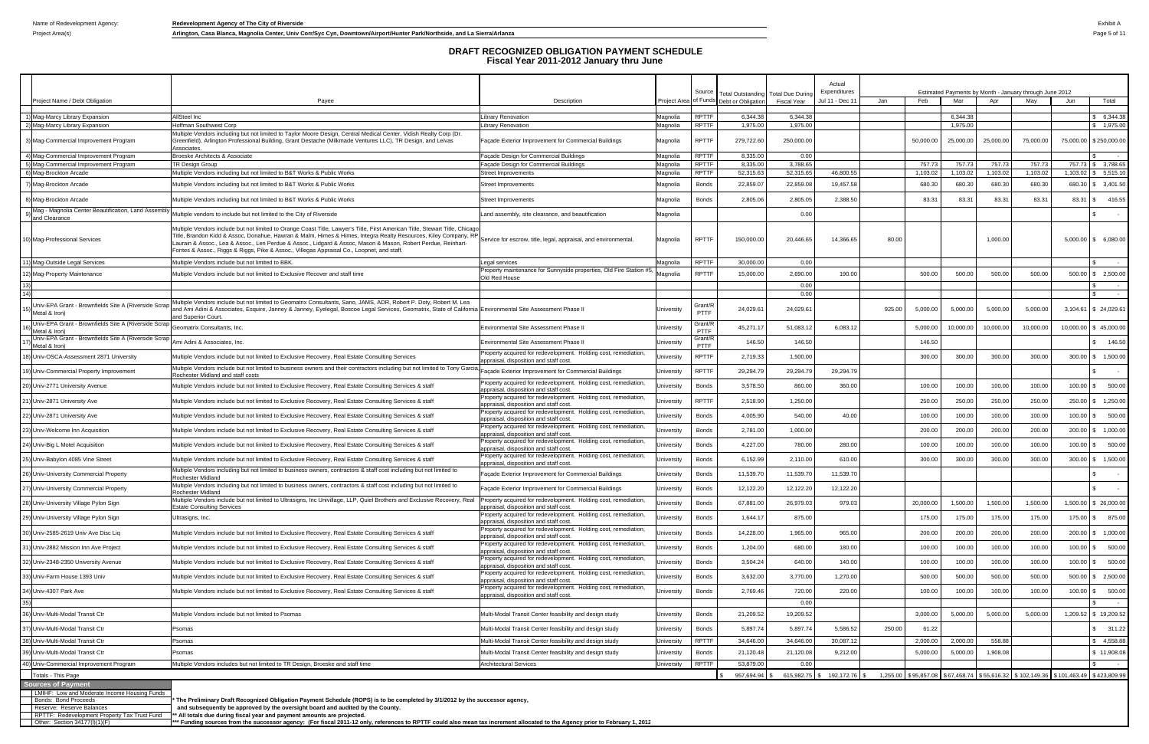Project Area(s) **Arlington, Casa Blanca, Magnolia Center, Univ Corr/Syc Cyn, Downtown/Airport/Hunter Park/Northside, and La Sierra/Arlanza Page 5 of 11** 

|                                                                        |                                                                                                                                                                                                                                                                                                                                                                                                                                                                |                                                                                                           |                      | Source                       | Total Outstanding Total Due During |                       | Actual<br>Expenditures |        |                    |                      |                    | Estimated Payments by Month - January through June 2012 |                                                                                     |                                  |
|------------------------------------------------------------------------|----------------------------------------------------------------------------------------------------------------------------------------------------------------------------------------------------------------------------------------------------------------------------------------------------------------------------------------------------------------------------------------------------------------------------------------------------------------|-----------------------------------------------------------------------------------------------------------|----------------------|------------------------------|------------------------------------|-----------------------|------------------------|--------|--------------------|----------------------|--------------------|---------------------------------------------------------|-------------------------------------------------------------------------------------|----------------------------------|
| Project Name / Debt Obligation                                         | Payee                                                                                                                                                                                                                                                                                                                                                                                                                                                          | Description                                                                                               | Project Area         |                              | of Funds Debt or Obligation        | <b>Fiscal Year</b>    | Jul 11 - Dec 1         | Jan    | Feb                | Mar                  | Apr                | May                                                     | Jun                                                                                 | Total                            |
|                                                                        |                                                                                                                                                                                                                                                                                                                                                                                                                                                                |                                                                                                           |                      |                              |                                    |                       |                        |        |                    |                      |                    |                                                         |                                                                                     |                                  |
| 1) Mag-Marcy Library Expansion<br>2) Mag-Marcy Library Expansion       | AllSteel Inc<br><b>Hoffman Southwest Corp</b>                                                                                                                                                                                                                                                                                                                                                                                                                  | Library Renovation<br>Library Renovation                                                                  | Magnolia<br>Magnolia | RPTTF<br><b>RPTTF</b>        | 6,344.38<br>1,975.00               | 6,344.38<br>1,975.00  |                        |        |                    | 6,344.38<br>1,975.00 |                    |                                                         |                                                                                     | \$6,344.38<br>\$1,975.00         |
|                                                                        | Multiple Vendors including but not limited to Taylor Moore Design, Central Medical Center, Vidish Realty Corp (Dr.                                                                                                                                                                                                                                                                                                                                             |                                                                                                           |                      |                              |                                    |                       |                        |        |                    |                      |                    |                                                         |                                                                                     |                                  |
| 3) Mag-Commercial Improvement Program                                  | Greenfield), Arlington Professional Building, Grant Destache (Milkmade Ventures LLC), TR Design, and Leivas<br>Associates                                                                                                                                                                                                                                                                                                                                      | Façade Exterior Improvement for Commercial Buildings                                                      | Magnolia             | <b>RPTTF</b>                 | 279,722.60                         | 250,000.00            |                        |        | 50,000.00          | 25,000.00            | 25,000.00          | 75,000.00                                               |                                                                                     | 75,000.00 \$250,000.00           |
| 4) Mag-Commercial Improvement Program                                  | Broeske Architects & Associate                                                                                                                                                                                                                                                                                                                                                                                                                                 | Façade Design for Commercial Buildings                                                                    | Magnolia             | <b>RPTTF</b>                 | 8,335.00                           | 0.00                  |                        |        |                    |                      |                    |                                                         |                                                                                     |                                  |
| 5) Mag-Commercial Improvement Program<br>6) Mag-Brockton Arcade        | TR Design Group<br>Multiple Vendors including but not limited to B&T Works & Public Works                                                                                                                                                                                                                                                                                                                                                                      | Façade Design for Commercial Buildings<br><b>Street Improvements</b>                                      | Magnolia<br>Magnolia | <b>RPTTF</b><br><b>RPTTF</b> | 8,335.00<br>52,315.63              | 3,788.65<br>52,315.65 | 46,800.55              |        | 757.73<br>1,103.02 | 757.73<br>1,103.02   | 757.73<br>1,103.02 | 757.73<br>1,103.02                                      | 1,103.02                                                                            | 757.73 \$ 3,788.65<br>\$5,515.10 |
|                                                                        |                                                                                                                                                                                                                                                                                                                                                                                                                                                                |                                                                                                           |                      |                              |                                    |                       | 19,457.58              |        |                    |                      |                    |                                                         |                                                                                     |                                  |
| 7) Mag-Brockton Arcade<br>8) Mag-Brockton Arcade                       | Aultiple Vendors including but not limited to B&T Works & Public Works<br>Multiple Vendors including but not limited to B&T Works & Public Works                                                                                                                                                                                                                                                                                                               | Street Improvements<br>Street Improvements                                                                | Magnolia<br>Magnolia | <b>Bonds</b><br>Bonds        | 22,859.07<br>2,805.06              | 22,859.08<br>2,805.05 | 2,388.50               |        | 680.30<br>83.31    | 680.30<br>83.3       | 680.30<br>83.31    | 680.30<br>83.31                                         | 83.31                                                                               | 680.30 \$ 3,401.50<br>\$ 416.55  |
| Mag - Magnolia Center Beautification, Land Assembly                    |                                                                                                                                                                                                                                                                                                                                                                                                                                                                |                                                                                                           |                      |                              |                                    |                       |                        |        |                    |                      |                    |                                                         |                                                                                     |                                  |
| and Clearance                                                          | Multiple vendors to include but not limited to the City of Riverside                                                                                                                                                                                                                                                                                                                                                                                           | Land assembly, site clearance, and beautification                                                         | Magnolia             |                              |                                    | 0.00                  |                        |        |                    |                      |                    |                                                         |                                                                                     |                                  |
| 10) Mag-Professional Services                                          | Multiple Vendors include but not limited to Orange Coast Title, Lawyer's Title, First American Title, Stewart Title, Chicago<br>Fitle, Brandon Kidd & Assoc, Donahue, Hawran & Malm, Himes & Himes, Integra Realty Resources, Kiley Company, RI<br>Laurain & Assoc., Lea & Assoc., Len Perdue & Assoc., Lidgard & Assoc, Mason & Mason, Robert Perdue, Reinhart-<br>Fontes & Assoc., Riggs & Riggs, Pike & Assoc., Villegas Appraisal Co., Loopnet, and staff. | Service for escrow, title, legal, appraisal, and environmental.                                           | Magnolia             | <b>RPTTF</b>                 | 150,000.00                         | 20,446.65             | 14,366.65              | 80.00  |                    |                      | 1,000.00           |                                                         |                                                                                     | 5,000.00 \$ 6,080.00             |
| 1) Mag-Outside Legal Services                                          | Multiple Vendors include but not limited to BBK.                                                                                                                                                                                                                                                                                                                                                                                                               | egal services                                                                                             | Magnolia             | <b>RPTTF</b>                 | 30,000.00                          | 0.00                  |                        |        |                    |                      |                    |                                                         |                                                                                     | \$<br>$\sim$ 100 $\pm$           |
| 2) Mag-Property Maintenance                                            | Aultiple Vendors include but not limited to Exclusive Recover and staff time                                                                                                                                                                                                                                                                                                                                                                                   | Property maintenance for Sunnyside properties, Old Fire Station #5.<br>Old Red House                      | Magnolia             | <b>RPTTF</b>                 | 15,000.00                          | 2,690.00              | 190.00                 |        | 500.00             | 500.00               | 500.00             | 500.00                                                  |                                                                                     | 500.00 \$ 2,500.00               |
|                                                                        |                                                                                                                                                                                                                                                                                                                                                                                                                                                                |                                                                                                           |                      |                              |                                    | 0.00                  |                        |        |                    |                      |                    |                                                         |                                                                                     | -SS<br>$\sim$ 100 $\pm$          |
|                                                                        |                                                                                                                                                                                                                                                                                                                                                                                                                                                                |                                                                                                           |                      |                              |                                    | 0.00                  |                        |        |                    |                      |                    |                                                         |                                                                                     | $\sim$ $ \sim$                   |
| Univ-EPA Grant - Brownfields Site A (Riverside Scrap<br>Metal & Iron)  | Multiple Vendors include but not limited to Geomatrix Consultants, Sano, JAMS, ADR, Robert P. Doty, Robert M. Lea<br>and Ami Adini & Associates, Esquire, Janney & Janney, Eyelegal, Boscoe Legal Services, Geomatrix, State of California Environmental Site Assessment Phase II<br>and Superior Court.                                                                                                                                                       |                                                                                                           | University           | Grant/R<br>PTTF              | 24,029.6                           | 24,029.61             |                        | 925.00 | 5,000.00           | 5,000.00             | 5,000.00           | 5,000.00                                                |                                                                                     | 3,104.61 \$ 24,029.61            |
| Univ-EPA Grant - Brownfields Site A (Riverside Scrap)<br>Metal & Iron) | Geomatrix Consultants, Inc.                                                                                                                                                                                                                                                                                                                                                                                                                                    | Environmental Site Assessment Phase I                                                                     | Jniversity           | Grant/R<br>PTTF              | 45,271.17                          | 51,083.12             | 6,083.12               |        | 5,000.00           | 10,000.00            | 10,000.00          | 10,000.00                                               | 10,000.00                                                                           | \$45,000.00                      |
| Univ-EPA Grant - Brownfields Site A (Riverside Scrap)<br>Metal & Iron) | Ami Adini & Associates, Inc.                                                                                                                                                                                                                                                                                                                                                                                                                                   | Environmental Site Assessment Phase II                                                                    | University           | Grant/R<br>PTTF              | 146.50                             | 146.50                |                        |        | 146.50             |                      |                    |                                                         |                                                                                     | 146.50                           |
| 8) Univ-OSCA-Assessment 2871 University                                | Multiple Vendors include but not limited to Exclusive Recovery, Real Estate Consulting Services                                                                                                                                                                                                                                                                                                                                                                | Property acquired for redevelopment. Holding cost, remediation,<br>appraisal, disposition and staff cost. | Jniversity           | RPTTF                        | 2,719.33                           | 1,500.00              |                        |        | 300.00             | 300.00               | 300.00             | 300.00                                                  |                                                                                     | 300.00 \$ 1,500.00               |
| 9) Univ-Commercial Property Improvement                                | Multiple Vendors include but not limited to business owners and their contractors including but not limited to Tony Garcia<br>Rochester Midland and staff costs                                                                                                                                                                                                                                                                                                | açade Exterior Improvement for Commercial Buildings                                                       | University           | RPTTF                        | 29,294.79                          | 29,294.7              | 29,294.79              |        |                    |                      |                    |                                                         |                                                                                     |                                  |
| 0) Univ-2771 University Avenue                                         | Multiple Vendors include but not limited to Exclusive Recovery, Real Estate Consulting Services & staff                                                                                                                                                                                                                                                                                                                                                        | Property acquired for redevelopment. Holding cost, remediation<br>appraisal, disposition and staff cost   | Jniversity           | Bonds                        | 3,578.50                           | 860.00                | 360.00                 |        | 100.00             | 100.00               | 100.00             | 100.00                                                  | $100.00$ \$                                                                         | 500.00                           |
| 1) Univ-2871 University Ave                                            | Multiple Vendors include but not limited to Exclusive Recovery, Real Estate Consulting Services & staff                                                                                                                                                                                                                                                                                                                                                        | Property acquired for redevelopment. Holding cost, remediation<br>appraisal, disposition and staff cost.  | Jniversity           | RPTTF                        | 2,518.90                           | 1,250.00              |                        |        | 250.00             | 250.00               | 250.00             | 250.00                                                  | 250.00                                                                              | \$ 1,250.00                      |
| 22) Univ-2871 University Ave                                           | Multiple Vendors include but not limited to Exclusive Recovery, Real Estate Consulting Services & staff                                                                                                                                                                                                                                                                                                                                                        | Property acquired for redevelopment. Holding cost, remediation<br>appraisal, disposition and staff cost.  | Iniversity           | <b>Bonds</b>                 | 4,005.90                           | 540.00                | 40.00                  |        | 100.00             | 100.00               | 100.00             | 100.00                                                  |                                                                                     | 100.00 \$ 500.00                 |
| 23) Univ-Welcome Inn Acquisition                                       | Multiple Vendors include but not limited to Exclusive Recovery, Real Estate Consulting Services & staff                                                                                                                                                                                                                                                                                                                                                        | Property acquired for redevelopment. Holding cost, remediation,<br>appraisal, disposition and staff cost. | Jniversity           | <b>Bonds</b>                 | 2,781.00                           | 1,000.00              |                        |        | 200.00             | 200.00               | 200.00             | 200.00                                                  |                                                                                     | 200.00 \$ 1,000.00               |
| 24) Univ-Big L Motel Acquisition                                       | Multiple Vendors include but not limited to Exclusive Recovery, Real Estate Consulting Services & staff                                                                                                                                                                                                                                                                                                                                                        | roperty acquired for redevelopment. Holding cost, remediation<br>appraisal, disposition and staff cost    | Jniversity           | <b>Bonds</b>                 | 4,227.00                           | 780.00                | 280.00                 |        | 100.00             | 100.00               | 100.00             | 100.00                                                  | 100.00                                                                              | \$500.00                         |
| 25) Univ-Babylon 4085 Vine Street                                      | Aultiple Vendors include but not limited to Exclusive Recovery, Real Estate Consulting Services & staff                                                                                                                                                                                                                                                                                                                                                        | Property acquired for redevelopment. Holding cost, remediation<br>appraisal, disposition and staff cost.  | Jniversity           | Bonds                        | 6,152.99                           | 2,110.00              | 610.00                 |        | 300.00             | 300.00               | 300.00             | 300.00                                                  | 300.00                                                                              | \$ 1,500.00                      |
| 26) Univ-University Commercial Property                                | Multiple Vendors including but not limited to business owners, contractors & staff cost including but not limited to<br>Rochester Midland                                                                                                                                                                                                                                                                                                                      | Facade Exterior Improvement for Commercial Buildings                                                      | Jniversity           | <b>Bonds</b>                 | 11,539.70                          | 11,539.70             | 11,539.70              |        |                    |                      |                    |                                                         |                                                                                     |                                  |
| 27) Univ-University Commercial Property                                | Multiple Vendors including but not limited to business owners, contractors & staff cost including but not limited to<br>Rochester Midland                                                                                                                                                                                                                                                                                                                      | Facade Exterior Improvement for Commercial Buildings                                                      | Jniversity           | <b>Bonds</b>                 | 12,122.20                          | 12,122.20             | 12,122.20              |        |                    |                      |                    |                                                         |                                                                                     |                                  |
| 28) Univ-University Village Pylon Sign                                 | Multiple Vendors include but not limited to Ultrasigns, Inc Univillage, LLP, Quiel Brothers and Exclusive Recovery, Real<br><b>Estate Consulting Services</b>                                                                                                                                                                                                                                                                                                  | Property acquired for redevelopment. Holding cost, remediation,<br>appraisal, disposition and staff cost. | University           | Bonds                        | 67,881.00                          | 26,979.03             | 979.03                 |        | 20,000.00          | 1,500.00             | 1,500.00           | 1,500.00                                                |                                                                                     | 1,500.00 \$ 26,000.00            |
| 29) Univ-University Village Pylon Sign                                 | Ultrasigns, Inc.                                                                                                                                                                                                                                                                                                                                                                                                                                               | Property acquired for redevelopment. Holding cost, remediation,<br>appraisal, disposition and staff cost. | Jniversity           | <b>Bonds</b>                 | 1,644.17                           | 875.00                |                        |        | 175.00             | 175.00               | 175.00             | 175.00                                                  |                                                                                     | 175.00 \$ 875.00                 |
| 30) Univ-2585-2619 Univ Ave Disc Liq                                   | Multiple Vendors include but not limited to Exclusive Recovery, Real Estate Consulting Services & staff                                                                                                                                                                                                                                                                                                                                                        | Property acquired for redevelopment. Holding cost, remediation,<br>appraisal, disposition and staff cost. | Jniversity           | <b>Bonds</b>                 | 14,228.00                          | 1,965.00              | 965.00                 |        | 200.00             | 200.00               | 200.00             | 200.00                                                  |                                                                                     | 200.00 \$ 1,000.00               |
| 31) Univ-2882 Mission Inn Ave Project                                  | Multiple Vendors include but not limited to Exclusive Recovery, Real Estate Consulting Services & staff                                                                                                                                                                                                                                                                                                                                                        | Property acquired for redevelopment. Holding cost, remediation,<br>appraisal, disposition and staff cost. | Jniversity           | <b>Bonds</b>                 | 1,204.00                           | 680.00                | 180.00                 |        | 100.00             | 100.00               | 100.00             | 100.00                                                  |                                                                                     | 100.00 \$ 500.00                 |
| 32) Univ-2348-2350 University Avenue                                   | Multiple Vendors include but not limited to Exclusive Recovery, Real Estate Consulting Services & staff                                                                                                                                                                                                                                                                                                                                                        | Property acquired for redevelopment. Holding cost, remediation,<br>appraisal, disposition and staff cost. | Jniversity           | <b>Bonds</b>                 | 3,504.24                           | 640.00                | 140.00                 |        | 100.00             | 100.00               | 100.00             | 100.00                                                  |                                                                                     | 100.00 \$ 500.00                 |
| 33) Univ-Farm House 1393 Univ                                          | Multiple Vendors include but not limited to Exclusive Recovery, Real Estate Consulting Services & staff                                                                                                                                                                                                                                                                                                                                                        | Property acquired for redevelopment. Holding cost, remediation,<br>appraisal, disposition and staff cost. | Jniversity           | <b>Bonds</b>                 | 3,632.00                           | 3,770.00              | 1,270.00               |        | 500.00             | 500.00               | 500.00             | 500.00                                                  |                                                                                     | 500.00 \$ 2,500.00               |
| 34) Univ-4307 Park Ave                                                 | Multiple Vendors include but not limited to Exclusive Recovery, Real Estate Consulting Services & staff                                                                                                                                                                                                                                                                                                                                                        | roperty acquired for redevelopment. Holding cost, remediation,<br>appraisal, disposition and staff cost.  | Jniversity           | <b>Bonds</b>                 | 2,769.46                           | 720.00                | 220.00                 |        | 100.00             | 100.00               | 100.00             | 100.00                                                  |                                                                                     | 100.00 \$ 500.00                 |
|                                                                        |                                                                                                                                                                                                                                                                                                                                                                                                                                                                |                                                                                                           |                      |                              |                                    | 0.00                  |                        |        |                    |                      |                    |                                                         |                                                                                     | \$<br>$\sim 100$ m $^{-1}$       |
| 6) Univ-Multi-Modal Transit Ctr                                        | Multiple Vendors include but not limited to Psomas                                                                                                                                                                                                                                                                                                                                                                                                             | Multi-Modal Transit Center feasibility and design study                                                   | Jniversity           | <b>Bonds</b>                 | 21,209.52                          | 19,209.52             |                        |        | 3,000.00           | 5,000.00             | 5,000.00           | 5,000.00                                                |                                                                                     | 1,209.52 \$ 19,209.52            |
| 37) Univ-Multi-Modal Transit Ctr                                       | <sup>9</sup> somas                                                                                                                                                                                                                                                                                                                                                                                                                                             | Multi-Modal Transit Center feasibility and design study                                                   | University           | <b>Bonds</b>                 | 5,897.74                           | 5,897.74              | 5,586.52               | 250.00 | 61.22              |                      |                    |                                                         |                                                                                     | \$311.22                         |
| 38) Univ-Multi-Modal Transit Ctr                                       | Psomas                                                                                                                                                                                                                                                                                                                                                                                                                                                         | Multi-Modal Transit Center feasibility and design study                                                   | University           | <b>RPTTF</b>                 | 34,646.00                          | 34,646.00             | 30,087.12              |        | 2,000.00           | 2,000.00             | 558.88             |                                                         |                                                                                     | \$4,558.88                       |
| 39) Univ-Multi-Modal Transit Ctr                                       | <sup>9</sup> somas                                                                                                                                                                                                                                                                                                                                                                                                                                             | Multi-Modal Transit Center feasibility and design study                                                   | University           | <b>Bonds</b>                 | 21,120.48                          | 21,120.08             | 9,212.00               |        | 5,000.00           | 5,000.00             | 1,908.08           |                                                         |                                                                                     | \$11,908.08                      |
| 40) Univ-Commercial Improvement Program                                | Multiple Vendors includes but not limited to TR Design, Broeske and staff time                                                                                                                                                                                                                                                                                                                                                                                 | Architectural Services                                                                                    | University           | <b>RPTTF</b>                 | 53,879.00                          | 0.00                  |                        |        |                    |                      |                    |                                                         |                                                                                     | $\sim 100$                       |
| Totals - This Page                                                     |                                                                                                                                                                                                                                                                                                                                                                                                                                                                |                                                                                                           |                      |                              | 957.694.94                         | 615,982.75            | \$192,172.76           |        |                    |                      |                    |                                                         | 1,255.00 \$95,857.08 \$67,468.74 \$55,616.32 \$102,149.36 \$101,463.49 \$423,809.99 |                                  |
| <b>Sources of Payment</b>                                              |                                                                                                                                                                                                                                                                                                                                                                                                                                                                |                                                                                                           |                      |                              |                                    |                       |                        |        |                    |                      |                    |                                                         |                                                                                     |                                  |
| LMIHF: Low and Moderate Income Housing Funds                           |                                                                                                                                                                                                                                                                                                                                                                                                                                                                |                                                                                                           |                      |                              |                                    |                       |                        |        |                    |                      |                    |                                                         |                                                                                     |                                  |
| Bonds: Bond Proceeds<br>Reserve: Reserve Balances                      | The Preliminary Draft Recognized Obligation Payment Schedule (ROPS) is to be completed by 3/1/2012 by the successor agency,<br>and subsequently be approved by the oversight board and audited by the County.                                                                                                                                                                                                                                                  |                                                                                                           |                      |                              |                                    |                       |                        |        |                    |                      |                    |                                                         |                                                                                     |                                  |

Reserve: Reserve Balances and Subsequently be approved by the oversight board and audited by the County.<br>RPTTF: Redevelopment Property Tax Trust Fund "\*\* All totals due during fiscal year and payment amounts are projected.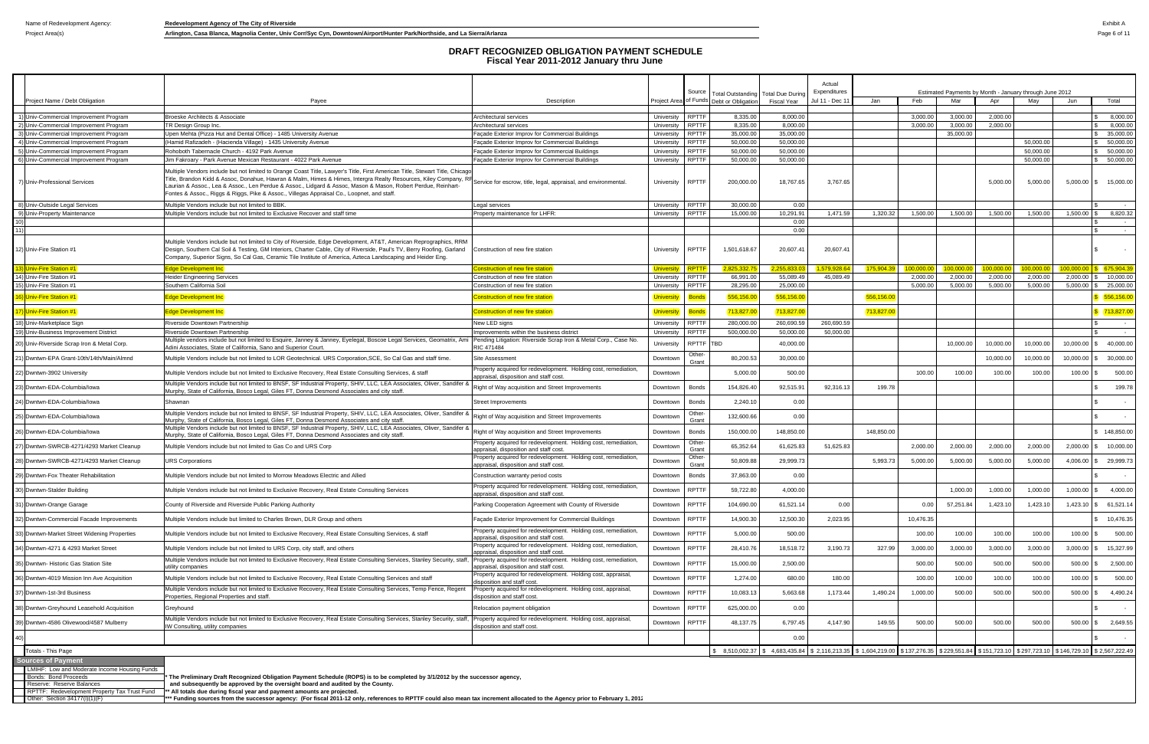Project Area(s) **Arlington, Casa Blanca, Magnolia Center, Univ Corr/Syc Cyn, Downtown/Airport/Hunter Park/Northside, and La Sierra/Arlanza Page 6 of 11** 

|                                                                                                   |                                                                                                                                                                                                                                                                                                                                                                                                                                                                                                                                             |                                                                                                           |                          | Source                       | Total Outstandin                        | <b>Total Due During</b>                                                                                                                   | Actual<br>Expenditures |            |                      | Estimated Payments by Month - January through June 2012 |                      |                        |                           |                            |
|---------------------------------------------------------------------------------------------------|---------------------------------------------------------------------------------------------------------------------------------------------------------------------------------------------------------------------------------------------------------------------------------------------------------------------------------------------------------------------------------------------------------------------------------------------------------------------------------------------------------------------------------------------|-----------------------------------------------------------------------------------------------------------|--------------------------|------------------------------|-----------------------------------------|-------------------------------------------------------------------------------------------------------------------------------------------|------------------------|------------|----------------------|---------------------------------------------------------|----------------------|------------------------|---------------------------|----------------------------|
| Project Name / Debt Obligation                                                                    | Payee                                                                                                                                                                                                                                                                                                                                                                                                                                                                                                                                       | Description                                                                                               |                          |                              | Project Area of Funds Debt or Obligatio | <b>Fiscal Year</b>                                                                                                                        | Jul 11 - Dec 1         | Jan        | Feb                  | Mar                                                     | Apr                  | Mav                    | Jun                       | Total                      |
| 1) Univ-Commercial Improvement Program                                                            | Broeske Architects & Associate                                                                                                                                                                                                                                                                                                                                                                                                                                                                                                              | Architectural services                                                                                    | University               | <b>RPTTF</b>                 | 8,335.00                                | 8,000.00                                                                                                                                  |                        |            | 3,000.00             | 3,000.00                                                | 2,000.00             |                        |                           | 8,000.00                   |
| 2) Univ-Commercial Improvement Program                                                            | TR Design Group Inc.                                                                                                                                                                                                                                                                                                                                                                                                                                                                                                                        | Architectural services                                                                                    | University               | <b>RPTTF</b>                 | 8,335.00                                | 8,000.00                                                                                                                                  |                        |            | 3,000.00             | 3,000.00                                                | 2,000.00             |                        |                           | $\mathbb{R}$<br>8,000.00   |
| 3) Univ-Commercial Improvement Program                                                            | Upen Mehta (Pizza Hut and Dental Office) - 1485 University Avenue                                                                                                                                                                                                                                                                                                                                                                                                                                                                           | Façade Exterior Improv for Commercial Buildings                                                           | University               | RPTTF                        | 35,000.00                               | 35,000.00                                                                                                                                 |                        |            |                      | 35,000.00                                               |                      |                        |                           | \$35,000.00                |
| 4) Univ-Commercial Improvement Program<br>5) Univ-Commercial Improvement Program                  | (Hamid Rafizadeh - (Hacienda Village) - 1435 University Avenue<br>Rohoboth Tabernacle Church - 4192 Park Avenue                                                                                                                                                                                                                                                                                                                                                                                                                             | Façade Exterior Improv for Commercial Buildings                                                           | University<br>University | <b>RPTTF</b><br>RPTTF        | 50,000.00<br>50,000.00                  | 50,000.00<br>50,000.00                                                                                                                    |                        |            |                      |                                                         |                      | 50,000.00<br>50,000.00 |                           | \$50,000.00<br>\$50,000.00 |
| 6) Univ-Commercial Improvement Program                                                            | Jim Fakroary - Park Avenue Mexican Restaurant - 4022 Park Avenue                                                                                                                                                                                                                                                                                                                                                                                                                                                                            | Façade Exterior Improv for Commercial Buildings<br>Façade Exterior Improv for Commercial Buildings        | University               | <b>RPTTF</b>                 | 50,000.00                               | 50,000.00                                                                                                                                 |                        |            |                      |                                                         |                      | 50,000.00              |                           | \$ 50,000.00               |
| 7) Univ-Professional Services                                                                     | Multiple Vendors include but not limited to Orange Coast Title, Lawyer's Title, First American Title, Stewart Title, Chicago<br>Tritle, Brandon Kidd & Assoc, Donahue, Hawran & Malm, Himes & Himes, Intergra Realty Resources, Kiley Company, RH <sub>Service</sub> for escrow, title, legal, appraisal, and environmental.<br>Laurian & Assoc., Lea & Assoc., Len Perdue & Assoc., Lidgard & Assoc, Mason & Mason, Robert Perdue, Reinhart-<br>Fontes & Assoc., Riggs & Riggs, Pike & Assoc., Villegas Appraisal Co., Loopnet, and staff. |                                                                                                           | University               | <b>RPTTF</b>                 | 200,000.00                              | 18,767.65                                                                                                                                 | 3,767.65               |            |                      |                                                         | 5,000.00             | 5,000.00               |                           | 5,000.00 \$ 15,000.00      |
| 8) Univ-Outside Legal Services                                                                    | Multiple Vendors include but not limited to BBK.                                                                                                                                                                                                                                                                                                                                                                                                                                                                                            | Legal services                                                                                            | University RPTTF         |                              | 30,000.00                               | 0.00                                                                                                                                      |                        |            |                      |                                                         |                      |                        |                           | $\sim$                     |
| 9) Univ-Property Maintenance                                                                      | Multiple Vendors include but not limited to Exclusive Recover and staff time                                                                                                                                                                                                                                                                                                                                                                                                                                                                | Property maintenance for LHFR:                                                                            | University               | <b>RPTTF</b>                 | 15,000.00                               | 10,291.91                                                                                                                                 | 1,471.59               | 1,320.32   | 1,500.00             | 1,500.00                                                | 1,500.00             | 1,500.00               | $1,500.00$ \$             | 8,820.32                   |
|                                                                                                   |                                                                                                                                                                                                                                                                                                                                                                                                                                                                                                                                             |                                                                                                           |                          |                              |                                         | 0.00                                                                                                                                      |                        |            |                      |                                                         |                      |                        |                           |                            |
| 12) Univ-Fire Station #1                                                                          | Multiple Vendors include but not limited to City of Riverside, Edge Development, AT&T, American Reprographics, RRM<br>Design, Southern Cal Soil & Testing, GM Interiors, Charter Cable, City of Riverside, Paul's TV, Berry Roofing, Garland<br>Company, Superior Signs, So Cal Gas, Ceramic Tile Institute of America, Azteca Landscaping and Heider Eng.                                                                                                                                                                                  | Construction of new fire station                                                                          | University               | <b>RPTTF</b>                 | 1,501,618.67                            | 0.00<br>20,607.41                                                                                                                         | 20,607.41              |            |                      |                                                         |                      |                        |                           | l \$<br>$\sim$ $ \sim$     |
| 3) Univ-Fire Station #1                                                                           | dge Development Inc                                                                                                                                                                                                                                                                                                                                                                                                                                                                                                                         | Construction of new fire station                                                                          | <b>Universit</b>         | RPTT                         | 2.825.332.                              | 2.255.833                                                                                                                                 | 1.579.928              | 175,904.   | 100.000.00           | 100.000.00                                              | 100.000.C            | 100.000.00             |                           | $100,000.00$ \$ 675,904.39 |
| 14) Univ-Fire Station #1<br>15) Univ-Fire Station #1                                              | Heider Engineering Services<br>Southern California Soil                                                                                                                                                                                                                                                                                                                                                                                                                                                                                     | Construction of new fire station<br>Construction of new fire station                                      | University<br>University | <b>RPTTF</b><br><b>RPTTF</b> | 66,991.00<br>28,295.00                  | 55,089.49<br>25,000.00                                                                                                                    | 45.089.49              |            | 2,000.00<br>5,000.00 | 2,000.00<br>5,000.00                                    | 2,000.00<br>5,000.00 | 2,000.00<br>5,000.00   | $2,000.00$ \$<br>5,000.00 | 10,000.00<br>25,000.00     |
| 6) Univ-Fire Station #1                                                                           | dge Development Inc                                                                                                                                                                                                                                                                                                                                                                                                                                                                                                                         | onstruction of new fire station                                                                           | <u>Universit</u>         | 3onds                        | 556,156.0                               | 556,156.00                                                                                                                                |                        | 556,156.0  |                      |                                                         |                      |                        |                           | 556,156.00                 |
| 7) Univ-Fire Station #1                                                                           | dge Development Inc                                                                                                                                                                                                                                                                                                                                                                                                                                                                                                                         | onstruction of new fire station                                                                           | <u>University</u>        | <b>Bonds</b>                 | 713,827.0                               | 713,827.00                                                                                                                                |                        | 713,827.00 |                      |                                                         |                      |                        |                           | \$713,827.00               |
| 18) Univ-Marketplace Sign                                                                         | Riverside Downtown Partnership                                                                                                                                                                                                                                                                                                                                                                                                                                                                                                              | New LED signs                                                                                             | University               | <b>RPTTF</b>                 | 280,000.00                              | 260,690.59                                                                                                                                | 260,690.59             |            |                      |                                                         |                      |                        |                           | <b>S</b><br>$\sim$         |
| 19) Univ-Business Improvement District                                                            | Riverside Downtown Partnership                                                                                                                                                                                                                                                                                                                                                                                                                                                                                                              | Improvements within the business district                                                                 | University               | <b>RPTTF</b>                 | 500,000.00                              | 50,000.00                                                                                                                                 | 50,000.00              |            |                      |                                                         |                      |                        |                           | $\sim$<br>$\sim$           |
| 20) Univ-Riverside Scrap Iron & Metal Corp.                                                       | Multiple vendors include but not limited to Esquire, Janney & Janney, Eyelegal, Boscoe Legal Services, Geomatrix, Ami<br>Adini Associates, State of California, Sano and Superior Court.                                                                                                                                                                                                                                                                                                                                                    | Pending Litigation: Riverside Scrap Iron & Metal Corp., Case No.<br>RIC 471484                            | University               | RPTTF TBD                    |                                         | 40,000.00                                                                                                                                 |                        |            |                      | 10,000.00                                               | 10,000.00            | 10,000.00              | $10,000.00$ \$            | 40,000.00                  |
| 21) Dwntwn-EPA Grant-10th/14th/Main/Almnd                                                         | Multiple Vendors include but not limited to LOR Geotechnical. URS Corporation, SCE, So Cal Gas and staff time.                                                                                                                                                                                                                                                                                                                                                                                                                              | Site Assessment                                                                                           | Downtow                  | Other-<br>Grant              | 80,200.53                               | 30,000.00                                                                                                                                 |                        |            |                      |                                                         | 10,000.00            | 10,000.00              | $10,000.00$ \$            | 30,000.00                  |
| 22) Dwntwn-3902 University                                                                        | Multiple Vendors include but not limited to Exclusive Recovery, Real Estate Consulting Services, & staff                                                                                                                                                                                                                                                                                                                                                                                                                                    | Property acquired for redevelopment. Holding cost, remediation,<br>appraisal, disposition and staff cost  | Downtowr                 |                              | 5,000.00                                | 500.00                                                                                                                                    |                        |            | 100.00               | 100.00                                                  | 100.00               | 100.00                 | $100.00$ \$               | 500.00                     |
| 23) Dwntwn-EDA-Columbia/lowa                                                                      | Multiple Vendors include but not limited to BNSF, SF Industrial Property, SHIV, LLC, LEA Associates, Oliver, Sandifer<br>Murphy, State of California, Bosco Legal, Giles FT, Donna Desmond Associates and city staff.                                                                                                                                                                                                                                                                                                                       | Right of Way acquisition and Street Improvements                                                          | Downtown                 | <b>Bonds</b>                 | 154,826.40                              | 92,515.91                                                                                                                                 | 92,316.13              | 199.78     |                      |                                                         |                      |                        |                           | 199.78                     |
| 24) Dwntwn-EDA-Columbia/lowa                                                                      | Shawnan                                                                                                                                                                                                                                                                                                                                                                                                                                                                                                                                     | Street Improvements                                                                                       | Downtown                 | <b>Bonds</b>                 | 2,240.10                                | 0.00                                                                                                                                      |                        |            |                      |                                                         |                      |                        |                           |                            |
| 25) Dwntwn-EDA-Columbia/lowa                                                                      | Multiple Vendors include but not limited to BNSF, SF Industrial Property, SHIV, LLC, LEA Associates, Oliver, Sandifer &<br>Murphy, State of California, Bosco Legal, Giles FT, Donna Desmond Associates and city staff.                                                                                                                                                                                                                                                                                                                     | Right of Way acquisition and Street Improvements                                                          | Downtowr                 | Other-<br>Grant              | 132,600.66                              | 0.00                                                                                                                                      |                        |            |                      |                                                         |                      |                        |                           |                            |
| 26) Dwntwn-EDA-Columbia/lowa                                                                      | Multiple Vendors include but not limited to BNSF, SF Industrial Property, SHIV, LLC, LEA Associates, Oliver, Sandifer &<br>Murphy, State of California, Bosco Legal, Giles FT, Donna Desmond Associates and city staff.                                                                                                                                                                                                                                                                                                                     | Right of Way acquisition and Street Improvements                                                          | Downtown                 | Bonds                        | 150,000.00                              | 148,850.00                                                                                                                                |                        | 148,850.00 |                      |                                                         |                      |                        |                           | \$148,850.00               |
| 27) Dwntwn-SWRCB-4271/4293 Market Cleanup                                                         | Multiple Vendors include but not limited to Gas Co and URS Corp                                                                                                                                                                                                                                                                                                                                                                                                                                                                             | Property acquired for redevelopment. Holding cost, remediation,<br>appraisal, disposition and staff cost  | Downtow                  | Other-<br>Grant              | 65,352.64                               | 61,625.83                                                                                                                                 | 51,625.83              |            | 2,000.00             | 2,000.00                                                | 2,000.00             | 2,000.00               | $2,000.00$ \$             | 10,000.00                  |
| 28) Dwntwn-SWRCB-4271/4293 Market Cleanup                                                         | <b>URS Corporations</b>                                                                                                                                                                                                                                                                                                                                                                                                                                                                                                                     | Property acquired for redevelopment. Holding cost, remediation<br>appraisal, disposition and staff cost.  | Downtow                  | Other-<br>Grant              | 50,809.88                               | 29,999.73                                                                                                                                 |                        | 5,993.73   | 5,000.00             | 5,000.00                                                | 5,000.00             | 5,000.00               |                           | 4,006.00 \$ 29,999.73      |
| 29) Dwntwn-Fox Theater Rehabilitation                                                             | Multiple Vendors include but not limited to Morrow Meadows Electric and Allied                                                                                                                                                                                                                                                                                                                                                                                                                                                              | Construction warranty period costs                                                                        | Downtown                 | <b>Bonds</b>                 | 37,863.00                               | 0.00                                                                                                                                      |                        |            |                      |                                                         |                      |                        |                           |                            |
| 30) Dwntwn-Stalder Building                                                                       | Multiple Vendors include but not limited to Exclusive Recovery, Real Estate Consulting Services                                                                                                                                                                                                                                                                                                                                                                                                                                             | Property acquired for redevelopment. Holding cost, remediation,<br>appraisal, disposition and staff cost. | Downtown                 | <b>RPTTF</b>                 | 59,722.80                               | 4,000.00                                                                                                                                  |                        |            |                      | 1,000.00                                                | 1,000.00             | 1,000.00               |                           | $1,000.00$ \$ $4,000.00$   |
| 31) Dwntwn-Orange Garage                                                                          | County of Riverside and Riverside Public Parking Authority                                                                                                                                                                                                                                                                                                                                                                                                                                                                                  | Parking Cooperation Agreement with County of Riverside                                                    | Downtown                 | <b>RPTTF</b>                 | 104,690.00                              | 61,521.14                                                                                                                                 | 0.00                   |            | 0.00                 | 57,251.84                                               | 1,423.10             | 1,423.10               |                           | $1,423.10$ \ \$ 61,521.14  |
| 32) Dwntwn-Commercial Facade Improvements                                                         | Multiple Vendors include but limited to Charles Brown, DLR Group and others                                                                                                                                                                                                                                                                                                                                                                                                                                                                 | Façade Exterior Improvement for Commercial Buildings                                                      | Downtown                 | <b>RPTTF</b>                 | 14,900.30                               | 12,500.30                                                                                                                                 | 2,023.95               |            | 10,476.35            |                                                         |                      |                        |                           | 10,476.35                  |
| 33) Dwntwn-Market Street Widening Properties                                                      | Multiple Vendors include but not limited to Exclusive Recovery, Real Estate Consulting Services, & staff                                                                                                                                                                                                                                                                                                                                                                                                                                    | Property acquired for redevelopment. Holding cost, remediation,<br>appraisal, disposition and staff cost. | Downtown                 | <b>RPTTF</b>                 | 5,000.00                                | 500.00                                                                                                                                    |                        |            | 100.00               | 100.00                                                  | 100.00               | 100.00                 | $100.00$ \$               | 500.00                     |
| 34) Dwntwn-4271 & 4293 Market Street                                                              | Multiple Vendors include but not limited to URS Corp, city staff, and others                                                                                                                                                                                                                                                                                                                                                                                                                                                                | Property acquired for redevelopment. Holding cost, remediation,<br>appraisal, disposition and staff cost  | Downtown                 | <b>RPTTF</b>                 | 28,410.76                               | 18,518.72                                                                                                                                 | 3,190.73               | 327.99     | 3,000.00             | 3,000.00                                                | 3,000.00             | 3,000.00               | 3,000.00                  | 15,327.99                  |
| 35) Dwntwn- Historic Gas Station Site                                                             | Multiple Vendors include but not limited to Exclusive Recovery, Real Estate Consulting Services, Stanley Security, staff,<br>utility companies                                                                                                                                                                                                                                                                                                                                                                                              | Property acquired for redevelopment. Holding cost, remediation,<br>appraisal, disposition and staff cost  | Downtown                 | <b>RPTTF</b>                 | 15,000.00                               | 2,500.00                                                                                                                                  |                        |            | 500.00               | 500.00                                                  | 500.00               | 500.00                 | $500.00$ \$               | 2,500.00                   |
| 36) Dwntwn-4019 Mission Inn Ave Acquisition                                                       | Multiple Vendors include but not limited to Exclusive Recovery, Real Estate Consulting Services and staff                                                                                                                                                                                                                                                                                                                                                                                                                                   | Property acquired for redevelopment. Holding cost, appraisal<br>disposition and staff cost.               | Downtown                 | <b>RPTTF</b>                 | 1,274.00                                | 680.00                                                                                                                                    | 180.00                 |            | 100.00               | 100.00                                                  | 100.00               | 100.00                 | $100.00$ \$               | 500.00                     |
| 37) Dwntwn-1st-3rd Business                                                                       | Multiple Vendors include but not limited to Exclusive Recovery, Real Estate Consulting Services, Temp Fence, Regent<br>Properties, Regional Properties and staff                                                                                                                                                                                                                                                                                                                                                                            | Property acquired for redevelopment. Holding cost, appraisal<br>disposition and staff cost.               | Downtown                 | <b>RPTTF</b>                 | 10,083.13                               | 5,663.68                                                                                                                                  | 1,173.44               | 1,490.24   | 1,000.00             | 500.00                                                  | 500.00               | 500.00                 | $500.00$ \$               | 4,490.24                   |
| 38) Dwntwn-Greyhound Leasehold Acquisition                                                        | Greyhound                                                                                                                                                                                                                                                                                                                                                                                                                                                                                                                                   | Relocation payment obligation                                                                             | Downtown                 | <b>RPTTF</b>                 | 625,000.00                              | 0.00                                                                                                                                      |                        |            |                      |                                                         |                      |                        |                           |                            |
| 39) Dwntwn-4586 Olivewood/4587 Mulberry                                                           | Multiple Vendors include but not limited to Exclusive Recovery, Real Estate Consulting Services, Stanley Security, staff,<br>IW Consulting, utility companies                                                                                                                                                                                                                                                                                                                                                                               | Property acquired for redevelopment. Holding cost, appraisal<br>disposition and staff cost.               | Downtown                 | <b>RPTTF</b>                 | 48,137.75                               | 6,797.45                                                                                                                                  | 4,147.90               | 149.55     | 500.00               | 500.00                                                  | 500.00               | 500.00                 | $500.00$ \$               | 2,649.55                   |
|                                                                                                   |                                                                                                                                                                                                                                                                                                                                                                                                                                                                                                                                             |                                                                                                           |                          |                              |                                         | 0.00                                                                                                                                      |                        |            |                      |                                                         |                      |                        |                           |                            |
| Totals - This Page                                                                                |                                                                                                                                                                                                                                                                                                                                                                                                                                                                                                                                             |                                                                                                           |                          |                              |                                         | 8,510,002.37 \$4,683,435.84 \$2,116,213.35 \$1,604,219.00 \$137,276.35 \$229,551.84 \$151,723.10 \$297,723.10 \$146,729.10 \$2,567,222.49 |                        |            |                      |                                                         |                      |                        |                           |                            |
| <b>Sources of Payment</b><br>LMIHF: Low and Moderate Income Housing Funds<br>Bonds: Bond Proceeds | * The Preliminary Draft Recognized Obligation Payment Schedule (ROPS) is to be completed by 3/1/2012 by the successor agency,                                                                                                                                                                                                                                                                                                                                                                                                               |                                                                                                           |                          |                              |                                         |                                                                                                                                           |                        |            |                      |                                                         |                      |                        |                           |                            |

and subsequently be approved by the oversight board and audited by the County.<br>RPTTF: Redevelopment Property Tax Trust Fund = \*\* All totals due during fiscal year and payment amounts are projected.<br>Other: Section 34177(i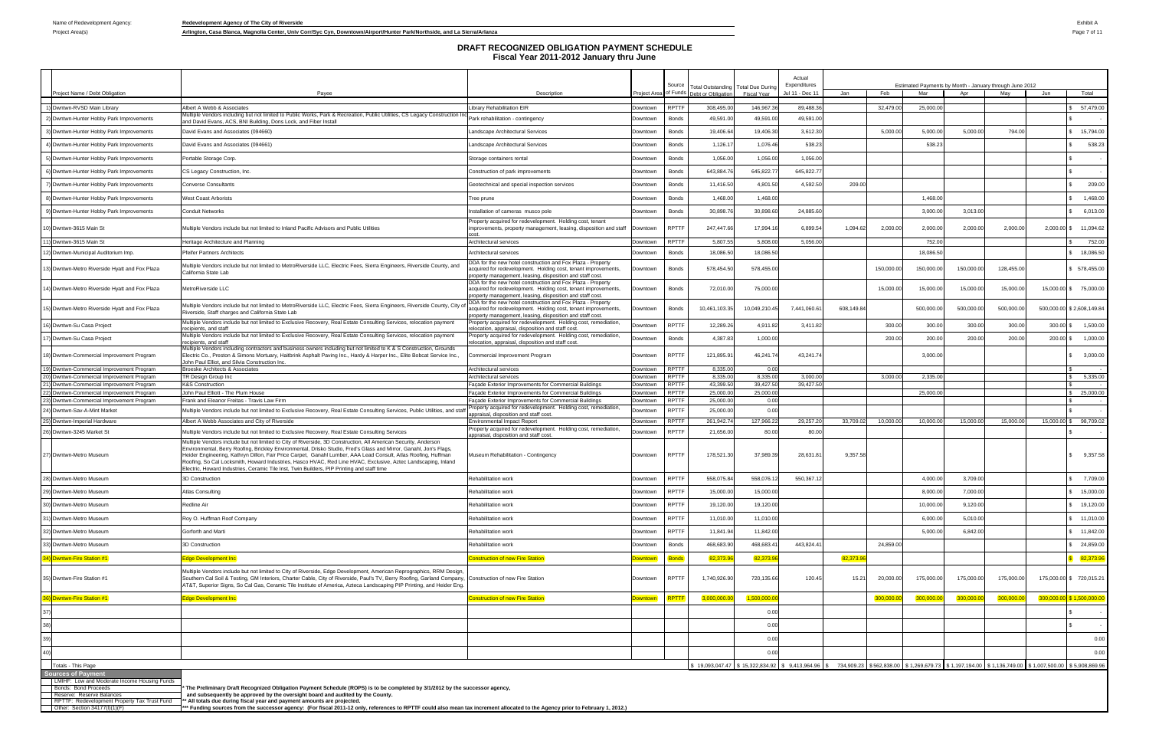Project Area(s) **Arlington, Casa Blanca, Magnolia Center, Univ Corr/Syc Cyn, Downtown/Airport/Hunter Park/Northside, and La Sierra/Arlanza Page 7 of 11** 

| Project Name / Debt Obligation                                                                                                                                                 | Payee                                                                                                                                                                                                                                                                                                                                                                                                                                                                                                                                                                  | Description                                                                                                                                                                                                                                               |                      | Source                       | Total Outstanding   Total Due Durin<br>Project Area of Funds Debt or Obligation | <b>Fiscal Year</b> | Expenditures<br>Jul 11 - Dec 11 | Jan        | Feb       | Estimated Payments by Month - January through June 2012<br>Mar                                                                                               | Apr       | May        | Jun          | Total                        |
|--------------------------------------------------------------------------------------------------------------------------------------------------------------------------------|------------------------------------------------------------------------------------------------------------------------------------------------------------------------------------------------------------------------------------------------------------------------------------------------------------------------------------------------------------------------------------------------------------------------------------------------------------------------------------------------------------------------------------------------------------------------|-----------------------------------------------------------------------------------------------------------------------------------------------------------------------------------------------------------------------------------------------------------|----------------------|------------------------------|---------------------------------------------------------------------------------|--------------------|---------------------------------|------------|-----------|--------------------------------------------------------------------------------------------------------------------------------------------------------------|-----------|------------|--------------|------------------------------|
| 1) Dwntwn-RVSD Main Library                                                                                                                                                    | Albert A Webb & Associates                                                                                                                                                                                                                                                                                                                                                                                                                                                                                                                                             | <b>Library Rehabilitation EIR</b>                                                                                                                                                                                                                         | Downtown             | <b>RPTTF</b>                 | 308,495.0                                                                       | 146,967.3          | 89,488.3                        |            | 32,479.0  | 25,000.0                                                                                                                                                     |           |            |              | 57,479.00                    |
| 2) Dwntwn-Hunter Hobby Park Improvements                                                                                                                                       | Mustrich Condors including but not limited to Public Works, Park & Recreation, Public Utilities, CS Legacy Construction Incl<br>Multiple Vendors including but not limited to Public Works, Park & Recreation, Public Utilities,<br>and David Evans, ACS, BNI Building, Dons Lock, and Fiber Install                                                                                                                                                                                                                                                                   |                                                                                                                                                                                                                                                           | Downtown             | Bonds                        | 49,591.0                                                                        | 49,591.0           | 49,591.0                        |            |           |                                                                                                                                                              |           |            |              |                              |
| 3) Dwntwn-Hunter Hobby Park Improvements                                                                                                                                       | David Evans and Associates (094660)                                                                                                                                                                                                                                                                                                                                                                                                                                                                                                                                    | Landscape Architectural Services                                                                                                                                                                                                                          | Downtown             | Bonds                        | 19,406.64                                                                       | 19,406.3           | 3,612.30                        |            | 5,000.00  | 5,000.0                                                                                                                                                      | 5,000.0   | 794.00     |              | 15,794.00                    |
| 4) Dwntwn-Hunter Hobby Park Improvements                                                                                                                                       | David Evans and Associates (094661)                                                                                                                                                                                                                                                                                                                                                                                                                                                                                                                                    | Landscape Architectural Services                                                                                                                                                                                                                          | Downtown             | Bonds                        | 1,126.1                                                                         | 1,076.46           | 538.23                          |            |           | 538.2                                                                                                                                                        |           |            |              | 538.23                       |
| 5) Dwntwn-Hunter Hobby Park Improvements                                                                                                                                       | Portable Storage Corp.                                                                                                                                                                                                                                                                                                                                                                                                                                                                                                                                                 | Storage containers rental                                                                                                                                                                                                                                 | Downtown             | Bonds                        | 1,056.00                                                                        | 1,056.00           | 1,056.00                        |            |           |                                                                                                                                                              |           |            |              |                              |
| 6) Dwntwn-Hunter Hobby Park Improvements                                                                                                                                       | CS Legacy Construction, Inc.                                                                                                                                                                                                                                                                                                                                                                                                                                                                                                                                           | Construction of park improvements                                                                                                                                                                                                                         | Downtown             | Bonds                        | 643,884.7                                                                       | 645,822.7          | 645,822.7                       |            |           |                                                                                                                                                              |           |            |              |                              |
| 7) Dwntwn-Hunter Hobby Park Improvements                                                                                                                                       | <b>Converse Consultants</b>                                                                                                                                                                                                                                                                                                                                                                                                                                                                                                                                            | Geotechnical and special inspection services                                                                                                                                                                                                              | Downtown             | Bonds                        | 11,416.50                                                                       | 4,801.5            | 4,592.5                         | 209.00     |           |                                                                                                                                                              |           |            |              | 209.00                       |
| 8) Dwntwn-Hunter Hobby Park Improvements                                                                                                                                       | <b>West Coast Arborists</b>                                                                                                                                                                                                                                                                                                                                                                                                                                                                                                                                            | Tree prune                                                                                                                                                                                                                                                | Downtown             | Bonds                        | 1,468.00                                                                        | 1,468.00           |                                 |            |           | 1,468.0                                                                                                                                                      |           |            |              | 1,468.00                     |
| 9) Dwntwn-Hunter Hobby Park Improvements                                                                                                                                       | <b>Conduit Networks</b>                                                                                                                                                                                                                                                                                                                                                                                                                                                                                                                                                | Installation of cameras musco pole                                                                                                                                                                                                                        | Downtown             | Bonds                        | 30,898.7                                                                        | 30,898.60          | 24,885.60                       |            |           | 3,000.0                                                                                                                                                      | 3,013.0   |            |              | 6,013.00                     |
| 10) Dwntwn-3615 Main St                                                                                                                                                        | Multiple Vendors include but not limited to Inland Pacific Advisors and Public Utilities                                                                                                                                                                                                                                                                                                                                                                                                                                                                               | Property acquired for redevelopment. Holding cost, tenant<br>improvements, property management, leasing, disposition and staff                                                                                                                            | Downtown             | <b>RPTTF</b>                 | 247,447.66                                                                      | 17,994.1           | 6,899.5                         | 1,094.62   | 2,000.00  | 2,000.00                                                                                                                                                     | 2,000.0   | 2,000.00   |              | 2,000.00 \$ 11,094.62        |
| 11) Dwntwn-3615 Main St                                                                                                                                                        | Heritage Architecture and Planning                                                                                                                                                                                                                                                                                                                                                                                                                                                                                                                                     | Architectural services                                                                                                                                                                                                                                    | Downtown             | <b>RPTTF</b>                 | 5,807.55                                                                        | 5,808.0            | 5.056.00                        |            |           | 752.00                                                                                                                                                       |           |            |              | 752.00                       |
| 12) Dwntwn-Municipal Auditorium Imp.                                                                                                                                           | <b>Pfeifer Partners Architects</b>                                                                                                                                                                                                                                                                                                                                                                                                                                                                                                                                     | Architectural services                                                                                                                                                                                                                                    | Downtown             | Bonds                        | 18,086.5                                                                        | 18,086.5           |                                 |            |           | 18,086.5                                                                                                                                                     |           |            |              | 18,086.50                    |
| 13) Dwntwn-Metro Riverside Hyatt and Fox Plaza                                                                                                                                 | Multiple Vendors include but not limited to MetroRiverside LLC, Electric Fees, Sierra Engineers, Riverside County, and<br>California State Lab                                                                                                                                                                                                                                                                                                                                                                                                                         | DDA for the new hotel construction and Fox Plaza - Property<br>acquired for redevelopment. Holding cost, tenant improvements,<br>property management, leasing, disposition and staff cost.                                                                | Downtown             | Bonds                        | 578,454.50                                                                      | 578,455.00         |                                 |            | 150,000.0 | 150,000.0                                                                                                                                                    | 150,000.0 | 128,455.00 |              | 578,455.00                   |
| 4) Dwntwn-Metro Riverside Hyatt and Fox Plaza                                                                                                                                  | MetroRiverside LLC                                                                                                                                                                                                                                                                                                                                                                                                                                                                                                                                                     | DDA for the new hotel construction and Fox Plaza - Property<br>acquired for redevelopment. Holding cost, tenant improvements,<br>property management, leasing, disposition and staff cost.<br>DDA for the new hotel construction and Fox Plaza - Property | Downtown             | Bonds                        | 72,010.00                                                                       | 75,000.00          |                                 |            | 15,000.00 | 15,000.0                                                                                                                                                     | 15,000.00 | 15,000.00  |              | 15,000.00 \$ 75,000.00       |
| 15) Dwntwn-Metro Riverside Hyatt and Fox Plaza                                                                                                                                 | Multiple Vendors include but not limited to MetroRiverside LLC, Electric Fees, Sierra Engineers, Riverside County, City o<br>Riverside, Staff charges and California State Lab<br>Multiple Vendors include but not limited to Exclusive Recovery, Real Estate Consulting Services, relocation payment                                                                                                                                                                                                                                                                  | acquired for redevelopment. Holding cost, tenant improvements,<br>property management, leasing, disposition and staff cost.<br>Property acquired for redevelopment. Holding cost, remediation,                                                            | Downtown             | Bonds                        | 10,461,103.35                                                                   | 10,049,210.4       | 7,441,060.6                     | 608,149.84 |           | 500,000.0                                                                                                                                                    | 500,000.0 | 500,000.00 |              | 500,000.00 \$2,608,149.84    |
| 16) Dwntwn-Su Casa Project                                                                                                                                                     | recipients, and staff                                                                                                                                                                                                                                                                                                                                                                                                                                                                                                                                                  | relocation, appraisal, disposition and staff cost.                                                                                                                                                                                                        | Jowntown             | <b>RPTTF</b>                 | 12,289.2                                                                        | 4,911.8            | 3,411.8                         |            | 300.0     | 300.0                                                                                                                                                        | 300.0     | 300.00     | 300.00 \$    | 1,500.00                     |
| 17) Dwntwn-Su Casa Project                                                                                                                                                     | Multiple Vendors include but not limited to Exclusive Recovery, Real Estate Consulting Services, relocation payment<br>recipients, and staff                                                                                                                                                                                                                                                                                                                                                                                                                           | Property acquired for redevelopment. Holding cost, remediation,<br>elocation, appraisal, disposition and staff cost.                                                                                                                                      | Downtown             | Bonds                        | 4,387.8                                                                         | 1,000.00           |                                 |            | 200.00    | 200.0                                                                                                                                                        | 200.0     | 200.00     | 200.00 \$    | 1,000.00                     |
| 18) Dwntwn-Commercial Improvement Program                                                                                                                                      | Multiple Vendors including contractors and business owners including but not limited to K & S Construction, Grounds<br>Electric Co., Preston & Simons Mortuary, Haitbrink Asphalt Paving Inc., Hardy & Harper Inc., Elite Bobcat Service Inc.,<br>John Paul Elliot, and Silvia Construction Inc.                                                                                                                                                                                                                                                                       | Commercial Improvement Program                                                                                                                                                                                                                            | Downtown             | <b>RPTTF</b>                 | 121,895.9                                                                       | 46,241.74          | 43,241.7                        |            |           | 3,000.00                                                                                                                                                     |           |            |              | 3,000.00                     |
| 19) Dwntwn-Commercial Improvement Program<br>20) Dwntwn-Commercial Improvement Program                                                                                         | Broeske Architects & Associates<br>TR Design Group Inc                                                                                                                                                                                                                                                                                                                                                                                                                                                                                                                 | Architectural services<br>Architectural services                                                                                                                                                                                                          | Downtown<br>Downtown | <b>RPTTF</b><br><b>RPTTF</b> | 8,335.00<br>8,335.00                                                            | 0.00<br>8,335.00   | 3.000.00                        |            | 3,000.00  | 2.335.00                                                                                                                                                     |           |            |              | 5,335.00                     |
| 21) Dwntwn-Commercial Improvement Program                                                                                                                                      | <b>K&amp;S Construction</b>                                                                                                                                                                                                                                                                                                                                                                                                                                                                                                                                            | Façade Exterior Improvements for Commercial Buildings                                                                                                                                                                                                     | Downtown             | <b>RPTTF</b>                 | 43,399.50                                                                       | 39,427.50          | 39,427.50                       |            |           |                                                                                                                                                              |           |            |              |                              |
| 22) Dwntwn-Commercial Improvement Program                                                                                                                                      | John Paul Elliott - The Plum House                                                                                                                                                                                                                                                                                                                                                                                                                                                                                                                                     | Facade Exterior Improvements for Commercial Buildings                                                                                                                                                                                                     | Downtown             | <b>RPTTF</b>                 | 25,000.0                                                                        | 25,000.00          |                                 |            |           | 25,000.0                                                                                                                                                     |           |            |              | 25,000.00                    |
| 23) Dwntwn-Commercial Improvement Program                                                                                                                                      | Frank and Eleanor Freitas - Travis Law Firm                                                                                                                                                                                                                                                                                                                                                                                                                                                                                                                            | Facade Exterior Improvements for Commercial Buildings<br>Property acquired for redevelopment. Holding cost, remediation,                                                                                                                                  | Downtown             | <b>RPTTF</b>                 | 25,000.00                                                                       | 0.00               |                                 |            |           |                                                                                                                                                              |           |            |              |                              |
| 24) Dwntwn-Sav-A-Mint Market                                                                                                                                                   | Multiple Vendors include but not limited to Exclusive Recovery, Real Estate Consulting Services, Public Utilities, and sta                                                                                                                                                                                                                                                                                                                                                                                                                                             | appraisal, disposition and staff cost.                                                                                                                                                                                                                    | Downtown             | <b>RPTTF</b>                 | 25,000.00                                                                       | 0.00               |                                 |            |           |                                                                                                                                                              |           |            |              |                              |
| 25) Dwntwn-Imperial Hardware                                                                                                                                                   | Albert A Webb Associates and City of Riverside                                                                                                                                                                                                                                                                                                                                                                                                                                                                                                                         | <b>Environmental Impact Report</b><br>Property acquired for redevelopment. Holding cost, remediation,                                                                                                                                                     | Downtown             | <b>RPTTF</b>                 | 261,942.7                                                                       | 127,966.22         | 29,257.2                        | 33,709.02  | 10,000.0  | 10.000.00                                                                                                                                                    | 15,000.0  | 15,000.00  | 15,000,00 \$ | 98,709.02                    |
| 26) Dwntwn-3245 Market St                                                                                                                                                      | Multiple Vendors include but not limited to Exclusive Recovery, Real Estate Consulting Services                                                                                                                                                                                                                                                                                                                                                                                                                                                                        | appraisal, disposition and staff cost.                                                                                                                                                                                                                    | Downtown             | <b>RPTTF</b>                 | 21,656.0                                                                        | 80.00              | 80.00                           |            |           |                                                                                                                                                              |           |            |              |                              |
| 27) Dwntwn-Metro Museum                                                                                                                                                        | Multiple Vendors include but not limited to City of Riverside, 3D Construction, All American Security, Anderson<br>Environmental, Berry Roofing, Brickley Environmental, Drisko Studio, Fred's Glass and Mirror, Ganahl, Jon's Flags,<br>Heider Engineering, Kathryn Dillon, Fair Price Carpet, Ganahl Lumber, AAA Lead Consult, Atlas Roofing, Huffman<br>Roofing, So Cal Locksmith, Howard Industries, Hasco HVAC, Red Line HVAC, Exclusive, Aztec Landscaping, Inland<br>Electric, Howard Industries, Ceramic Tile Inst, Twin Builders, PIP Printing and staff time | Museum Rehabilitation - Contingency                                                                                                                                                                                                                       | Downtown             | <b>RPTTF</b>                 | 178,521.30                                                                      | 37,989.3           | 28,631.8                        | 9,357.58   |           |                                                                                                                                                              |           |            |              | 9,357.58                     |
| 28) Dwntwn-Metro Museum                                                                                                                                                        | 3D Construction                                                                                                                                                                                                                                                                                                                                                                                                                                                                                                                                                        | Rehabilitation work                                                                                                                                                                                                                                       | Downtown             | <b>RPTTF</b>                 | 558,075.8                                                                       | 558,076.1          | 550,367.                        |            |           | 4,000.00                                                                                                                                                     | 3,709.0   |            |              | 7,709.00                     |
| 9)  Dwntwn-Metro Museum                                                                                                                                                        | Atlas Consulting                                                                                                                                                                                                                                                                                                                                                                                                                                                                                                                                                       | <b>Rehabilitation work</b>                                                                                                                                                                                                                                | Downtown             | <b>RPTTF</b>                 | 15,000.00                                                                       | 15,000.00          |                                 |            |           | 8,000.00                                                                                                                                                     | 7,000.0   |            |              | 15,000.00                    |
| 30) Dwntwn-Metro Museum                                                                                                                                                        | Redline Air                                                                                                                                                                                                                                                                                                                                                                                                                                                                                                                                                            | Rehabilitation work                                                                                                                                                                                                                                       | Downtown             | <b>RPTTF</b>                 | 19,120.00                                                                       | 19,120.00          |                                 |            |           | 10,000.0                                                                                                                                                     | 9,120.0   |            |              | \$ 19,120.00                 |
| 31) Dwntwn-Metro Museum                                                                                                                                                        | Roy O. Huffman Roof Company                                                                                                                                                                                                                                                                                                                                                                                                                                                                                                                                            | Rehabilitation work                                                                                                                                                                                                                                       | Downtown             | <b>RPTTF</b>                 | 11,010.00                                                                       | 11,010.00          |                                 |            |           | 6,000.0                                                                                                                                                      | 5,010.0   |            |              | 11,010.00                    |
| 32) Dwntwn-Metro Museum                                                                                                                                                        | Gorforth and Marti                                                                                                                                                                                                                                                                                                                                                                                                                                                                                                                                                     | Rehabilitation work                                                                                                                                                                                                                                       | Downtown             | <b>RPTTF</b>                 | 11,841.94                                                                       | 11,842.00          |                                 |            |           | 5,000.0                                                                                                                                                      | 6,842.0   |            |              | 11,842.00                    |
| 33) Dwntwn-Metro Museum                                                                                                                                                        | 3D Construction                                                                                                                                                                                                                                                                                                                                                                                                                                                                                                                                                        | Rehabilitation work                                                                                                                                                                                                                                       | Downtown             | Bonds                        | 468,683.9                                                                       | 468,683.4          | 443,824.4                       |            | 24,859.00 |                                                                                                                                                              |           |            |              | 24,859.00                    |
| 34) Dwntwn-Fire Station #1                                                                                                                                                     | Edge Development Inc                                                                                                                                                                                                                                                                                                                                                                                                                                                                                                                                                   | <b>Construction of new Fire Station</b>                                                                                                                                                                                                                   | owntown              | <b>Bonds</b>                 | 82,373.9                                                                        | 82,373.9           |                                 | 82,373.9   |           |                                                                                                                                                              |           |            |              | 82,373.96                    |
| 35) Dwntwn-Fire Station #1                                                                                                                                                     | Multiple Vendors include but not limited to City of Riverside, Edge Development, American Reprographics, RRM Design,<br>Southern Cal Soil & Testing, GM Interiors, Charter Cable, City of Riverside, Paul's TV, Berry Roofing, Garland Company, Construction of new Fire Station<br>AT&T, Superior Signs, So Cal Gas, Ceramic Tile Institute of America, Azteca Landscaping PIP Printing, and Heider Eng.                                                                                                                                                              |                                                                                                                                                                                                                                                           | Downtown             | <b>RPTTF</b>                 | 1,740,926.90                                                                    | 720,135.66         | 120.45                          | 15.21      | 20,000.00 | 175,000.00                                                                                                                                                   | 175,000.0 | 175,000.00 |              | 175,000.00 \$ 720,015.21     |
| 36) Dwntwn-Fire Station #1                                                                                                                                                     | Edge Development Inc                                                                                                                                                                                                                                                                                                                                                                                                                                                                                                                                                   | onstruction of new Fire Station                                                                                                                                                                                                                           | owntown              | RPTTF                        | 3,000,000.                                                                      | 1,500,000.0        |                                 |            | 300,000.0 | 300,000.                                                                                                                                                     | 300,000.0 | 300,000.00 |              | $300,000.00$ \$ 1,500,000.00 |
|                                                                                                                                                                                |                                                                                                                                                                                                                                                                                                                                                                                                                                                                                                                                                                        |                                                                                                                                                                                                                                                           |                      |                              |                                                                                 | 0.00               |                                 |            |           |                                                                                                                                                              |           |            |              |                              |
|                                                                                                                                                                                |                                                                                                                                                                                                                                                                                                                                                                                                                                                                                                                                                                        |                                                                                                                                                                                                                                                           |                      |                              |                                                                                 | 0.00               |                                 |            |           |                                                                                                                                                              |           |            |              |                              |
|                                                                                                                                                                                |                                                                                                                                                                                                                                                                                                                                                                                                                                                                                                                                                                        |                                                                                                                                                                                                                                                           |                      |                              |                                                                                 | 0.00               |                                 |            |           |                                                                                                                                                              |           |            |              | 0.00                         |
|                                                                                                                                                                                |                                                                                                                                                                                                                                                                                                                                                                                                                                                                                                                                                                        |                                                                                                                                                                                                                                                           |                      |                              |                                                                                 | 0.00               |                                 |            |           |                                                                                                                                                              |           |            |              | 0.00                         |
| Totals - This Page                                                                                                                                                             |                                                                                                                                                                                                                                                                                                                                                                                                                                                                                                                                                                        |                                                                                                                                                                                                                                                           |                      |                              |                                                                                 |                    |                                 |            |           | \$ 19,093,047.47 \$ 15,322,834.92 \$ 9,413,964.96 \$ 734,909.23 \$562,838.00 \$ 1,269,679.73 \$ 1,197,194.00 \$ 1,136,749.00 \$ 1,007,500.00 \$ 5,908,869.96 |           |            |              |                              |
| <b>Sources of Payment</b><br>LMIHF: Low and Moderate Income Housing Funds<br>Bonds: Bond Proceeds<br>Reserve: Reserve Balances<br>RPTTF: Redevelopment Property Tax Trust Fund | The Preliminary Draft Recognized Obligation Payment Schedule (ROPS) is to be completed by 3/1/2012 by the successor agency,<br>and subsequently be approved by the oversight board and audited by the County.<br>** All totals due during fiscal year and payment amounts are projected.                                                                                                                                                                                                                                                                               |                                                                                                                                                                                                                                                           |                      |                              |                                                                                 |                    |                                 |            |           |                                                                                                                                                              |           |            |              |                              |

RPTTF: Redevelopment Property Tax Trust Fund \_\_\*\*\* All totals due during fiscal year and payment amounts are projected.<br>Other: Section 34177(l)(1)(F) \_\_\_\_\_\_\_\_\_\_\_\_\_\_\_\_\_\_\_\_\_\*\*\* Funding sources from the successor agency: (F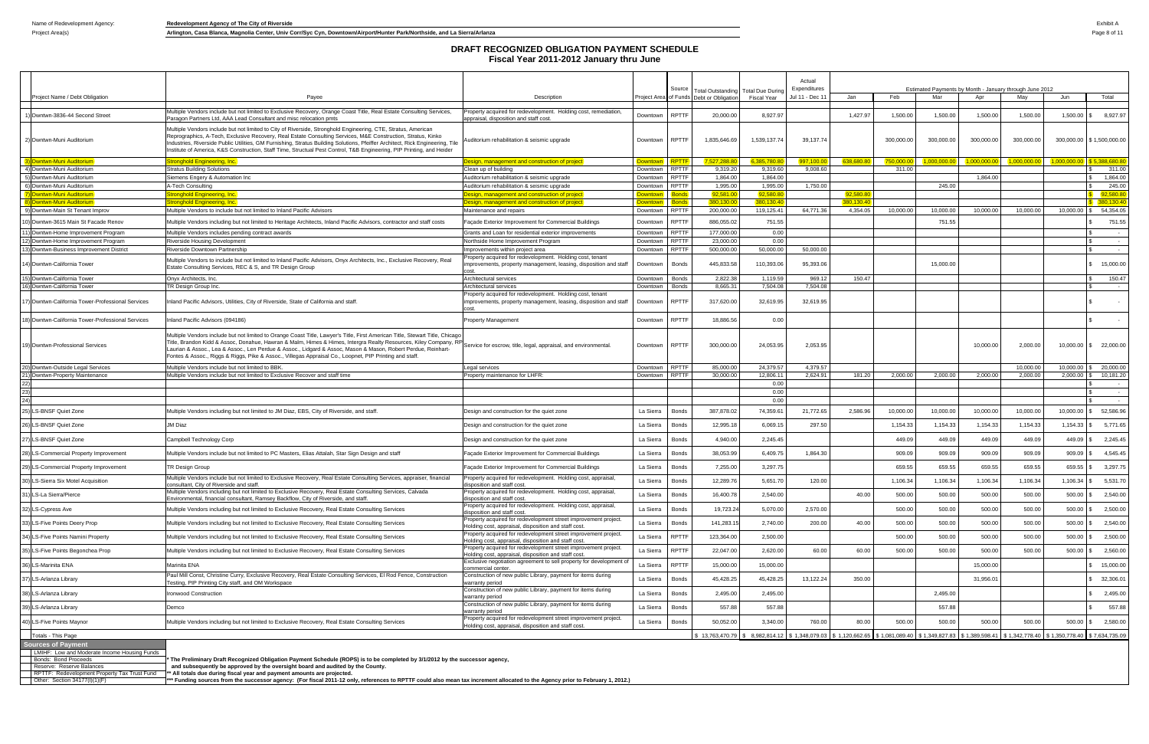Project Area(s) **Arlington, Casa Blanca, Magnolia Center, Univ Corr/Syc Cyn, Downtown/Airport/Hunter Park/Northside, and La Sierra/Arlanza Page 8 of 11** 

|                                                                                                                                    |                                                                                                                                                                                                                                                                                                                                                                                                                                                                                        |                                                                                                                                                                                            |                        |                              |                                          |                       | Actual          |           |            |                                                                                                                                                         |                     |              |             |                             |
|------------------------------------------------------------------------------------------------------------------------------------|----------------------------------------------------------------------------------------------------------------------------------------------------------------------------------------------------------------------------------------------------------------------------------------------------------------------------------------------------------------------------------------------------------------------------------------------------------------------------------------|--------------------------------------------------------------------------------------------------------------------------------------------------------------------------------------------|------------------------|------------------------------|------------------------------------------|-----------------------|-----------------|-----------|------------|---------------------------------------------------------------------------------------------------------------------------------------------------------|---------------------|--------------|-------------|-----------------------------|
|                                                                                                                                    |                                                                                                                                                                                                                                                                                                                                                                                                                                                                                        |                                                                                                                                                                                            |                        | Source                       | Total Outstanding   Total Due During     |                       | Expenditures    |           |            | Estimated Payments by Month - January through June 2012                                                                                                 |                     |              |             |                             |
| Project Name / Debt Obligation                                                                                                     | Pavee                                                                                                                                                                                                                                                                                                                                                                                                                                                                                  | Description                                                                                                                                                                                |                        |                              | Proiect Area of Funds Debt or Obligation | Fiscal Year           | Jul 11 - Dec 11 | Jan       | Feb        | Mar                                                                                                                                                     | Apr                 | May          | Jun         | Total                       |
| ) Dwntwn-3836-44 Second Street                                                                                                     | Multiple Vendors include but not limited to Exclusive Recovery, Orange Coast Title, Real Estate Consulting Services,<br>aragon Partners Ltd, AAA Lead Consultant and misc relocation pmts                                                                                                                                                                                                                                                                                              | Property acquired for redevelopment. Holding cost, remediation,<br>appraisal, disposition and staff cost                                                                                   | Downtown               | <b>RPTTF</b>                 | 20,000.00                                | 8,927.97              |                 | 1,427.97  | 1,500.00   | 1,500.00                                                                                                                                                | 1,500.00            | 1,500.00     | 1,500.00    | 8,927.97                    |
| 2) Dwntwn-Muni Auditorium                                                                                                          | Multiple Vendors include but not limited to City of Riverside, Stronghold Engineering, CTE, Stratus, American<br>Reprographics, A-Tech, Exclusive Recovery, Real Estate Consulting Services, M&E Construction, Stratus, Kinko<br>Industries, Riverside Public Utilities, GM Furnishing, Stratus Building Solutions, Pfeiffer Architect, Rick Engineering, Tile<br>nstitute of America, K&S Construction, Staff Time, Structual Pest Control, T&B Engineering, PIP Printing, and Heider | Auditorium rehabilitation & seismic upgrade                                                                                                                                                | Downtown               | <b>RPTTF</b>                 | 1,835,646.69                             | 1,539,137.74          | 39,137.74       |           | 300,000.00 | 300,000.00                                                                                                                                              | 300,000.00          | 300,000.00   |             | 300,000.00   \$1,500,000.00 |
| 3) Dwntwn-Muni Auditorium                                                                                                          | tronghold Engineering, Inc.                                                                                                                                                                                                                                                                                                                                                                                                                                                            | Design, management and construction of project                                                                                                                                             | Downtown RPTTF         |                              | 527,288.8                                | 385,780.8             | 997,100.00      | 638,680.8 | 750,000.   | 1,000,000.00                                                                                                                                            | 1.000.000.00        | 1,000,000.00 | 1.000.000   | 5.388,680.80                |
| 4) Dwntwn-Muni Auditorium                                                                                                          | <b>Stratus Building Solutions</b>                                                                                                                                                                                                                                                                                                                                                                                                                                                      | Clean up of building                                                                                                                                                                       | Downtown               | <b>RPTTF</b>                 | 9,319.20                                 | 9,319.60              | 9,008.60        |           | 311.00     |                                                                                                                                                         |                     |              |             | 311.00                      |
| 5) Dwntwn-Muni Auditorium<br>6) Dwntwn-Muni Auditorium                                                                             | Siemens Engery & Automation Inc<br>4-Tech Consulting                                                                                                                                                                                                                                                                                                                                                                                                                                   | Auditorium rehabilitation & seismic upgrade<br>Auditorium rehabilitation & seismic upgrade                                                                                                 | Downtown<br>Downtown   | <b>RPTTF</b><br><b>RPTTF</b> | 1.864.00<br>1,995.00                     | 1.864.00<br>1,995.00  | 1,750.00        |           |            | 245.00                                                                                                                                                  | 1.864.00            |              |             | 1,864.00<br>245.00          |
| 7) Dwntwn-Muni Auditorium                                                                                                          | ronghold Engineering, Inc.                                                                                                                                                                                                                                                                                                                                                                                                                                                             | Design, management and construction of project                                                                                                                                             | <b>Downtown</b>        | Bonds                        | 92,581.0                                 | 92,580.8              |                 | 92,580.8  |            |                                                                                                                                                         |                     |              |             | 92,580.8                    |
| 8) Dwntwn-Muni Auditorium                                                                                                          | ronghold Engineering, Inc.                                                                                                                                                                                                                                                                                                                                                                                                                                                             | Design, management and construction of project                                                                                                                                             | Downtown               | Bonds                        | 380,130.0                                | 380,130.40            |                 | 380,130.4 |            |                                                                                                                                                         |                     |              |             | 380,130.40                  |
| 9) Dwntwn-Main St Tenant Improv                                                                                                    | Multiple Vendors to include but not limited to Inland Pacific Advisors                                                                                                                                                                                                                                                                                                                                                                                                                 | Maintenance and repairs                                                                                                                                                                    | Downtown               | <b>RPTTF</b>                 | 200,000.0                                | 119,125.41            | 64,771.36       | 4,354.05  | 10,000.00  | 10,000.00                                                                                                                                               | 10,000.00           | 10,000.00    | 10,000.00   | 54,354.05                   |
| 10) Dwntwn-3615 Main St Facade Renov                                                                                               | Multiple Vendors including but not limited to Heritage Architects, Inland Pacific Advisors, contractor and staff costs                                                                                                                                                                                                                                                                                                                                                                 | Façade Exterior Improvement for Commercial Buildings                                                                                                                                       | Downtown               | <b>RPTTF</b>                 | 886,055.02                               | 751.55                |                 |           |            | 751.55                                                                                                                                                  |                     |              |             | 751.55                      |
| 11) Dwntwn-Home Improvement Program<br>12) Dwntwn-Home Improvement Program                                                         | Multiple Vendors includes pending contract awards<br>Riverside Housing Development                                                                                                                                                                                                                                                                                                                                                                                                     | Grants and Loan for residential exterior improvements<br>Northside Home Improvement Program                                                                                                | Downtown<br>Downtown   | <b>RPTTF</b><br><b>RPTTF</b> | 177,000.00<br>23,000.00                  | 0.00<br>0.00          |                 |           |            |                                                                                                                                                         |                     |              |             | $\sim$<br>$\sim$            |
| 13) Dwntwn-Business Improvement District                                                                                           | Riverside Downtown Partnership                                                                                                                                                                                                                                                                                                                                                                                                                                                         | Improvements within project area                                                                                                                                                           | Downtown               | <b>RPTTF</b>                 | 500,000.00                               | 50,000.00             | 50,000.00       |           |            |                                                                                                                                                         |                     |              |             | $\sim$                      |
| 14) Dwntwn-California Tower                                                                                                        | Multiple Vendors to include but not limited to Inland Pacific Advisors, Onyx Architects, Inc., Exclusive Recovery, Real<br>Estate Consulting Services, REC & S, and TR Design Group                                                                                                                                                                                                                                                                                                    | Property acquired for redevelopment. Holding cost, tenant<br>improvements, property management, leasing, disposition and staf                                                              | Downtown               | Bonds                        | 445,833.58                               | 110,393.06            | 95,393.06       |           |            | 15,000.00                                                                                                                                               |                     |              |             | 15,000.00                   |
| 15) Dwntwn-California Tower                                                                                                        | Onyx Architects, Inc.                                                                                                                                                                                                                                                                                                                                                                                                                                                                  | Architectural services                                                                                                                                                                     | Downtown               | Bonds                        | 2,822.38                                 | 1,119.59              | 969.12          | 150.47    |            |                                                                                                                                                         |                     |              |             | 150.47                      |
| 16) Dwntwn-California Tower                                                                                                        | <b>FR Design Group Inc.</b>                                                                                                                                                                                                                                                                                                                                                                                                                                                            | Architectural services                                                                                                                                                                     | Downtown               | Bonds                        | 8,665.3'                                 | 7,504.08              | 7,504.08        |           |            |                                                                                                                                                         |                     |              |             |                             |
| 7) Dwntwn-California Tower-Professional Services                                                                                   | Inland Pacific Advisors, Utilities, City of Riverside, State of California and staff.                                                                                                                                                                                                                                                                                                                                                                                                  | Property acquired for redevelopment. Holding cost, tenant<br>improvements, property management, leasing, disposition and staff                                                             | Downtown               | <b>RPTTF</b>                 | 317,620.00                               | 32,619.95             | 32,619.95       |           |            |                                                                                                                                                         |                     |              |             |                             |
| 8) Dwntwn-California Tower-Professional Services                                                                                   | nland Pacific Advisors (094186)                                                                                                                                                                                                                                                                                                                                                                                                                                                        | Property Management                                                                                                                                                                        | Downtown               | <b>RPTTI</b>                 | 18,886.56                                | 0.00                  |                 |           |            |                                                                                                                                                         |                     |              |             |                             |
| 19) Dwntwn-Professional Services                                                                                                   | Multiple Vendors include but not limited to Orange Coast Title, Lawyer's Title, First American Title, Stewart Title, Chicago<br>Title, Brandon Kidd & Assoc, Donahue, Hawran & Malm, Himes & Himes, Intergra Realty Resources, Kiley Company, RP<br>aurian & Assoc., Lea & Assoc., Len Perdue & Assoc., Lidgard & Assoc, Mason & Mason, Robert Perdue, Reinhart-<br>Fontes & Assoc., Riggs & Riggs, Pike & Assoc., Villegas Appraisal Co., Loopnet, PIP Printing and staff.            | Service for escrow, title, legal, appraisal, and environmental.                                                                                                                            | Downtown               | <b>RPTTF</b>                 | 300,000.00                               | 24,053.95             | 2,053.95        |           |            |                                                                                                                                                         | 10,000.00           | 2,000.00     |             | 10,000.00 \$ 22,000.00      |
| 20) Dwntwn-Outside Legal Services                                                                                                  | Multiple Vendors include but not limited to BBK.                                                                                                                                                                                                                                                                                                                                                                                                                                       | Legal services                                                                                                                                                                             | Downtown               | <b>RPTTI</b>                 | 85,000.00                                | 24,379.57             | 4,379.57        |           |            |                                                                                                                                                         |                     | 10,000.00    | 10,000.00   | 20,000.00                   |
| 21) Dwntwn-Property Maintenance                                                                                                    | Multiple Vendors include but not limited to Exclusive Recover and staff time                                                                                                                                                                                                                                                                                                                                                                                                           | Property maintenance for LHFR                                                                                                                                                              | Downtown               | <b>RPTTF</b>                 | 30,000.00                                | 12,806.11             | 2,624.91        | 181.20    | 2.000.00   | 2,000.00                                                                                                                                                | 2,000.00            | 2,000.00     | 2,000.00    | 10,181.20                   |
|                                                                                                                                    |                                                                                                                                                                                                                                                                                                                                                                                                                                                                                        |                                                                                                                                                                                            |                        |                              |                                          | 0.00                  |                 |           |            |                                                                                                                                                         |                     |              |             | $\sim$                      |
|                                                                                                                                    |                                                                                                                                                                                                                                                                                                                                                                                                                                                                                        |                                                                                                                                                                                            |                        |                              |                                          | 0.00<br>0.00          |                 |           |            |                                                                                                                                                         |                     |              |             | $\sim$ 100 $\pm$<br>$\sim$  |
| LS-BNSF Quiet Zone                                                                                                                 | Multiple Vendors including but not limited to JM Diaz, EBS, City of Riverside, and staff.                                                                                                                                                                                                                                                                                                                                                                                              | Design and construction for the quiet zone                                                                                                                                                 | La Sierra              | Bonds                        | 387,878.02                               | 74,359.61             | 21,772.65       | 2,586.96  | 10,000.00  | 10,000.0                                                                                                                                                | 10,000.00           | 10,000.00    | 10,000.00   | 52,586.96                   |
| 26) LS-BNSF Quiet Zone                                                                                                             | JM Diaz                                                                                                                                                                                                                                                                                                                                                                                                                                                                                | Design and construction for the quiet zone                                                                                                                                                 | La Sierra              | Bonds                        | 12,995.18                                | 6,069.1               | 297.50          |           | 1,154.33   | 1,154.33                                                                                                                                                | 1,154.33            | 1,154.33     | 1,154.33    | 5,771.65                    |
| LS-BNSF Quiet Zone                                                                                                                 | Campbell Technology Corp                                                                                                                                                                                                                                                                                                                                                                                                                                                               | Design and construction for the quiet zone                                                                                                                                                 | La Sierra              | Bonds                        | 4,940.00                                 | 2,245.45              |                 |           | 449.09     | 449.09                                                                                                                                                  | 449.09              | 449.09       | 449.09      | 2,245.45                    |
| 28) LS-Commercial Property Improvement                                                                                             | Multiple Vendors include but not limited to PC Masters, Elias Attalah, Star Sign Design and staff                                                                                                                                                                                                                                                                                                                                                                                      | Façade Exterior Improvement for Commercial Buildings                                                                                                                                       | La Sierra              | Bonds                        | 38,053.99                                | 6,409.75              | 1,864.30        |           | 909.09     | 909.09                                                                                                                                                  | 909.09              | 909.09       | 909.09      | 4,545.45                    |
| 9) LS-Commercial Property Improvement                                                                                              | <b>TR Design Group</b>                                                                                                                                                                                                                                                                                                                                                                                                                                                                 | Facade Exterior Improvement for Commercial Buildings                                                                                                                                       | La Sierra              | Bonds                        | 7,255.00                                 | 3,297.75              |                 |           | 659.55     | 659.55                                                                                                                                                  | 659.55              | 659.55       | 659.55      | 3,297.75                    |
| 30) LS-Sierra Six Motel Acquisition                                                                                                | Multiple Vendors include but not limited to Exclusive Recovery, Real Estate Consulting Services, appraiser, financial<br>consultant, City of Riverside and staff.                                                                                                                                                                                                                                                                                                                      | Property acquired for redevelopment. Holding cost, appraisal,<br>disposition and staff cost.                                                                                               | La Sierra              | Bonds                        | 12,289.76                                | 5,651.70              | 120.00          |           | 1,106.34   | 1,106.34                                                                                                                                                | 1,106.34            | 1,106.34     | 1,106.34 \$ | 5,531.70                    |
| 1) LS-La Sierra/Pierce                                                                                                             | Multiple Vendors including but not limited to Exclusive Recovery, Real Estate Consulting Services, Calvada<br>Environmental, financial consultant, Ramsey Backflow, City of Riverside, and staff.                                                                                                                                                                                                                                                                                      | Property acquired for redevelopment. Holding cost, appraisal,<br>disposition and staff cost.<br>Property acquired for redevelopment. Holding cost, appraisal,                              | La Sierra Bonds        |                              | 16,400.78                                | 2,540.00              |                 | 40.00     | 500.00     | 500.00                                                                                                                                                  | 500.00              | 500.00       | $500.00$ \$ | 2,540.00                    |
| 32) LS-Cypress Ave                                                                                                                 | Multiple Vendors including but not limited to Exclusive Recovery, Real Estate Consulting Services                                                                                                                                                                                                                                                                                                                                                                                      | disposition and staff cost.                                                                                                                                                                | La Sierra              | Bonds                        | 19,723.24                                | 5,070.00              | 2,570.00        |           | 500.00     | 500.00                                                                                                                                                  | 500.00              | 500.00       |             | 500.00 \$ 2,500.00          |
| 33) LS-Five Points Deery Prop                                                                                                      | Multiple Vendors including but not limited to Exclusive Recovery, Real Estate Consulting Services                                                                                                                                                                                                                                                                                                                                                                                      | Property acquired for redevelopment street improvement project.<br>Holding cost, appraisal, disposition and staff cost.                                                                    | La Sierra              | <b>Bonds</b>                 | 141,283.15                               | 2,740.00              | 200.00          | 40.00     | 500.00     | 500.00                                                                                                                                                  | 500.00              | 500.00       |             | 500.00 \$ 2,540.00          |
| 34) LS-Five Points Namini Property                                                                                                 | Multiple Vendors including but not limited to Exclusive Recovery, Real Estate Consulting Services                                                                                                                                                                                                                                                                                                                                                                                      | Property acquired for redevelopment street improvement project.<br>Holding cost, appraisal, disposition and staff cost.<br>Property acquired for redevelopment street improvement project. | La Sierra              | <b>RPTTI</b>                 | 123,364.00                               | 2,500.00              |                 |           | 500.00     | 500.00                                                                                                                                                  | 500.00              | 500.00       | 500.00      | 2,500.00                    |
| 35) LS-Five Points Begonchea Prop<br>36) LS-Marinita ENA                                                                           | Multiple Vendors including but not limited to Exclusive Recovery, Real Estate Consulting Services<br>Marinita ENA                                                                                                                                                                                                                                                                                                                                                                      | Holding cost, appraisal, disposition and staff cost.<br>Exclusive negotiation agreement to sell property for development of                                                                | La Sierra<br>La Sierra | <b>RPTTI</b><br><b>RPTTF</b> | 22,047.00<br>15,000.00                   | 2,620.00<br>15,000.00 | 60.00           | 60.00     | 500.00     | 500.00                                                                                                                                                  | 500.00<br>15,000.00 | 500.00       | 500.00      | 2,560.00<br>15,000.00       |
| 37) LS-Arlanza Library                                                                                                             | Paul Mill Const, Christine Curry, Exclusive Recovery, Real Estate Consulting Services, El Rod Fence, Construction                                                                                                                                                                                                                                                                                                                                                                      | commercial center.<br>Construction of new public Library, payment for items during                                                                                                         | La Sierra              | <b>Bonds</b>                 | 45,428.25                                | 45,428.25             | 13,122.24       | 350.00    |            |                                                                                                                                                         | 31,956.01           |              |             | 32,306.01                   |
| 38) LS-Arlanza Library                                                                                                             | Testing, PIP Printing City staff, and OM Workspace<br>ronwood Construction                                                                                                                                                                                                                                                                                                                                                                                                             | warranty period<br>Construction of new public Library, payment for items during                                                                                                            | La Sierra              | <b>Bonds</b>                 | 2,495.00                                 | 2,495.00              |                 |           |            | 2,495.00                                                                                                                                                |                     |              |             | 2,495.00                    |
| 39) LS-Arlanza Library                                                                                                             | Demco                                                                                                                                                                                                                                                                                                                                                                                                                                                                                  | warranty period<br>Construction of new public Library, payment for items during<br>warranty period                                                                                         | La Sierra              | Bonds                        | 557.88                                   | 557.88                |                 |           |            | 557.88                                                                                                                                                  |                     |              |             | 557.88                      |
| 40) LS-Five Points Maynor                                                                                                          | Multiple Vendors including but not limited to Exclusive Recovery, Real Estate Consulting Services                                                                                                                                                                                                                                                                                                                                                                                      | Property acquired for redevelopment street improvement project.<br>Holding cost, appraisal, disposition and staff cost.                                                                    | La Sierra              | <b>Bonds</b>                 | 50,052.00                                | 3,340.00              | 760.00          | 80.00     | 500.00     | 500.00                                                                                                                                                  | 500.00              | 500.00       |             | 500.00 \$ 2,580.00          |
| Totals - This Page                                                                                                                 |                                                                                                                                                                                                                                                                                                                                                                                                                                                                                        |                                                                                                                                                                                            |                        |                              | \$13,763,470.79                          |                       |                 |           |            | \$ 8,982,814.12  \$ 1,348,079.03  \$ 1,120,662.65  \$ 1,081,089.40  \$ 1,349,827.83  \$ 1,389,598.41  \$ 1,342,778.40  \$ 1,350,778.40  \$ 7,634,735.09 |                     |              |             |                             |
| <b>Sources of Payment</b><br>LMIHF: Low and Moderate Income Housing Funds                                                          |                                                                                                                                                                                                                                                                                                                                                                                                                                                                                        |                                                                                                                                                                                            |                        |                              |                                          |                       |                 |           |            |                                                                                                                                                         |                     |              |             |                             |
| Bonds: Bond Proceeds<br>Reserve: Reserve Balances<br>RPTTF: Redevelopment Property Tax Trust Fund<br>Other: Section 34177(I)(1)(F) | The Preliminary Draft Recognized Obligation Payment Schedule (ROPS) is to be completed by 3/1/2012 by the successor agency,<br>and subsequently be approved by the oversight board and audited by the County.<br>All totals due during fiscal year and payment amounts are projected.<br>** Funding sources from the successor agency: (For fiscal 2011-12 only, references to RPTTF could also mean tax increment allocated to the Agency prior to February 1, 2012.)                 |                                                                                                                                                                                            |                        |                              |                                          |                       |                 |           |            |                                                                                                                                                         |                     |              |             |                             |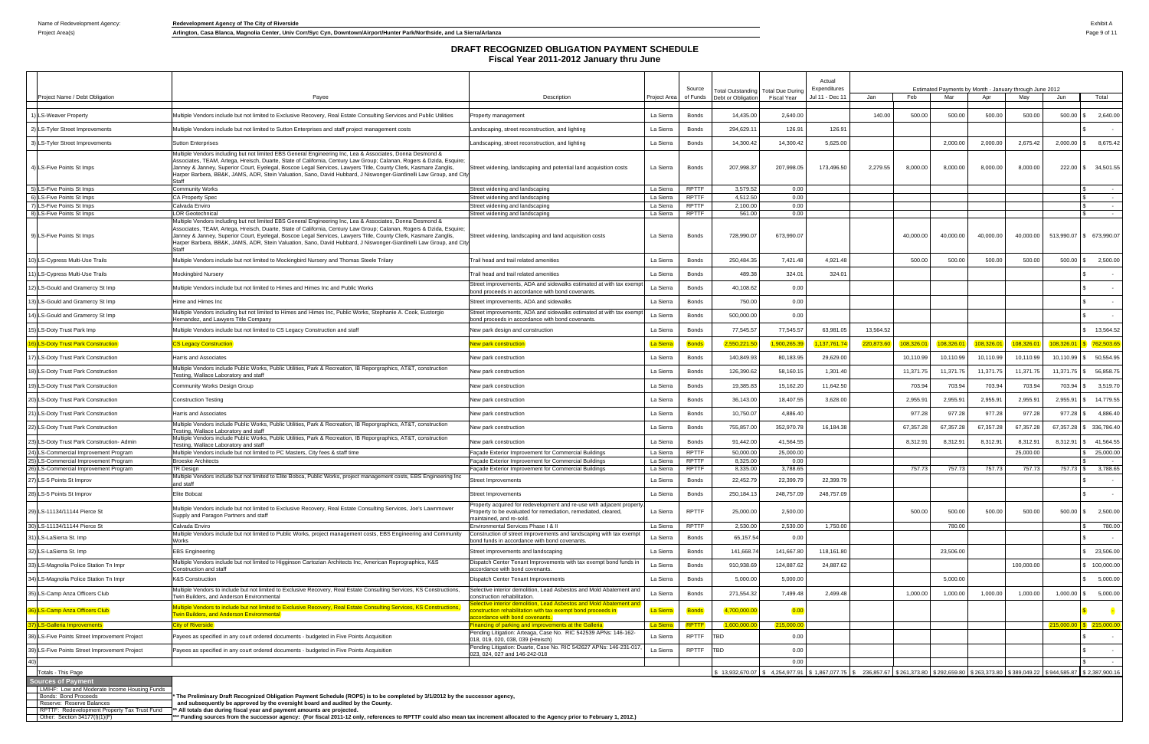Project Area(s) **Arlington, Casa Blanca, Magnolia Center, Univ Corr/Syc Cyn, Downtown/Airport/Hunter Park/Northside, and La Sierra/Arlanza Page 19 and Basing Page 9 of 11** 

|    |                                                                                                   |                                                                                                                                                                                                                                                                                                                                                                                                                                                                                                       |                                                                                                                                   |                        |                       |                                                         |                    | Actual                          |                             |           |                                                                |           |            |                           |                                    |
|----|---------------------------------------------------------------------------------------------------|-------------------------------------------------------------------------------------------------------------------------------------------------------------------------------------------------------------------------------------------------------------------------------------------------------------------------------------------------------------------------------------------------------------------------------------------------------------------------------------------------------|-----------------------------------------------------------------------------------------------------------------------------------|------------------------|-----------------------|---------------------------------------------------------|--------------------|---------------------------------|-----------------------------|-----------|----------------------------------------------------------------|-----------|------------|---------------------------|------------------------------------|
|    | Project Name / Debt Obligation                                                                    | Payee                                                                                                                                                                                                                                                                                                                                                                                                                                                                                                 | Description                                                                                                                       | Project Area           | Source<br>of Funds    | otal Outstanding Total Due During<br>Debt or Obligation | Fiscal Year        | Expenditures<br>Jul 11 - Dec 11 | Jan                         | Feb       | Estimated Payments by Month - January through June 2012<br>Mar | Apr       | Mav        | Jun                       | Total                              |
|    |                                                                                                   |                                                                                                                                                                                                                                                                                                                                                                                                                                                                                                       |                                                                                                                                   |                        |                       |                                                         |                    |                                 |                             |           |                                                                |           |            |                           |                                    |
|    | I) LS-Weaver Property                                                                             | Multiple Vendors include but not limited to Exclusive Recovery, Real Estate Consulting Services and Public Utilities                                                                                                                                                                                                                                                                                                                                                                                  | Property management                                                                                                               | La Sierra              | Bonds                 | 14,435.00                                               | 2,640.00           |                                 | 140.00                      | 500.00    | 500.00                                                         | 500.00    | 500.00     |                           | 500.00 \$ 2,640.00                 |
|    | 2) LS-Tyler Street Improvements                                                                   | Multiple Vendors include but not limited to Sutton Enterprises and staff project management costs                                                                                                                                                                                                                                                                                                                                                                                                     | andscaping, street reconstruction, and lighting                                                                                   | La Sierra              | Bonds                 | 294,629.11                                              | 126.91             | 126.91                          |                             |           |                                                                |           |            |                           |                                    |
|    | 3) LS-Tyler Street Improvements                                                                   | <b>Sutton Enterprises</b>                                                                                                                                                                                                                                                                                                                                                                                                                                                                             | andscaping, street reconstruction, and lighting                                                                                   | La Sierra              | <b>Bonds</b>          | 14,300.42                                               | 14,300.42          | 5,625.00                        |                             |           | 2,000.00                                                       | 2,000.00  | 2,675.42   | 2,000.00                  | \$8,675.42                         |
|    | 4) LS-Five Points St Imps                                                                         | Multiple Vendors including but not limited EBS General Engineering Inc, Lea & Associates, Donna Desmond &<br>Associates, TEAM, Artega, Hreisch, Duarte, State of California, Century Law Group; Calanan, Rogers & Dzida, Esquire;<br>Janney & Janney, Superior Court, Eyelegal, Boscoe Legal Services, Lawyers Title, County Clerk, Kasmare Zanglis,<br>Harper Barbera, BB&K, JAMS, ADR, Stein Valuation, Sano, David Hubbard, J Niswonger-Giardinelli Law Group, and City                            | Street widening, landscaping and potential land acquisition costs                                                                 | La Sierra              | Bonds                 | 207,998.37                                              | 207,998.05         | 173,496.50                      | 2,279.55                    | 8,000.00  | 8,000.00                                                       | 8,000.00  | 8,000.00   |                           | 222.00 \$ 34,501.55                |
|    | 5) LS-Five Points St Imps                                                                         | Community Works                                                                                                                                                                                                                                                                                                                                                                                                                                                                                       | Street widening and landscaping                                                                                                   | La Sierra              | <b>RPTTF</b>          | 3,579.52                                                | 0.00               |                                 |                             |           |                                                                |           |            |                           |                                    |
|    | 6) LS-Five Points St Imps                                                                         | <b>CA Property Spec</b>                                                                                                                                                                                                                                                                                                                                                                                                                                                                               | Street widening and landscaping                                                                                                   | La Sierra              | RPTTF                 | 4,512.50                                                | 0.00               |                                 |                             |           |                                                                |           |            |                           | $\sim$                             |
|    | 7) LS-Five Points St Imps                                                                         | Calvada Enviro                                                                                                                                                                                                                                                                                                                                                                                                                                                                                        | Street widening and landscaping                                                                                                   | La Sierra              | RPTTF                 | 2,100.00                                                | 0.00               |                                 |                             |           |                                                                |           |            |                           | $\sim$ $-$                         |
|    | 8) LS-Five Points St Imps<br>9) LS-Five Points St Imps                                            | <b>LOR Geotechnical</b><br>Multiple Vendors including but not limited EBS General Engineering Inc, Lea & Associates, Donna Desmond &<br>Associates, TEAM, Artega, Hreisch, Duarte, State of California, Century Law Group; Calanan, Rogers & Dzida, Esquire;<br>Janney & Janney, Superior Court, Eyelegal, Boscoe Legal Services, Lawyers Title, County Clerk, Kasmare Zanglis,<br>Harper Barbera, BB&K, JAMS, ADR, Stein Valuation, Sano, David Hubbard, J Niswonger-Giardinelli Law Group, and City | Street widening and landscaping<br>Street widening, landscaping and land acquisition costs                                        | La Sierra<br>La Sierra | <b>RPTTF</b><br>Bonds | 561.00<br>728,990.07                                    | 0.00<br>673,990.07 |                                 |                             | 40,000.00 | 40,000.00                                                      | 40,000.00 | 40,000.00  |                           | $\sim$<br>513,990.07 \$ 673,990.07 |
|    | ) LS-Cypress Multi-Use Trails                                                                     | Multiple Vendors include but not limited to Mockingbird Nursery and Thomas Steele Trilary                                                                                                                                                                                                                                                                                                                                                                                                             | Trail head and trail related amenities                                                                                            | La Sierra              | Bonds                 | 250,484.35                                              | 7,421.48           | 4,921.48                        |                             | 500.00    | 500.00                                                         | 500.00    | 500.00     |                           | 500.00 \$ 2,500.00                 |
|    | 11) LS-Cypress Multi-Use Trails                                                                   | <b>Mockingbird Nursery</b>                                                                                                                                                                                                                                                                                                                                                                                                                                                                            | Trail head and trail related amenities                                                                                            | La Sierra              | Bonds                 | 489.38                                                  | 324.01             | 324.01                          |                             |           |                                                                |           |            |                           |                                    |
|    | 12) LS-Gould and Gramercy St Imp                                                                  | Multiple Vendors include but not limited to Himes and Himes Inc and Public Works                                                                                                                                                                                                                                                                                                                                                                                                                      | Street improvements, ADA and sidewalks estimated at with tax exemp<br>bond proceeds in accordance with bond covenants.            | La Sierra              | Bonds                 | 40,108.62                                               | 0.00               |                                 |                             |           |                                                                |           |            |                           |                                    |
|    | 13) LS-Gould and Gramercy St Imp                                                                  | Hime and Himes Inc                                                                                                                                                                                                                                                                                                                                                                                                                                                                                    | Street improvements, ADA and sidewalks                                                                                            | La Sierra              | Bonds                 | 750.00                                                  | 0.00               |                                 |                             |           |                                                                |           |            |                           |                                    |
|    | LS-Gould and Gramercy St Imp                                                                      | Multiple Vendors including but not limited to Himes and Himes Inc, Public Works, Stephanie A. Cook, Eustorgio<br>Hernandez, and Lawyers Title Company                                                                                                                                                                                                                                                                                                                                                 | Street improvements, ADA and sidewalks estimated at with tax exemp<br>bond proceeds in accordance with bond covenants.            | La Sierra              | Bonds                 | 500,000.00                                              | 0.00               |                                 |                             |           |                                                                |           |            |                           |                                    |
|    | 15) LS-Doty Trust Park Imp                                                                        | Multiple Vendors include but not limited to CS Legacy Construction and staff                                                                                                                                                                                                                                                                                                                                                                                                                          | New park design and construction                                                                                                  | La Sierra              | Bonds                 | 77,545.57                                               | 77,545.57          | 63,981.05                       | 13,564.52                   |           |                                                                |           |            |                           | \$ 13,564.52                       |
|    | 16) LS-Doty Trust Park Construction                                                               | <b>CS Legacy Construction</b>                                                                                                                                                                                                                                                                                                                                                                                                                                                                         | <u>lew park construction</u>                                                                                                      | <b>La Sierra</b>       | Bonds                 | 2,550,221.5                                             | 1,900,265.3        | 1,137,761.7                     | 220,873.60                  | 108,326.0 | 108,326.0                                                      | 108,326.  | 108,326.0  | 108.326.01                | $\frac{1}{5}$ 762,503.65           |
|    | 17) LS-Doty Trust Park Construction                                                               | Harris and Associates                                                                                                                                                                                                                                                                                                                                                                                                                                                                                 | New park construction                                                                                                             | La Sierra              | Bonds                 | 140,849.93                                              | 80,183.95          | 29,629.00                       |                             | 10,110.99 | 10,110.99                                                      | 10,110.99 | 10,110.99  | 10,110.99                 | \$50,554.95                        |
|    | 18) LS-Doty Trust Park Construction                                                               | Multiple Vendors include Public Works, Public Utilities, Park & Recreation, IB Reporgraphics, AT&T, construction<br>Testing, Wallace Laboratory and staff                                                                                                                                                                                                                                                                                                                                             | New park construction                                                                                                             | La Sierra              | Bonds                 | 126,390.62                                              | 58,160.15          | 1,301.40                        |                             | 11,371.75 | 11,371.75                                                      | 11,371.7  | 11,371.75  |                           | 11,371.75 \$ 56,858.75             |
|    | 19) LS-Doty Trust Park Construction                                                               | Community Works Design Group                                                                                                                                                                                                                                                                                                                                                                                                                                                                          | New park construction                                                                                                             | La Sierra              | Bonds                 | 19,385.83                                               | 15,162.20          | 11,642.50                       |                             | 703.94    | 703.94                                                         | 703.94    | 703.94     | 703.94                    | 3,519.70                           |
|    | 20) LS-Doty Trust Park Construction                                                               | <b>Construction Testing</b>                                                                                                                                                                                                                                                                                                                                                                                                                                                                           | New park construction                                                                                                             | La Sierra              | Bonds                 | 36,143.00                                               | 18,407.55          | 3,628.00                        |                             | 2,955.91  | 2,955.9                                                        | 2,955.9   | 2,955.9    | 2,955.91                  | 14,779.55                          |
|    | 21) LS-Doty Trust Park Construction                                                               | Harris and Associates                                                                                                                                                                                                                                                                                                                                                                                                                                                                                 | New park construction                                                                                                             | La Sierra              | <b>Bonds</b>          | 10,750.07                                               | 4,886.40           |                                 |                             | 977.28    | 977.28                                                         | 977.28    | 977.28     | 977.28                    | 4,886.40                           |
|    | 22) LS-Doty Trust Park Construction                                                               | Multiple Vendors include Public Works, Public Utilities, Park & Recreation, IB Reporgraphics, AT&T, construction<br>Testing, Wallace Laboratory and staff                                                                                                                                                                                                                                                                                                                                             | New park construction                                                                                                             | La Sierra              | Bonds                 | 755,857.00                                              | 352,970.78         | 16,184.38                       |                             | 67,357.28 | 67,357.28                                                      | 67,357.28 | 67,357.28  | 67,357.28                 | 336,786.40                         |
|    | 23) LS-Doty Trust Park Construction- Admin                                                        | Multiple Vendors include Public Works, Public Utilities, Park & Recreation, IB Reporgraphics, AT&T, construction<br>Testing, Wallace Laboratory and staff                                                                                                                                                                                                                                                                                                                                             | New park construction                                                                                                             | La Sierra              | Bonds                 | 91,442.00                                               | 41,564.55          |                                 |                             | 8,312.9   | 8,312.9                                                        | 8,312.9   | 8,312.91   | 8,312.91                  | \$41,564.55                        |
|    | 24) LS-Commercial Improvement Program                                                             | Multiple Vendors include but not limited to PC Masters, City fees & staff time                                                                                                                                                                                                                                                                                                                                                                                                                        | Façade Exterior Improvement for Commercial Buildings                                                                              | La Sierra              | <b>RPTTF</b>          | 50,000.00                                               | 25,000.00          |                                 |                             |           |                                                                |           | 25,000.00  |                           | 25,000.00                          |
|    | LS-Commercial Improvement Program                                                                 | <b>Broeske Architects</b>                                                                                                                                                                                                                                                                                                                                                                                                                                                                             | Facade Exterior Improvement for Commercial Buildings                                                                              | La Sierra              | <b>RPTTF</b>          | 8,325.00                                                | 0.00               |                                 |                             |           |                                                                |           |            |                           |                                    |
|    | 26) LS-Commercial Improvement Program                                                             | TR Design<br>Multiple Vendors include but not limited to Elite Bobca, Public Works, project management costs, EBS Engineering Inc                                                                                                                                                                                                                                                                                                                                                                     | Facade Exterior Improvement for Commercial Buildings                                                                              | La Sierra              | RPTTF                 | 8,335.00                                                | 3,788.65           |                                 |                             | 757.73    | 757.73                                                         | 757.73    | 757.73     |                           | 757.73 \$ 3,788.65                 |
| 27 | LS-5 Points St Improv                                                                             | and staff                                                                                                                                                                                                                                                                                                                                                                                                                                                                                             | Street Improvements                                                                                                               | La Sierra              | Bonds                 | 22,452.79                                               | 22,399.79          | 22,399.79                       |                             |           |                                                                |           |            |                           |                                    |
|    | 28) LS-5 Points St Improv                                                                         | Elite Bobcat                                                                                                                                                                                                                                                                                                                                                                                                                                                                                          | rreet improvements<br>Property acquired for redevelopment and re-use with adjacent propert                                        | La Sierra              | Bonds                 | 250,184.13                                              | 248,757.09         | 248,757.09                      |                             |           |                                                                |           |            |                           |                                    |
|    | 29) LS-11134/11144 Pierce St                                                                      | Multiple Vendors include but not limited to Exclusive Recovery, Real Estate Consulting Services, Joe's Lawnmower<br>Supply and Paragon Partners and staff                                                                                                                                                                                                                                                                                                                                             | Property to be evaluated for remediation, remediated, cleared,<br>maintained, and re-sold                                         | La Sierra              | RPTTF                 | 25,000.00                                               | 2,500.00           |                                 |                             | 500.00    | 500.00                                                         | 500.00    | 500.00     |                           | 500.00 \$ 2,500.00                 |
|    | 30) LS-11134/11144 Pierce St                                                                      | Calvada Enviro                                                                                                                                                                                                                                                                                                                                                                                                                                                                                        | Environmental Services Phase I & II                                                                                               | La Sierra              | <b>RPTTF</b>          | 2,530.00                                                | 2,530.00           | 1,750.00                        |                             |           | 780.00                                                         |           |            |                           | 780.00                             |
|    | 31) LS-LaSierra St. Imp                                                                           | Multiple Vendors include but not limited to Public Works, project management costs, EBS Engineering and Community<br>Works                                                                                                                                                                                                                                                                                                                                                                            | Construction of street improvements and landscaping with tax exempt<br>bond funds in accordance with bond covenants.              | La Sierra              | <b>Bonds</b>          | 65,157.54                                               | 0.00               |                                 |                             |           |                                                                |           |            |                           |                                    |
|    | 32) LS-LaSierra St. Imp                                                                           | <b>EBS Engineering</b>                                                                                                                                                                                                                                                                                                                                                                                                                                                                                | Street improvements and landscaping                                                                                               | La Sierra              | Bonds                 | 141,668.7                                               | 141,667.80         | 118,161.80                      |                             |           | 23,506.00                                                      |           |            |                           | 23,506.00                          |
|    | 33) LS-Magnolia Police Station Tn Impr                                                            | Multiple Vendors include but not limited to Higginson Cartozian Architects Inc, American Reprographics, K&S<br>Construction and staff                                                                                                                                                                                                                                                                                                                                                                 | Dispatch Center Tenant Improvements with tax exempt bond funds in<br>accordance with bond covenants.                              | La Sierra              | <b>Bonds</b>          | 910,938.69                                              | 124,887.62         | 24,887.62                       |                             |           |                                                                |           | 100,000.00 |                           | 100,000.00                         |
|    | 34) LS-Magnolia Police Station Tn Impr                                                            | <b>K&amp;S Construction</b>                                                                                                                                                                                                                                                                                                                                                                                                                                                                           | Dispatch Center Tenant Improvements                                                                                               | La Sierra              | <b>Bonds</b>          | 5,000.00                                                | 5,000.00           |                                 |                             |           | 5,000.00                                                       |           |            |                           | 5,000.00                           |
|    | 35) LS-Camp Anza Officers Club                                                                    | Multiple Vendors to include but not limited to Exclusive Recovery, Real Estate Consulting Services, KS Constructions,<br>Twin Builders, and Anderson Environmental                                                                                                                                                                                                                                                                                                                                    | Selective interior demolition, Lead Asbestos and Mold Abatement and<br>construction rehabilitation                                | La Sierra              | <b>Bonds</b>          | 271,554.32                                              | 7,499.48           | 2,499.48                        |                             | 1,000.00  | 1,000.00                                                       | 1,000.00  | 1,000.00   |                           | 1,000.00 \$ 5,000.00               |
|    | 36) LS-Camp Anza Officers Club                                                                    | Multiple Vendors to include but not limited to Exclusive Recovery, Real Estate Consulting Services, KS Constructions,<br><b>Twin Builders, and Anderson Environmental</b>                                                                                                                                                                                                                                                                                                                             | elective interior demolition, Lead Asbestos and Mold Abatement and<br>onstruction rehabilitation with tax exempt bond proceeds in | La Sierra              | <b>Bonds</b>          | 4,700,000.00                                            | 0.00               |                                 |                             |           |                                                                |           |            |                           |                                    |
|    | 37) LS-Galleria Improvements                                                                      | <b>City of Riverside</b>                                                                                                                                                                                                                                                                                                                                                                                                                                                                              | ccordance with bond covenants.<br>nancing of parking and improvements at the Galleria                                             | La Sierra              | RPTTF                 | 1.600.000.00                                            | 215,000.0          |                                 |                             |           |                                                                |           |            |                           | $215,000.00$ \$ $215,000.00$       |
|    | 38) LS-Five Points Street Improvement Project                                                     | Payees as specified in any court ordered documents - budgeted in Five Points Acquisition                                                                                                                                                                                                                                                                                                                                                                                                              | Pending Litigation: Arteaga, Case No. RIC 542539 APNs: 146-162-                                                                   | La Sierra              | <b>RPTTF</b>          | <b>TBD</b>                                              | 0.00               |                                 |                             |           |                                                                |           |            |                           |                                    |
|    | 39) LS-Five Points Street Improvement Project                                                     | Payees as specified in any court ordered documents - budgeted in Five Points Acquisition                                                                                                                                                                                                                                                                                                                                                                                                              | 018, 019, 020, 038, 039 (Hreisch)<br>Pending Litigation: Duarte, Case No. RIC 542627 APNs: 146-231-017                            | La Sierra              | RPTTF                 | TBD                                                     | 0.00               |                                 |                             |           |                                                                |           |            |                           |                                    |
|    |                                                                                                   |                                                                                                                                                                                                                                                                                                                                                                                                                                                                                                       | 023, 024, 027 and 146-242-018                                                                                                     |                        |                       |                                                         | 0.00               |                                 |                             |           |                                                                |           |            |                           | $\sim$ $-$                         |
|    | Totals - This Page                                                                                |                                                                                                                                                                                                                                                                                                                                                                                                                                                                                                       |                                                                                                                                   |                        |                       | 13.932.670.07                                           | \$4.254,977.9      | \$1.867.077.75                  | \$ 236,857.67 \$ 261,373,80 |           | \$292,659.80 \$263.373.80                                      |           |            | \$389.049.22 \$944.585.87 | \$2,387,900.16                     |
|    | <b>Sources of Payment</b><br>LMIHF: Low and Moderate Income Housing Funds                         |                                                                                                                                                                                                                                                                                                                                                                                                                                                                                                       |                                                                                                                                   |                        |                       |                                                         |                    |                                 |                             |           |                                                                |           |            |                           |                                    |
|    | Bonds: Bond Proceeds<br>Reserve: Reserve Balances<br>DDTTE: Podovolopmont Proporty Toy Truet Fund | The Preliminary Draft Recognized Obligation Payment Schedule (ROPS) is to be completed by 3/1/2012 by the successor agency,<br>and subsequently be approved by the oversight board and audited by the County.<br>** All totals due during fiscal vear and nayment amounts are n                                                                                                                                                                                                                       |                                                                                                                                   |                        |                       |                                                         |                    |                                 |                             |           |                                                                |           |            |                           |                                    |

RPTTF: Redevelopment Property Tax Trust Fund \*\* All totals due during fiscal year and payment amounts are projected.<br>\*\*\* Funding sources from the successor agency: (For fiscal 2011-12 only, references to RPTTF cou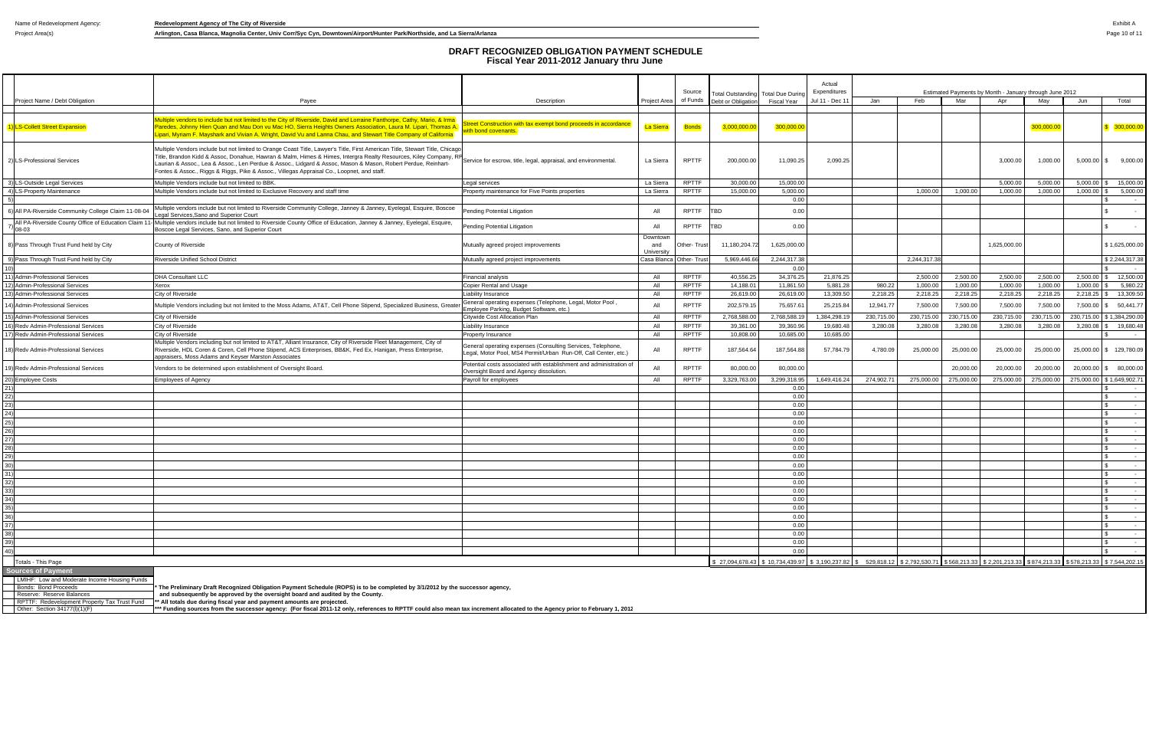Project Area(s) **Arlington, Casa Blanca, Magnolia Center, Univ Corr/Syc Cyn, Downtown/Airport/Hunter Park/Northside, and La Sierra/Arlanza Park/Northside, and La Sierra/Arlanza Park/Northside, and La Sierra/Arlanza** 

|                                    |                                                                                                   |                                                                                                                                                                                                                                                                                                                                                                                                                                                                                                                                                                                  |                                                                                                                                |                               | Source       |                    | Total Outstanding Total Due During                                                                                                              | Actual<br>Expenditures |            |             |            | Estimated Payments by Month - January through June 2012 |            |            |                          |
|------------------------------------|---------------------------------------------------------------------------------------------------|----------------------------------------------------------------------------------------------------------------------------------------------------------------------------------------------------------------------------------------------------------------------------------------------------------------------------------------------------------------------------------------------------------------------------------------------------------------------------------------------------------------------------------------------------------------------------------|--------------------------------------------------------------------------------------------------------------------------------|-------------------------------|--------------|--------------------|-------------------------------------------------------------------------------------------------------------------------------------------------|------------------------|------------|-------------|------------|---------------------------------------------------------|------------|------------|--------------------------|
|                                    | Project Name / Debt Obligation                                                                    | Payee                                                                                                                                                                                                                                                                                                                                                                                                                                                                                                                                                                            | Description                                                                                                                    | Project Area                  | of Funds     | Debt or Obligation | Fiscal Year                                                                                                                                     | Jul 11 - Dec 11        | Jan        | Feb         | Mar        | Apr                                                     | May        | Jun        | Total                    |
|                                    | 1) LS-Collett Street Expansion                                                                    | fultiple vendors to include but not limited to the City of Riverside, David and Lorraine Fanthorpe, Cathy, Mario, & Irm<br>Paredes, Johnny Hien Quan and Mau Don vu Mac HO, Sierra Heights Owners Association, Laura M. Lipari, Thomas /<br>ipari, Myriam F. Mayshark and Vivian A. Wright, David Vu and Lanna Chau, and Stewart Title Company of California                                                                                                                                                                                                                     | reet Construction with tax exempt bond proceeds in accordance<br>ith bond covenants.                                           | <b>La Sierra</b>              | Bonds        | 3,000,000,0        | 300,000.0                                                                                                                                       |                        |            |             |            |                                                         | 300,000.0  |            | 300,000.00               |
|                                    | 2) LS-Professional Services                                                                       | Multiple Vendors include but not limited to Orange Coast Title, Lawyer's Title, First American Title, Stewart Title, Chicago<br>Multiple veridors include but not immodity but may a because of the section of the Section School City Company, RF<br>Title, Brandon Kidd & Assoc, Donahue, Hawran & Malm, Himes & Himes, Intergra Realty Resources, Kiley Compan<br>Laurian & Assoc., Lea & Assoc., Len Perdue & Assoc., Lidgard & Assoc, Mason & Mason, Robert Perdue, Reinhart-<br>Fontes & Assoc., Riggs & Riggs, Pike & Assoc., Villegas Appraisal Co., Loopnet, and staff. |                                                                                                                                | La Sierra                     | <b>RPTTF</b> | 200,000.00         | 11,090.25                                                                                                                                       | 2,090.25               |            |             |            | 3,000.00                                                | 1,000.00   |            | $5,000.00$ \$ $9,000.00$ |
|                                    | 3) LS-Outside Legal Services                                                                      | Multiple Vendors include but not limited to BBK.                                                                                                                                                                                                                                                                                                                                                                                                                                                                                                                                 | Legal services                                                                                                                 | La Sierra                     | <b>RPTTF</b> | 30,000.00          | 15,000.00                                                                                                                                       |                        |            |             |            | 5,000.00                                                | 5,000.00   | 5,000.00   | 15,000.00                |
|                                    | 4) LS-Property Maintenance                                                                        | Multiple Vendors include but not limited to Exclusive Recovery and staff time                                                                                                                                                                                                                                                                                                                                                                                                                                                                                                    | Property maintenance for Five Points properties                                                                                | La Sierra                     | RPTTF        | 15,000.00          | 5,000.00                                                                                                                                        |                        |            | 1,000.00    | 1,000.00   | 1,000.00                                                | 1,000.00   | 1,000.00   | 5,000.00                 |
|                                    | 6) All PA-Riverside Community College Claim 11-08-04                                              | Multiple vendors include but not limited to Riverside Community College, Janney & Janney, Eyelegal, Esquire, Boscoe                                                                                                                                                                                                                                                                                                                                                                                                                                                              | Pending Potential Litigation                                                                                                   | All                           | RPTTF        | TBD                | 0.00<br>0.00                                                                                                                                    |                        |            |             |            |                                                         |            |            | $\sim$                   |
|                                    |                                                                                                   | Legal Services, Sano and Superior Court                                                                                                                                                                                                                                                                                                                                                                                                                                                                                                                                          |                                                                                                                                |                               |              |                    |                                                                                                                                                 |                        |            |             |            |                                                         |            |            |                          |
|                                    | $'$ 08-03                                                                                         | All PA-Riverside County Office of Education Claim 11- Multiple vendors include but not limited to Riverside County Office of Education, Janney & Janney, Eyelegal, Esquire,<br>Boscoe Legal Services, Sano, and Superior Court                                                                                                                                                                                                                                                                                                                                                   | Pending Potential Litigation                                                                                                   | All                           | RPTTF        | <b>TBD</b>         | 0.00                                                                                                                                            |                        |            |             |            |                                                         |            |            |                          |
|                                    | 8) Pass Through Trust Fund held by City                                                           | County of Riverside                                                                                                                                                                                                                                                                                                                                                                                                                                                                                                                                                              | Mutually agreed project improvements                                                                                           | Downtown<br>and<br>University | Other- Trust | 11,180,204.72      | 1,625,000.00                                                                                                                                    |                        |            |             |            | 1,625,000.00                                            |            |            | \$1,625,000.00           |
|                                    | 9) Pass Through Trust Fund held by City                                                           | Riverside Unified School District                                                                                                                                                                                                                                                                                                                                                                                                                                                                                                                                                | Mutually agreed project improvements                                                                                           | Casa Blanca Other- Trus       |              | 5,969,446.66       | 2,244,317.38                                                                                                                                    |                        |            | 2,244,317.3 |            |                                                         |            |            | \$2,244,317.38           |
|                                    |                                                                                                   |                                                                                                                                                                                                                                                                                                                                                                                                                                                                                                                                                                                  |                                                                                                                                |                               |              |                    | 0.00                                                                                                                                            |                        |            |             |            |                                                         |            |            |                          |
|                                    | 11) Admin-Professional Services                                                                   | <b>DHA Consultant LLC</b>                                                                                                                                                                                                                                                                                                                                                                                                                                                                                                                                                        | Financial analysis                                                                                                             | All                           | <b>RPTTF</b> | 40,556.25          | 34,376.25                                                                                                                                       | 21,876.25              |            | 2,500.00    | 2,500.00   | 2,500.00                                                | 2,500.00   | 2,500.00   | 12,500.00                |
|                                    | 12) Admin-Professional Services                                                                   | Xerox                                                                                                                                                                                                                                                                                                                                                                                                                                                                                                                                                                            | Copier Rental and Usage                                                                                                        | All                           | <b>RPTTF</b> | 14,188.01          | 11,861.50                                                                                                                                       | 5,881.28               | 980.22     | 1,000.00    | 1,000.00   | 1,000.00                                                | 1,000.00   | 1,000.00   | 5,980.22                 |
|                                    | 13) Admin-Professional Services                                                                   | City of Riverside                                                                                                                                                                                                                                                                                                                                                                                                                                                                                                                                                                | <b>Liability Insurance</b>                                                                                                     | All                           | <b>RPTTF</b> | 26,619.00          | 26,619.00                                                                                                                                       | 13,309.50              | 2,218.25   | 2,218.25    | 2,218.25   | 2,218.25                                                | 2,218.25   | 2,218.25   | 13,309.50                |
|                                    | 14) Admin-Professional Services                                                                   | Multiple Vendors including but not limited to the Moss Adams, AT&T, Cell Phone Stipend, Specialized Business, Great                                                                                                                                                                                                                                                                                                                                                                                                                                                              | General operating expenses (Telephone, Legal, Motor Pool,<br>Employee Parking, Budget Software, etc.)                          | All                           | <b>RPTTF</b> | 202,579.15         | 75,657.61                                                                                                                                       | 25,215.84              | 12,941.77  | 7,500.00    | 7,500.00   | 7,500.00                                                | 7,500.00   | 7,500.00   | 50,441.77                |
|                                    | 15) Admin-Professional Services                                                                   | City of Riverside                                                                                                                                                                                                                                                                                                                                                                                                                                                                                                                                                                | Citywide Cost Allocation Plan                                                                                                  | All                           | <b>RPTTF</b> | 2,768,588.00       | 2,768,588.1                                                                                                                                     | 384,298.19             | 230,715.00 | 230,715.00  | 230,715.00 | 230,715.00                                              | 230,715.00 | 230,715.00 | \$1,384,290.00           |
|                                    | 16) Redv Admin-Professional Services                                                              | City of Riverside                                                                                                                                                                                                                                                                                                                                                                                                                                                                                                                                                                | Liability Insurance                                                                                                            | All                           | <b>RPTTF</b> | 39,361.00          | 39,360.96                                                                                                                                       | 19,680.48              | 3,280.08   | 3,280.08    | 3,280.08   | 3,280.08                                                | 3,280.08   | 3,280.08   | 19,680.48                |
|                                    | 17) Redy Admin-Professional Services                                                              | City of Riverside                                                                                                                                                                                                                                                                                                                                                                                                                                                                                                                                                                | Property Insurance                                                                                                             | All                           | <b>RPTTF</b> | 10,808.00          | 10,685.00                                                                                                                                       | 10,685.00              |            |             |            |                                                         |            |            | $\sim$                   |
|                                    | 18) Redv Admin-Professional Services                                                              | Multiple Vendors including but not limited to AT&T, Alliant Insurance, City of Riverside Fleet Management, City of<br>Riverside, HDL Coren & Coren, Cell Phone Stipend, ACS Enterprises, BB&K, Fed Ex, Hanigan, Press Enterprise,<br>appraisers, Moss Adams and Keyser Marston Associates                                                                                                                                                                                                                                                                                        | General operating expenses (Consulting Services, Telephone,<br>Legal, Motor Pool, MS4 Permit/Urban Run-Off, Call Center, etc.) | All                           | <b>RPTTF</b> | 187,564.64         | 187,564.88                                                                                                                                      | 57,784.79              | 4,780.09   | 25,000.00   | 25,000.00  | 25,000.00                                               | 25,000.00  |            | 25,000.00 \$ 129,780.09  |
|                                    | 9) Redv Admin-Professional Services                                                               | Vendors to be determined upon establishment of Oversight Board.                                                                                                                                                                                                                                                                                                                                                                                                                                                                                                                  | Potential costs associated with establishment and administration of<br>Oversight Board and Agency dissolution.                 | All                           | <b>RPTTF</b> | 80,000.00          | 80,000.00                                                                                                                                       |                        |            |             | 20,000.00  | 20,000.00                                               | 20,000.00  | 20,000.00  | \$80,000.00              |
|                                    | 20) Employee Costs                                                                                | <b>Employees of Agency</b>                                                                                                                                                                                                                                                                                                                                                                                                                                                                                                                                                       | Payroll for employees                                                                                                          | All                           | <b>RPTTF</b> | 3,329,763.00       | 3,299,318.9                                                                                                                                     | 1,649,416.24           | 274.902.71 | 275,000.00  | 275,000.00 | 275,000.00                                              | 275,000.00 | 275,000.00 | \$1,649,902.71           |
|                                    |                                                                                                   |                                                                                                                                                                                                                                                                                                                                                                                                                                                                                                                                                                                  |                                                                                                                                |                               |              |                    | 0.00                                                                                                                                            |                        |            |             |            |                                                         |            |            |                          |
| 22)                                |                                                                                                   |                                                                                                                                                                                                                                                                                                                                                                                                                                                                                                                                                                                  |                                                                                                                                |                               |              |                    | 0.00                                                                                                                                            |                        |            |             |            |                                                         |            |            | $\sim$                   |
| 23)                                |                                                                                                   |                                                                                                                                                                                                                                                                                                                                                                                                                                                                                                                                                                                  |                                                                                                                                |                               |              |                    | 0.00                                                                                                                                            |                        |            |             |            |                                                         |            |            | $\sim$                   |
| 24)<br>25)                         |                                                                                                   |                                                                                                                                                                                                                                                                                                                                                                                                                                                                                                                                                                                  |                                                                                                                                |                               |              |                    | 0.00<br>0.00                                                                                                                                    |                        |            |             |            |                                                         |            |            | $\sim$<br>$\sim$ $-$     |
| 26)                                |                                                                                                   |                                                                                                                                                                                                                                                                                                                                                                                                                                                                                                                                                                                  |                                                                                                                                |                               |              |                    | 0.00                                                                                                                                            |                        |            |             |            |                                                         |            |            | $\sim$ $-$               |
| 27)                                |                                                                                                   |                                                                                                                                                                                                                                                                                                                                                                                                                                                                                                                                                                                  |                                                                                                                                |                               |              |                    | 0.00                                                                                                                                            |                        |            |             |            |                                                         |            |            | $\sim$ $-$               |
| 28                                 |                                                                                                   |                                                                                                                                                                                                                                                                                                                                                                                                                                                                                                                                                                                  |                                                                                                                                |                               |              |                    | 0.00                                                                                                                                            |                        |            |             |            |                                                         |            |            | $\sim$ $-$               |
| 29)                                |                                                                                                   |                                                                                                                                                                                                                                                                                                                                                                                                                                                                                                                                                                                  |                                                                                                                                |                               |              |                    | 0.00                                                                                                                                            |                        |            |             |            |                                                         |            |            | $\sim$ $-$               |
| 30)                                |                                                                                                   |                                                                                                                                                                                                                                                                                                                                                                                                                                                                                                                                                                                  |                                                                                                                                |                               |              |                    | 0.00                                                                                                                                            |                        |            |             |            |                                                         |            |            | $\sim$ $-$               |
| 31)                                |                                                                                                   |                                                                                                                                                                                                                                                                                                                                                                                                                                                                                                                                                                                  |                                                                                                                                |                               |              |                    | 0.00                                                                                                                                            |                        |            |             |            |                                                         |            |            | $\sim$ $-$               |
| 32)                                |                                                                                                   |                                                                                                                                                                                                                                                                                                                                                                                                                                                                                                                                                                                  |                                                                                                                                |                               |              |                    | 0.00                                                                                                                                            |                        |            |             |            |                                                         |            |            | $\sim$                   |
| 33)                                |                                                                                                   |                                                                                                                                                                                                                                                                                                                                                                                                                                                                                                                                                                                  |                                                                                                                                |                               |              |                    | 0.00                                                                                                                                            |                        |            |             |            |                                                         |            |            | $\sim$ $-$               |
| $\frac{34}{35}$<br>$\frac{35}{36}$ |                                                                                                   |                                                                                                                                                                                                                                                                                                                                                                                                                                                                                                                                                                                  |                                                                                                                                |                               |              |                    | 0.00                                                                                                                                            |                        |            |             |            |                                                         |            |            |                          |
|                                    |                                                                                                   |                                                                                                                                                                                                                                                                                                                                                                                                                                                                                                                                                                                  |                                                                                                                                |                               |              |                    | 0.00                                                                                                                                            |                        |            |             |            |                                                         |            |            | $\sim 100$               |
|                                    |                                                                                                   |                                                                                                                                                                                                                                                                                                                                                                                                                                                                                                                                                                                  |                                                                                                                                |                               |              |                    | 0.00                                                                                                                                            |                        |            |             |            |                                                         |            |            | $\sim$ $-$               |
|                                    |                                                                                                   |                                                                                                                                                                                                                                                                                                                                                                                                                                                                                                                                                                                  |                                                                                                                                |                               |              |                    | 0.00                                                                                                                                            |                        |            |             |            |                                                         |            |            | $\sim$ $-$               |
| $\frac{37}{37}$<br>$\frac{38}{39}$ |                                                                                                   |                                                                                                                                                                                                                                                                                                                                                                                                                                                                                                                                                                                  |                                                                                                                                |                               |              |                    | 0.00<br>0.00                                                                                                                                    |                        |            |             |            |                                                         |            |            | $\sim$ $-$<br>$\sim 100$ |
| $\frac{1}{40}$                     |                                                                                                   |                                                                                                                                                                                                                                                                                                                                                                                                                                                                                                                                                                                  |                                                                                                                                |                               |              |                    | 0.00                                                                                                                                            |                        |            |             |            |                                                         |            |            | $\sim$                   |
|                                    |                                                                                                   |                                                                                                                                                                                                                                                                                                                                                                                                                                                                                                                                                                                  |                                                                                                                                |                               |              |                    |                                                                                                                                                 |                        |            |             |            |                                                         |            |            |                          |
|                                    | Totals - This Page                                                                                |                                                                                                                                                                                                                                                                                                                                                                                                                                                                                                                                                                                  |                                                                                                                                |                               |              |                    | \$27,094,678.43 \$10,734,439.97 \$3,190,237.82 \$529,818.12 \$2,792,530.71 \$568,213.33 \$2,201,213.33 \$874,213.33 \$578,213.33 \$7,544,202.15 |                        |            |             |            |                                                         |            |            |                          |
|                                    | <b>Sources of Payment</b><br>LMIHF: Low and Moderate Income Housing Funds<br>Bonds: Bond Proceeds | * The Preliminary Draft Recognized Obligation Payment Schedule (ROPS) is to be completed by 3/1/2012 by the successor agency                                                                                                                                                                                                                                                                                                                                                                                                                                                     |                                                                                                                                |                               |              |                    |                                                                                                                                                 |                        |            |             |            |                                                         |            |            |                          |

Bonds: Bond Proceeds **Exercisc Conservance in the Preliminary Draft Recognized Obligation Payment Schedule (ROPS) is to be completed by 3/1/2012 by the successor agency,<br>Reserve: Reserve Balances <b>Exercisc Conserver and su** 

RPTTF: Redevelopment Property Tax Trust Fund Maximum totals due during fiscal year and payment amounts are projected.<br>Other: Section 34177(I)(1)(F) which are funding sources from the successor agency: (For fiscal 2011-12 o